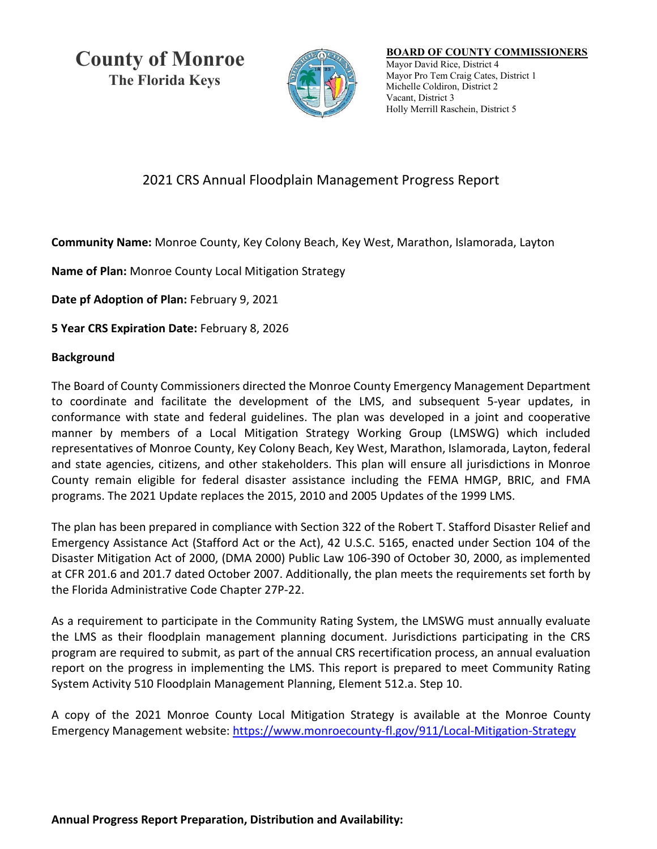**County of Monroe The Florida Keys**



## **BOARD OF COUNTY COMMISSIONERS** Mayor David Rice, District 4 Mayor Pro Tem Craig Cates, District 1 Michelle Coldiron, District 2 Vacant, District 3 Holly Merrill Raschein, District 5

## 2021 CRS Annual Floodplain Management Progress Report

**Community Name:** Monroe County, Key Colony Beach, Key West, Marathon, Islamorada, Layton

**Name of Plan:** Monroe County Local Mitigation Strategy

**Date pf Adoption of Plan:** February 9, 2021

**5 Year CRS Expiration Date:** February 8, 2026

## **Background**

The Board of County Commissioners directed the Monroe County Emergency Management Department to coordinate and facilitate the development of the LMS, and subsequent 5-year updates, in conformance with state and federal guidelines. The plan was developed in a joint and cooperative manner by members of a Local Mitigation Strategy Working Group (LMSWG) which included representatives of Monroe County, Key Colony Beach, Key West, Marathon, Islamorada, Layton, federal and state agencies, citizens, and other stakeholders. This plan will ensure all jurisdictions in Monroe County remain eligible for federal disaster assistance including the FEMA HMGP, BRIC, and FMA programs. The 2021 Update replaces the 2015, 2010 and 2005 Updates of the 1999 LMS.

The plan has been prepared in compliance with Section 322 of the Robert T. Stafford Disaster Relief and Emergency Assistance Act (Stafford Act or the Act), 42 U.S.C. 5165, enacted under Section 104 of the Disaster Mitigation Act of 2000, (DMA 2000) Public Law 106-390 of October 30, 2000, as implemented at CFR 201.6 and 201.7 dated October 2007. Additionally, the plan meets the requirements set forth by the Florida Administrative Code Chapter 27P-22.

As a requirement to participate in the Community Rating System, the LMSWG must annually evaluate the LMS as their floodplain management planning document. Jurisdictions participating in the CRS program are required to submit, as part of the annual CRS recertification process, an annual evaluation report on the progress in implementing the LMS. This report is prepared to meet Community Rating System Activity 510 Floodplain Management Planning, Element 512.a. Step 10.

A copy of the 2021 Monroe County Local Mitigation Strategy is available at the Monroe County Emergency Management website:<https://www.monroecounty-fl.gov/911/Local-Mitigation-Strategy>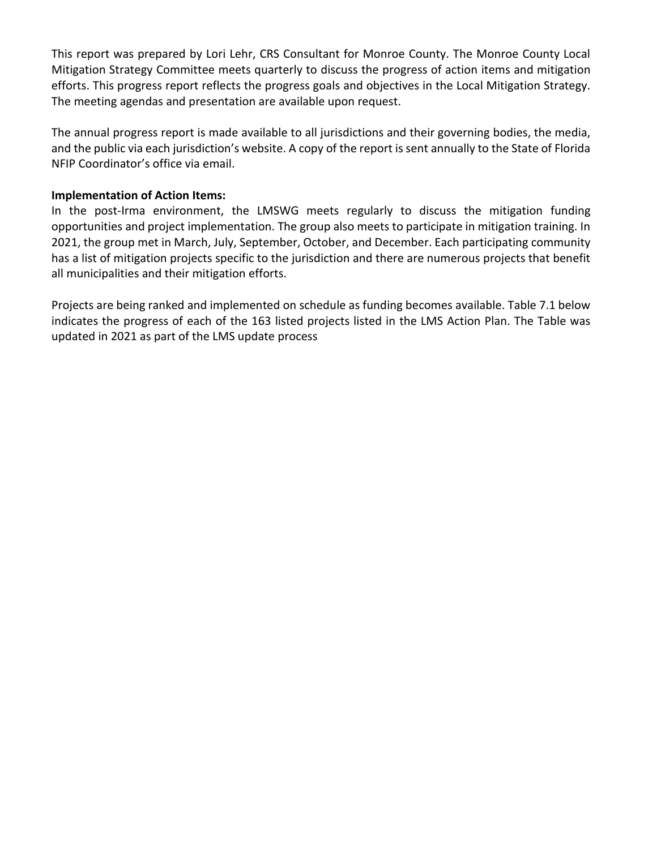This report was prepared by Lori Lehr, CRS Consultant for Monroe County. The Monroe County Local Mitigation Strategy Committee meets quarterly to discuss the progress of action items and mitigation efforts. This progress report reflects the progress goals and objectives in the Local Mitigation Strategy. The meeting agendas and presentation are available upon request.

The annual progress report is made available to all jurisdictions and their governing bodies, the media, and the public via each jurisdiction's website. A copy of the report is sent annually to the State of Florida NFIP Coordinator's office via email.

## **Implementation of Action Items:**

In the post-Irma environment, the LMSWG meets regularly to discuss the mitigation funding opportunities and project implementation. The group also meets to participate in mitigation training. In 2021, the group met in March, July, September, October, and December. Each participating community has a list of mitigation projects specific to the jurisdiction and there are numerous projects that benefit all municipalities and their mitigation efforts.

Projects are being ranked and implemented on schedule as funding becomes available. Table 7.1 below indicates the progress of each of the 163 listed projects listed in the LMS Action Plan. The Table was updated in 2021 as part of the LMS update process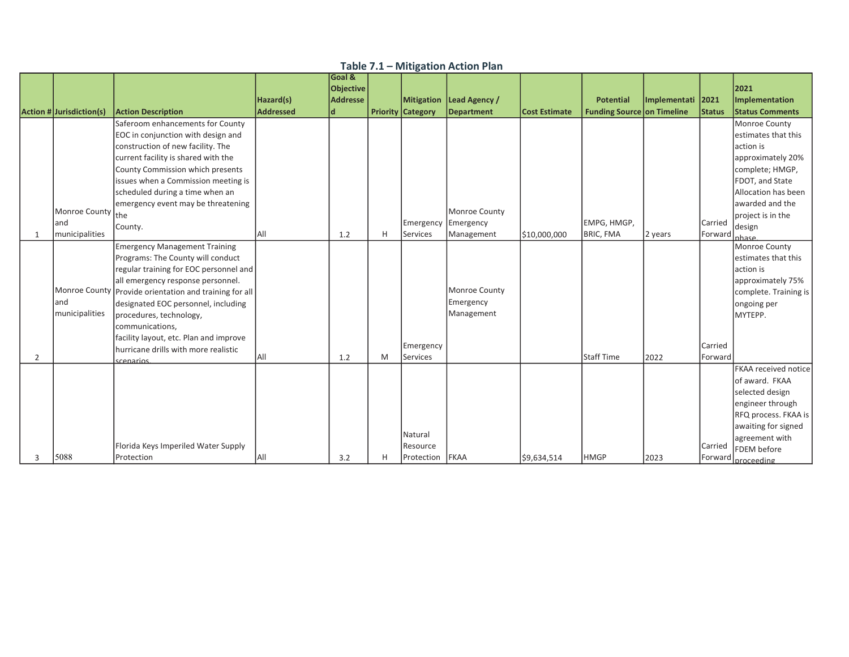|                |                          |                                                                             |                  | Goal &    |   |                          |                   |                      |                                   |                   |         |                                   |
|----------------|--------------------------|-----------------------------------------------------------------------------|------------------|-----------|---|--------------------------|-------------------|----------------------|-----------------------------------|-------------------|---------|-----------------------------------|
|                |                          |                                                                             |                  | Objective |   |                          |                   |                      |                                   |                   |         | 2021                              |
|                |                          |                                                                             | Hazard(s)        | Addresse  |   | <b>Mitigation</b>        | Lead Agency /     |                      | <b>Potential</b>                  | Implementati 2021 |         | Implementation                    |
|                | Action # Jurisdiction(s) | <b>Action Description</b>                                                   | <b>Addressed</b> |           |   | <b>Priority Category</b> | <b>Department</b> | <b>Cost Estimate</b> | <b>Funding Source on Timeline</b> |                   | Status  | <b>Status Comments</b>            |
|                |                          | Saferoom enhancements for County                                            |                  |           |   |                          |                   |                      |                                   |                   |         | Monroe County                     |
|                |                          | EOC in conjunction with design and                                          |                  |           |   |                          |                   |                      |                                   |                   |         | estimates that this               |
|                |                          | construction of new facility. The                                           |                  |           |   |                          |                   |                      |                                   |                   |         | action is                         |
|                |                          | current facility is shared with the                                         |                  |           |   |                          |                   |                      |                                   |                   |         | approximately 20%                 |
|                |                          | County Commission which presents                                            |                  |           |   |                          |                   |                      |                                   |                   |         | complete; HMGP,                   |
|                |                          | issues when a Commission meeting is                                         |                  |           |   |                          |                   |                      |                                   |                   |         | FDOT, and State                   |
|                |                          | scheduled during a time when an                                             |                  |           |   |                          |                   |                      |                                   |                   |         | Allocation has been               |
|                |                          | emergency event may be threatening                                          |                  |           |   |                          |                   |                      |                                   |                   |         | awarded and the                   |
|                | Monroe County            | lthe                                                                        |                  |           |   |                          | Monroe County     |                      |                                   |                   |         | project is in the                 |
|                | land                     | County.                                                                     |                  |           |   | Emergency                | Emergency         |                      | EMPG, HMGP,                       |                   | Carried | design                            |
| 1              | municipalities           |                                                                             | All              | 1.2       | H | <b>Services</b>          | Management        | \$10,000,000         | <b>BRIC, FMA</b>                  | 2 years           | Forward | <u>Inhase</u>                     |
|                |                          | <b>Emergency Management Training</b>                                        |                  |           |   |                          |                   |                      |                                   |                   |         | Monroe County                     |
|                |                          | Programs: The County will conduct<br>regular training for EOC personnel and |                  |           |   |                          |                   |                      |                                   |                   |         | estimates that this<br>laction is |
|                |                          | all emergency response personnel.                                           |                  |           |   |                          |                   |                      |                                   |                   |         | approximately 75%                 |
|                |                          | Monroe County Provide orientation and training for all                      |                  |           |   |                          | Monroe County     |                      |                                   |                   |         | complete. Training is             |
|                | land                     | designated EOC personnel, including                                         |                  |           |   |                          | Emergency         |                      |                                   |                   |         | ongoing per                       |
|                | municipalities           | procedures, technology,                                                     |                  |           |   |                          | Management        |                      |                                   |                   |         | MYTEPP.                           |
|                |                          | communications,                                                             |                  |           |   |                          |                   |                      |                                   |                   |         |                                   |
|                |                          | facility layout, etc. Plan and improve                                      |                  |           |   |                          |                   |                      |                                   |                   |         |                                   |
|                |                          | Ihurricane drills with more realistic                                       |                  |           |   | Emergency                |                   |                      |                                   |                   | Carried |                                   |
| $\overline{2}$ |                          | scenarios                                                                   | <b>AII</b>       | 1.2       | M | <b>Services</b>          |                   |                      | Staff Time                        | 2022              | Forward |                                   |
|                |                          |                                                                             |                  |           |   |                          |                   |                      |                                   |                   |         | FKAA received notice              |
|                |                          |                                                                             |                  |           |   |                          |                   |                      |                                   |                   |         | of award. FKAA                    |
|                |                          |                                                                             |                  |           |   |                          |                   |                      |                                   |                   |         | selected design                   |
|                |                          |                                                                             |                  |           |   |                          |                   |                      |                                   |                   |         | engineer through                  |
|                |                          |                                                                             |                  |           |   |                          |                   |                      |                                   |                   |         | RFQ process. FKAA is              |
|                |                          |                                                                             |                  |           |   |                          |                   |                      |                                   |                   |         | awaiting for signed               |
|                |                          |                                                                             |                  |           |   | Natural                  |                   |                      |                                   |                   |         | agreement with                    |
|                |                          | Florida Keys Imperiled Water Supply                                         |                  |           |   | Resource                 |                   |                      |                                   |                   | Carried | <b>FDEM</b> before                |
| 3              | 5088                     | Protection                                                                  | IAII             | 3.2       | н | Protection               | FKAA              | \$9,634,514          | <b>HMGP</b>                       | 2023              |         | Forward nroceeding                |

Table 7.1 – Mitigation Action Plan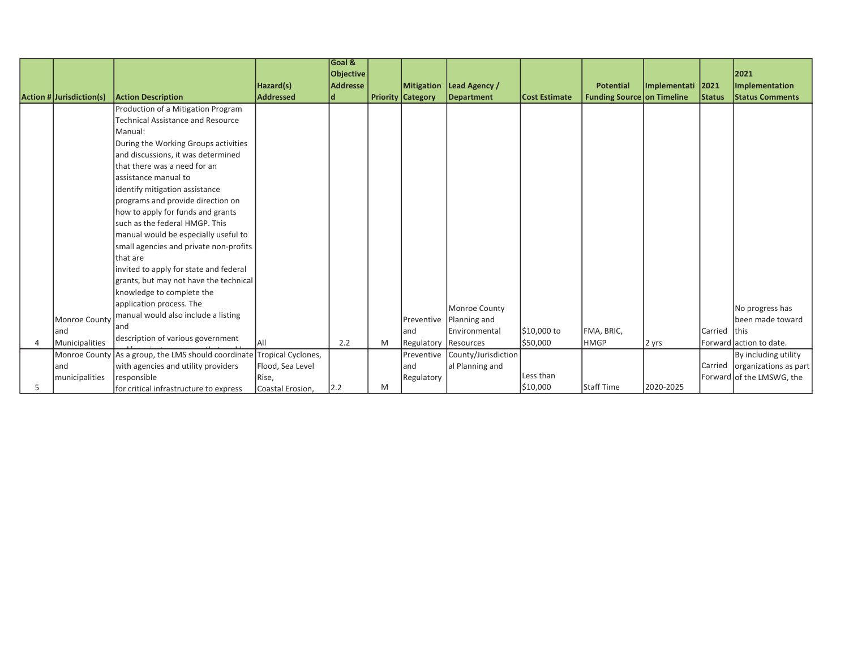|   |                          |                                                     |                    | Goal &          |   |                          |                     |                      |                                   |              |               |                               |
|---|--------------------------|-----------------------------------------------------|--------------------|-----------------|---|--------------------------|---------------------|----------------------|-----------------------------------|--------------|---------------|-------------------------------|
|   |                          |                                                     |                    | Objective       |   |                          |                     |                      |                                   |              |               | 2021                          |
|   |                          |                                                     | Hazard(s)          | <b>Addresse</b> |   | <b>Mitigation</b>        | Lead Agency /       |                      | <b>Potential</b>                  | Implementati | 2021          | Implementation                |
|   | Action # Jurisdiction(s) | <b>Action Description</b>                           | <b>Addressed</b>   | ld              |   | <b>Priority Category</b> | <b>Department</b>   | <b>Cost Estimate</b> | <b>Funding Source on Timeline</b> |              | <b>Status</b> | <b>Status Comments</b>        |
|   |                          | Production of a Mitigation Program                  |                    |                 |   |                          |                     |                      |                                   |              |               |                               |
|   |                          | <b>Technical Assistance and Resource</b>            |                    |                 |   |                          |                     |                      |                                   |              |               |                               |
|   |                          | Manual:                                             |                    |                 |   |                          |                     |                      |                                   |              |               |                               |
|   |                          | During the Working Groups activities                |                    |                 |   |                          |                     |                      |                                   |              |               |                               |
|   |                          | and discussions, it was determined                  |                    |                 |   |                          |                     |                      |                                   |              |               |                               |
|   |                          | that there was a need for an                        |                    |                 |   |                          |                     |                      |                                   |              |               |                               |
|   |                          | assistance manual to                                |                    |                 |   |                          |                     |                      |                                   |              |               |                               |
|   |                          | identify mitigation assistance                      |                    |                 |   |                          |                     |                      |                                   |              |               |                               |
|   |                          | programs and provide direction on                   |                    |                 |   |                          |                     |                      |                                   |              |               |                               |
|   |                          | how to apply for funds and grants                   |                    |                 |   |                          |                     |                      |                                   |              |               |                               |
|   |                          | such as the federal HMGP. This                      |                    |                 |   |                          |                     |                      |                                   |              |               |                               |
|   |                          | manual would be especially useful to                |                    |                 |   |                          |                     |                      |                                   |              |               |                               |
|   |                          | small agencies and private non-profits              |                    |                 |   |                          |                     |                      |                                   |              |               |                               |
|   |                          | lthat are                                           |                    |                 |   |                          |                     |                      |                                   |              |               |                               |
|   |                          | invited to apply for state and federal              |                    |                 |   |                          |                     |                      |                                   |              |               |                               |
|   |                          | grants, but may not have the technical              |                    |                 |   |                          |                     |                      |                                   |              |               |                               |
|   |                          | knowledge to complete the                           |                    |                 |   |                          |                     |                      |                                   |              |               |                               |
|   |                          | application process. The                            |                    |                 |   |                          | Monroe County       |                      |                                   |              |               | No progress has               |
|   | Monroe County            | manual would also include a listing                 |                    |                 |   | Preventive               | Planning and        |                      |                                   |              |               | been made toward              |
|   | land                     | land                                                |                    |                 |   | land                     | Environmental       | \$10,000 to          | FMA, BRIC,                        |              | Carried Ithis |                               |
|   | Municipalities           | description of various government                   |                    | 2.2             | M | Regulatory               | Resources           | \$50,000             | <b>HMGP</b>                       | 2 yrs        |               | Forward action to date.       |
|   |                          | Monroe County As a group, the LMS should coordinate | Tropical Cyclones, |                 |   | Preventive               | County/Jurisdiction |                      |                                   |              |               | By including utility          |
|   | land                     | with agencies and utility providers                 | Flood, Sea Level   |                 |   | land                     | al Planning and     |                      |                                   |              |               | Carried organizations as part |
|   | municipalities           | responsible                                         | Rise.              |                 |   | Regulatory               |                     | Less than            |                                   |              |               | Forward of the LMSWG, the     |
| 5 |                          | for critical infrastructure to express              | Coastal Erosion,   | 2.2             | M |                          |                     | \$10,000             | Staff Time                        | 2020-2025    |               |                               |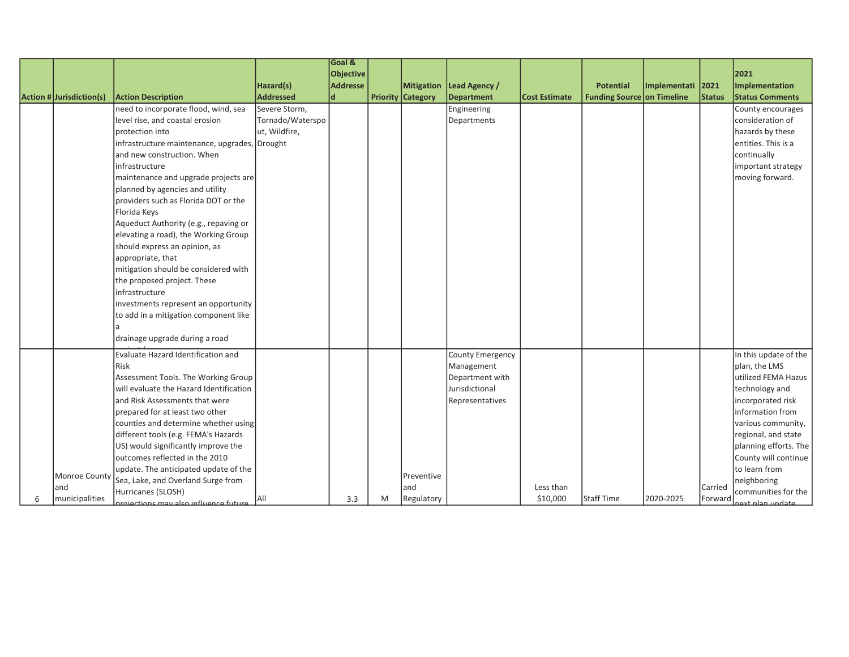|                          |                                               |                  | Goal &           |   |                          |                   |                      |                            |                   |         |                        |
|--------------------------|-----------------------------------------------|------------------|------------------|---|--------------------------|-------------------|----------------------|----------------------------|-------------------|---------|------------------------|
|                          |                                               |                  | <b>Objective</b> |   |                          |                   |                      |                            |                   |         | 2021                   |
|                          |                                               | Hazard(s)        | <b>Addresse</b>  |   | Mitigation               | Lead Agency /     |                      | <b>Potential</b>           | Implementati 2021 |         | Implementation         |
| Action # Jurisdiction(s) | <b>Action Description</b>                     | <b>Addressed</b> | $\mathbf d$      |   | <b>Priority Category</b> | <b>Department</b> | <b>Cost Estimate</b> | Funding Source on Timeline |                   | Status  | <b>Status Comments</b> |
|                          | need to incorporate flood, wind, sea          | Severe Storm,    |                  |   |                          | Engineering       |                      |                            |                   |         | County encourages      |
|                          | level rise, and coastal erosion               | Tornado/Waterspo |                  |   |                          | Departments       |                      |                            |                   |         | consideration of       |
|                          | protection into                               | ut, Wildfire,    |                  |   |                          |                   |                      |                            |                   |         | hazards by these       |
|                          | infrastructure maintenance, upgrades, Drought |                  |                  |   |                          |                   |                      |                            |                   |         | entities. This is a    |
|                          | and new construction. When                    |                  |                  |   |                          |                   |                      |                            |                   |         | continually            |
|                          | infrastructure                                |                  |                  |   |                          |                   |                      |                            |                   |         | important strategy     |
|                          | maintenance and upgrade projects are          |                  |                  |   |                          |                   |                      |                            |                   |         | moving forward.        |
|                          | planned by agencies and utility               |                  |                  |   |                          |                   |                      |                            |                   |         |                        |
|                          | providers such as Florida DOT or the          |                  |                  |   |                          |                   |                      |                            |                   |         |                        |
|                          | Florida Keys                                  |                  |                  |   |                          |                   |                      |                            |                   |         |                        |
|                          | Aqueduct Authority (e.g., repaving or         |                  |                  |   |                          |                   |                      |                            |                   |         |                        |
|                          | elevating a road), the Working Group          |                  |                  |   |                          |                   |                      |                            |                   |         |                        |
|                          | should express an opinion, as                 |                  |                  |   |                          |                   |                      |                            |                   |         |                        |
|                          | appropriate, that                             |                  |                  |   |                          |                   |                      |                            |                   |         |                        |
|                          | mitigation should be considered with          |                  |                  |   |                          |                   |                      |                            |                   |         |                        |
|                          | the proposed project. These                   |                  |                  |   |                          |                   |                      |                            |                   |         |                        |
|                          | infrastructure                                |                  |                  |   |                          |                   |                      |                            |                   |         |                        |
|                          | investments represent an opportunity          |                  |                  |   |                          |                   |                      |                            |                   |         |                        |
|                          | to add in a mitigation component like         |                  |                  |   |                          |                   |                      |                            |                   |         |                        |
|                          |                                               |                  |                  |   |                          |                   |                      |                            |                   |         |                        |
|                          | drainage upgrade during a road                |                  |                  |   |                          |                   |                      |                            |                   |         |                        |
|                          | Evaluate Hazard Identification and            |                  |                  |   |                          | County Emergency  |                      |                            |                   |         | In this update of the  |
|                          | Risk                                          |                  |                  |   |                          | Management        |                      |                            |                   |         | plan, the LMS          |
|                          | Assessment Tools. The Working Group           |                  |                  |   |                          | Department with   |                      |                            |                   |         | utilized FEMA Hazus    |
|                          | will evaluate the Hazard Identification       |                  |                  |   |                          | Jurisdictional    |                      |                            |                   |         | technology and         |
|                          | and Risk Assessments that were                |                  |                  |   |                          | Representatives   |                      |                            |                   |         | incorporated risk      |
|                          | prepared for at least two other               |                  |                  |   |                          |                   |                      |                            |                   |         | information from       |
|                          | counties and determine whether using          |                  |                  |   |                          |                   |                      |                            |                   |         | various community,     |
|                          | different tools (e.g. FEMA's Hazards          |                  |                  |   |                          |                   |                      |                            |                   |         | regional, and state    |
|                          | US) would significantly improve the           |                  |                  |   |                          |                   |                      |                            |                   |         | planning efforts. The  |
|                          | outcomes reflected in the 2010                |                  |                  |   |                          |                   |                      |                            |                   |         | County will continue   |
| Monroe County            | update. The anticipated update of the         |                  |                  |   | Preventive               |                   |                      |                            |                   |         | to learn from          |
| and                      | Sea, Lake, and Overland Surge from            |                  |                  |   | land                     |                   | Less than            |                            |                   | Carried | neighboring            |
|                          | Hurricanes (SLOSH)                            |                  |                  |   |                          |                   | \$10,000             | Staff Time                 |                   |         | communities for the    |
| municipalities           | arniections may also influence future         | <b>AII</b>       | 3.3              | M | Regulatory               |                   |                      |                            | 2020-2025         | Forward | aext nlan undate       |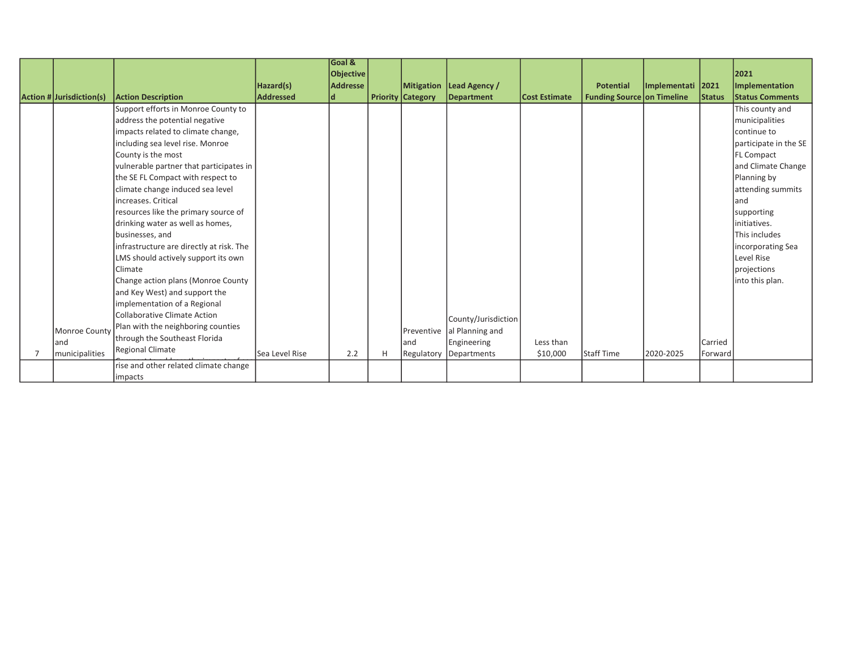|                                      |                                          |                  | <b>Goal &amp;</b> |   |                          |                     |                      |                                   |                   |               |                        |
|--------------------------------------|------------------------------------------|------------------|-------------------|---|--------------------------|---------------------|----------------------|-----------------------------------|-------------------|---------------|------------------------|
|                                      |                                          |                  | Objective         |   |                          |                     |                      |                                   |                   |               | 2021                   |
|                                      |                                          | Hazard(s)        | <b>Addresse</b>   |   | <b>Mitigation</b>        | Lead Agency /       |                      | <b>Potential</b>                  | Implementati 2021 |               | Implementation         |
| Action # Jurisdiction(s)             | <b>Action Description</b>                | <b>Addressed</b> | ld.               |   | <b>Priority Category</b> | Department          | <b>Cost Estimate</b> | <b>Funding Source on Timeline</b> |                   | <b>Status</b> | <b>Status Comments</b> |
|                                      | Support efforts in Monroe County to      |                  |                   |   |                          |                     |                      |                                   |                   |               | This county and        |
|                                      | address the potential negative           |                  |                   |   |                          |                     |                      |                                   |                   |               | municipalities         |
|                                      | impacts related to climate change,       |                  |                   |   |                          |                     |                      |                                   |                   |               | continue to            |
|                                      | including sea level rise. Monroe         |                  |                   |   |                          |                     |                      |                                   |                   |               | participate in the SE  |
|                                      | County is the most                       |                  |                   |   |                          |                     |                      |                                   |                   |               | <b>FL Compact</b>      |
|                                      | vulnerable partner that participates in  |                  |                   |   |                          |                     |                      |                                   |                   |               | and Climate Change     |
|                                      | the SE FL Compact with respect to        |                  |                   |   |                          |                     |                      |                                   |                   |               | Planning by            |
|                                      | climate change induced sea level         |                  |                   |   |                          |                     |                      |                                   |                   |               | attending summits      |
|                                      | increases. Critical                      |                  |                   |   |                          |                     |                      |                                   |                   |               | land                   |
|                                      | resources like the primary source of     |                  |                   |   |                          |                     |                      |                                   |                   |               | supporting             |
|                                      | drinking water as well as homes,         |                  |                   |   |                          |                     |                      |                                   |                   |               | initiatives.           |
|                                      | businesses, and                          |                  |                   |   |                          |                     |                      |                                   |                   |               | This includes          |
|                                      | infrastructure are directly at risk. The |                  |                   |   |                          |                     |                      |                                   |                   |               | incorporating Sea      |
|                                      | LMS should actively support its own      |                  |                   |   |                          |                     |                      |                                   |                   |               | Level Rise             |
|                                      | Climate                                  |                  |                   |   |                          |                     |                      |                                   |                   |               | projections            |
|                                      | Change action plans (Monroe County       |                  |                   |   |                          |                     |                      |                                   |                   |               | into this plan.        |
|                                      | and Key West) and support the            |                  |                   |   |                          |                     |                      |                                   |                   |               |                        |
|                                      | implementation of a Regional             |                  |                   |   |                          |                     |                      |                                   |                   |               |                        |
|                                      | <b>Collaborative Climate Action</b>      |                  |                   |   |                          | County/Jurisdiction |                      |                                   |                   |               |                        |
| Monroe County                        | Plan with the neighboring counties       |                  |                   |   | Preventive               | al Planning and     |                      |                                   |                   |               |                        |
| land                                 | through the Southeast Florida            |                  |                   |   | land                     | Engineering         | Less than            |                                   |                   | Carried       |                        |
| <i><u><b>Imunicipalities</b></u></i> | <b>Regional Climate</b>                  | Sea Level Rise   | 2.2               | H | Regulatory               | Departments         | \$10,000             | <b>Staff Time</b>                 | 2020-2025         | Forward       |                        |
|                                      | rise and other related climate change    |                  |                   |   |                          |                     |                      |                                   |                   |               |                        |
|                                      | impacts                                  |                  |                   |   |                          |                     |                      |                                   |                   |               |                        |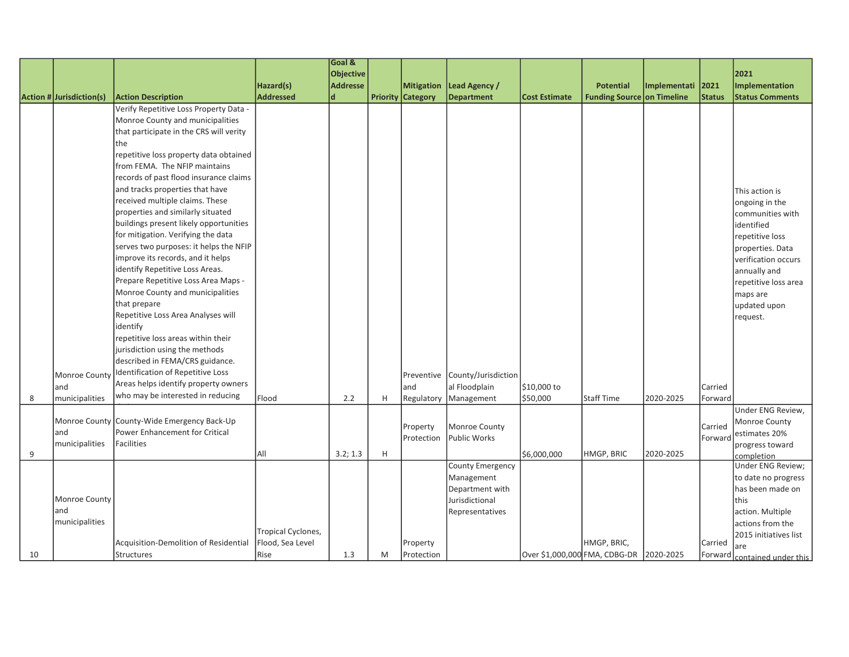|    |                          |                                             |                    | Goal &          |   |                          |                                |                      |                                         |              |               |                        |
|----|--------------------------|---------------------------------------------|--------------------|-----------------|---|--------------------------|--------------------------------|----------------------|-----------------------------------------|--------------|---------------|------------------------|
|    |                          |                                             |                    | Objective       |   |                          |                                |                      |                                         |              |               | 2021                   |
|    |                          |                                             | Hazard(s)          | <b>Addresse</b> |   | <b>Mitigation</b>        | Lead Agency /                  |                      | <b>Potential</b>                        | Implementati | 2021          | Implementation         |
|    | Action # Jurisdiction(s) | <b>Action Description</b>                   | Addressed          | ld              |   | <b>Priority Category</b> | <b>Department</b>              | <b>Cost Estimate</b> | <b>Funding Source on Timeline</b>       |              | <b>Status</b> | <b>Status Comments</b> |
|    |                          | Verify Repetitive Loss Property Data -      |                    |                 |   |                          |                                |                      |                                         |              |               |                        |
|    |                          | Monroe County and municipalities            |                    |                 |   |                          |                                |                      |                                         |              |               |                        |
|    |                          | that participate in the CRS will verity     |                    |                 |   |                          |                                |                      |                                         |              |               |                        |
|    |                          | the                                         |                    |                 |   |                          |                                |                      |                                         |              |               |                        |
|    |                          | repetitive loss property data obtained      |                    |                 |   |                          |                                |                      |                                         |              |               |                        |
|    |                          | from FEMA. The NFIP maintains               |                    |                 |   |                          |                                |                      |                                         |              |               |                        |
|    |                          | records of past flood insurance claims      |                    |                 |   |                          |                                |                      |                                         |              |               |                        |
|    |                          | and tracks properties that have             |                    |                 |   |                          |                                |                      |                                         |              |               | This action is         |
|    |                          | received multiple claims. These             |                    |                 |   |                          |                                |                      |                                         |              |               | ongoing in the         |
|    |                          | properties and similarly situated           |                    |                 |   |                          |                                |                      |                                         |              |               | communities with       |
|    |                          | buildings present likely opportunities      |                    |                 |   |                          |                                |                      |                                         |              |               | identified             |
|    |                          | for mitigation. Verifying the data          |                    |                 |   |                          |                                |                      |                                         |              |               | repetitive loss        |
|    |                          | serves two purposes: it helps the NFIP      |                    |                 |   |                          |                                |                      |                                         |              |               | properties. Data       |
|    |                          | improve its records, and it helps           |                    |                 |   |                          |                                |                      |                                         |              |               | verification occurs    |
|    |                          | identify Repetitive Loss Areas.             |                    |                 |   |                          |                                |                      |                                         |              |               | annually and           |
|    |                          | Prepare Repetitive Loss Area Maps -         |                    |                 |   |                          |                                |                      |                                         |              |               | repetitive loss area   |
|    |                          | Monroe County and municipalities            |                    |                 |   |                          |                                |                      |                                         |              |               | maps are               |
|    |                          | that prepare                                |                    |                 |   |                          |                                |                      |                                         |              |               | updated upon           |
|    |                          | Repetitive Loss Area Analyses will          |                    |                 |   |                          |                                |                      |                                         |              |               | request.               |
|    |                          | identify                                    |                    |                 |   |                          |                                |                      |                                         |              |               |                        |
|    |                          | repetitive loss areas within their          |                    |                 |   |                          |                                |                      |                                         |              |               |                        |
|    |                          | jurisdiction using the methods              |                    |                 |   |                          |                                |                      |                                         |              |               |                        |
|    |                          | described in FEMA/CRS guidance.             |                    |                 |   |                          |                                |                      |                                         |              |               |                        |
|    | Monroe County            | Identification of Repetitive Loss           |                    |                 |   |                          | Preventive County/Jurisdiction |                      |                                         |              |               |                        |
|    | and                      | Areas helps identify property owners        |                    |                 |   | and                      | al Floodplain                  | \$10,000 to          |                                         |              | Carried       |                        |
| 8  | municipalities           | who may be interested in reducing           | Flood              | 2.2             | H | Regulatory               | Management                     | \$50,000             | Staff Time                              | 2020-2025    | Forward       |                        |
|    |                          |                                             |                    |                 |   |                          |                                |                      |                                         |              |               | Under ENG Review,      |
|    |                          | Monroe County County-Wide Emergency Back-Up |                    |                 |   | Property                 | Monroe County                  |                      |                                         |              | Carried       | Monroe County          |
|    | land                     | Power Enhancement for Critical              |                    |                 |   | Protection               | Public Works                   |                      |                                         |              | Forward       | estimates 20%          |
|    | municipalities           | <b>Facilities</b>                           |                    |                 |   |                          |                                |                      |                                         |              |               | progress toward        |
| 9  |                          |                                             | laii               | 3.2; 1.3        | H |                          |                                | \$6,000,000          | HMGP, BRIC                              | 2020-2025    |               | completion             |
|    |                          |                                             |                    |                 |   |                          | County Emergency               |                      |                                         |              |               | Under ENG Review;      |
|    |                          |                                             |                    |                 |   |                          | Management                     |                      |                                         |              |               | to date no progress    |
|    |                          |                                             |                    |                 |   |                          | Department with                |                      |                                         |              |               | has been made on       |
|    | Monroe County            |                                             |                    |                 |   |                          | Jurisdictional                 |                      |                                         |              |               | this                   |
|    | land                     |                                             |                    |                 |   |                          | Representatives                |                      |                                         |              |               | action. Multiple       |
|    | municipalities           |                                             | Tropical Cyclones, |                 |   |                          |                                |                      |                                         |              |               | actions from the       |
|    |                          | Acquisition-Demolition of Residential       | Flood, Sea Level   |                 |   | Property                 |                                |                      | HMGP, BRIC,                             |              | Carried       | 2015 initiatives list  |
| 10 |                          | Structures                                  | Rise               | 1.3             | M | Protection               |                                |                      | Over \$1,000,000 FMA, CDBG-DR 2020-2025 |              | Forward       | lare                   |
|    |                          |                                             |                    |                 |   |                          |                                |                      |                                         |              |               | contained under this   |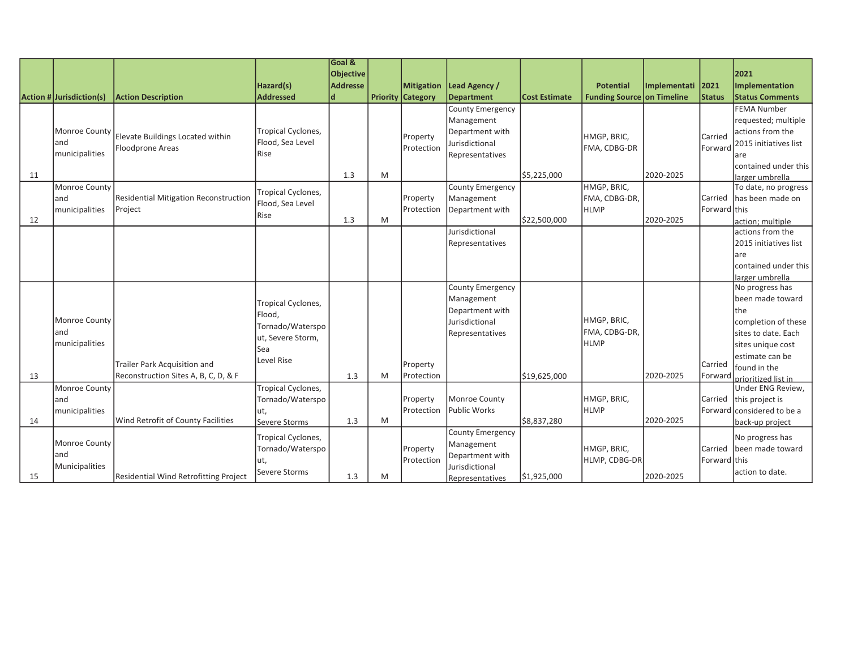|    |                          |                                              |                    | Goal &           |   |                          |                         |                      |                                   |              |               |                                    |
|----|--------------------------|----------------------------------------------|--------------------|------------------|---|--------------------------|-------------------------|----------------------|-----------------------------------|--------------|---------------|------------------------------------|
|    |                          |                                              |                    | <b>Objective</b> |   |                          |                         |                      |                                   |              |               | 2021                               |
|    |                          |                                              | Hazard(s)          | <b>Addresse</b>  |   | <b>Mitigation</b>        | Lead Agency /           |                      | <b>Potential</b>                  | Implementati | 2021          | Implementation                     |
|    | Action # Jurisdiction(s) | <b>Action Description</b>                    | <b>Addressed</b>   | d                |   | <b>Priority Category</b> | Department              | <b>Cost Estimate</b> | <b>Funding Source on Timeline</b> |              | <b>Status</b> | <b>Status Comments</b>             |
|    |                          |                                              |                    |                  |   |                          | <b>County Emergency</b> |                      |                                   |              |               | <b>FEMA Number</b>                 |
|    |                          |                                              |                    |                  |   |                          | Management              |                      |                                   |              |               | requested; multiple                |
|    | Monroe County            | Elevate Buildings Located within             | Tropical Cyclones, |                  |   | Property                 | Department with         |                      | HMGP, BRIC,                       |              | Carried       | actions from the                   |
|    | land                     | <b>Floodprone Areas</b>                      | Flood, Sea Level   |                  |   | <b>IProtection</b>       | Jurisdictional          |                      | FMA, CDBG-DR                      |              | Forward       | 2015 initiatives list              |
|    | municipalities           |                                              | Rise               |                  |   |                          | Representatives         |                      |                                   |              |               | lare                               |
|    |                          |                                              |                    |                  |   |                          |                         |                      |                                   |              |               | contained under this               |
| 11 |                          |                                              |                    | 1.3              | M |                          |                         | \$5,225,000          |                                   | 2020-2025    |               | larger umbrella                    |
|    | Monroe County            |                                              | Tropical Cyclones, |                  |   |                          | County Emergency        |                      | <b>HMGP. BRIC.</b>                |              |               | To date, no progress               |
|    | land                     | Residential Mitigation Reconstruction        | Flood, Sea Level   |                  |   | Property                 | Management              |                      | FMA, CDBG-DR,                     |              | Carried       | has been made on                   |
|    | municipalities           | Project                                      | <b>Rise</b>        |                  |   | Protection               | Department with         |                      | <b>HLMP</b>                       |              | Forward this  |                                    |
| 12 |                          |                                              |                    | 1.3              | M |                          |                         | \$22,500,000         |                                   | 2020-2025    |               | action; multiple                   |
|    |                          |                                              |                    |                  |   |                          | Jurisdictional          |                      |                                   |              |               | lactions from the                  |
|    |                          |                                              |                    |                  |   |                          | Representatives         |                      |                                   |              |               | 2015 initiatives list              |
|    |                          |                                              |                    |                  |   |                          |                         |                      |                                   |              |               | lare                               |
|    |                          |                                              |                    |                  |   |                          |                         |                      |                                   |              |               | contained under this               |
|    |                          |                                              |                    |                  |   |                          | <b>County Emergency</b> |                      |                                   |              |               | larger umbrella<br>No progress has |
|    |                          |                                              |                    |                  |   |                          | Management              |                      |                                   |              |               | been made toward                   |
|    |                          |                                              | Tropical Cyclones, |                  |   |                          | Department with         |                      |                                   |              |               | lthe                               |
|    | Monroe County            |                                              | Flood.             |                  |   |                          | Jurisdictional          |                      | HMGP, BRIC,                       |              |               | completion of these                |
|    | land                     |                                              | Tornado/Waterspo   |                  |   |                          | Representatives         |                      | FMA, CDBG-DR,                     |              |               | sites to date. Each                |
|    | municipalities           |                                              | ut, Severe Storm,  |                  |   |                          |                         |                      | <b>HLMP</b>                       |              |               | sites unique cost                  |
|    |                          |                                              | Sea                |                  |   |                          |                         |                      |                                   |              |               | lestimate can be                   |
|    |                          | Trailer Park Acquisition and                 | Level Rise         |                  |   | Property                 |                         |                      |                                   |              | Carried       | found in the                       |
| 13 |                          | Reconstruction Sites A, B, C, D, & F         |                    | 1.3              | M | Protection               |                         | \$19,625,000         |                                   | 2020-2025    | Forward       | prioritized list in                |
|    | Monroe County            |                                              | Tropical Cyclones, |                  |   |                          |                         |                      |                                   |              |               | Under ENG Review,                  |
|    | land                     |                                              | Tornado/Waterspo   |                  |   | Property                 | Monroe County           |                      | HMGP, BRIC,                       |              | Carried       | this project is                    |
|    | municipalities           |                                              | ut,                |                  |   | Protection               | Public Works            |                      | <b>HLMP</b>                       |              |               | Forward considered to be a         |
| 14 |                          | Wind Retrofit of County Facilities           | Severe Storms      | 1.3              | M |                          |                         | \$8,837,280          |                                   | 2020-2025    |               | back-up project                    |
|    |                          |                                              | Tropical Cyclones, |                  |   |                          | County Emergency        |                      |                                   |              |               | No progress has                    |
|    | Monroe County            |                                              | Tornado/Waterspo   |                  |   | Property                 | Management              |                      | HMGP, BRIC,                       |              | Carried       | been made toward                   |
|    | and                      |                                              | ut,                |                  |   | Protection               | Department with         |                      | HLMP, CDBG-DR                     |              | Forward this  |                                    |
|    | Municipalities           |                                              | Severe Storms      |                  |   |                          | Jurisdictional          |                      |                                   |              |               | action to date.                    |
| 15 |                          | <b>Residential Wind Retrofitting Project</b> |                    | 1.3              | M |                          | Representatives         | \$1,925,000          |                                   | 2020-2025    |               |                                    |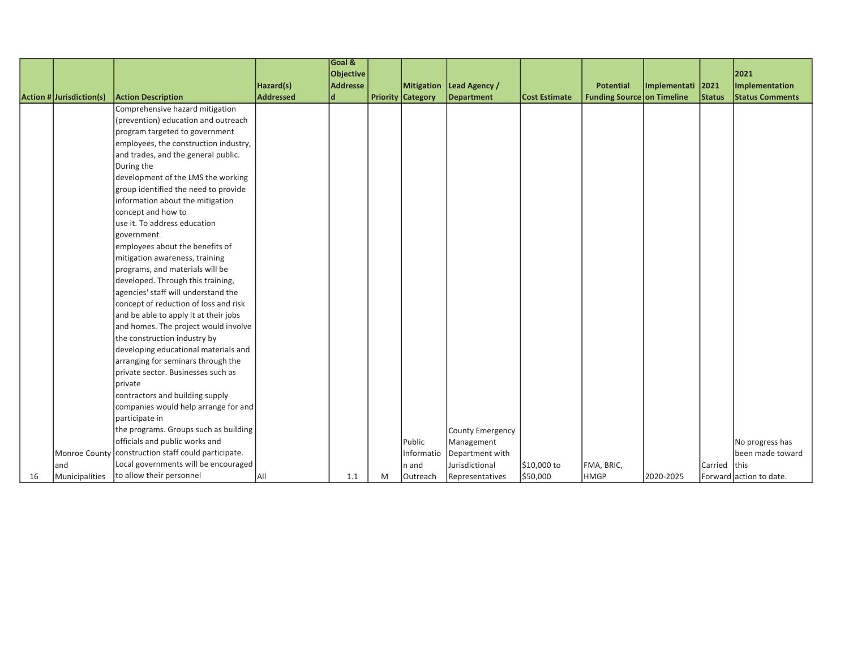|    |                          |                                                       |           | Goal &    |   |                          |                            |                      |                                   |                   |               |                         |
|----|--------------------------|-------------------------------------------------------|-----------|-----------|---|--------------------------|----------------------------|----------------------|-----------------------------------|-------------------|---------------|-------------------------|
|    |                          |                                                       |           | Objective |   |                          |                            |                      |                                   |                   |               | 2021                    |
|    |                          |                                                       | Hazard(s) | Addresse  |   |                          | Mitigation   Lead Agency / |                      | <b>Potential</b>                  | Implementati 2021 |               | Implementation          |
|    | Action # Jurisdiction(s) | <b>Action Description</b>                             | Addressed | d         |   | <b>Priority Category</b> | <b>Department</b>          | <b>Cost Estimate</b> | <b>Funding Source on Timeline</b> |                   | <b>Status</b> | <b>Status Comments</b>  |
|    |                          | Comprehensive hazard mitigation                       |           |           |   |                          |                            |                      |                                   |                   |               |                         |
|    |                          | (prevention) education and outreach                   |           |           |   |                          |                            |                      |                                   |                   |               |                         |
|    |                          | program targeted to government                        |           |           |   |                          |                            |                      |                                   |                   |               |                         |
|    |                          | employees, the construction industry,                 |           |           |   |                          |                            |                      |                                   |                   |               |                         |
|    |                          | and trades, and the general public.                   |           |           |   |                          |                            |                      |                                   |                   |               |                         |
|    |                          | During the                                            |           |           |   |                          |                            |                      |                                   |                   |               |                         |
|    |                          | development of the LMS the working                    |           |           |   |                          |                            |                      |                                   |                   |               |                         |
|    |                          | group identified the need to provide                  |           |           |   |                          |                            |                      |                                   |                   |               |                         |
|    |                          | information about the mitigation                      |           |           |   |                          |                            |                      |                                   |                   |               |                         |
|    |                          | concept and how to                                    |           |           |   |                          |                            |                      |                                   |                   |               |                         |
|    |                          | use it. To address education                          |           |           |   |                          |                            |                      |                                   |                   |               |                         |
|    |                          | government                                            |           |           |   |                          |                            |                      |                                   |                   |               |                         |
|    |                          | employees about the benefits of                       |           |           |   |                          |                            |                      |                                   |                   |               |                         |
|    |                          | mitigation awareness, training                        |           |           |   |                          |                            |                      |                                   |                   |               |                         |
|    |                          | programs, and materials will be                       |           |           |   |                          |                            |                      |                                   |                   |               |                         |
|    |                          | developed. Through this training,                     |           |           |   |                          |                            |                      |                                   |                   |               |                         |
|    |                          | agencies' staff will understand the                   |           |           |   |                          |                            |                      |                                   |                   |               |                         |
|    |                          | concept of reduction of loss and risk                 |           |           |   |                          |                            |                      |                                   |                   |               |                         |
|    |                          | and be able to apply it at their jobs                 |           |           |   |                          |                            |                      |                                   |                   |               |                         |
|    |                          | and homes. The project would involve                  |           |           |   |                          |                            |                      |                                   |                   |               |                         |
|    |                          | the construction industry by                          |           |           |   |                          |                            |                      |                                   |                   |               |                         |
|    |                          | developing educational materials and                  |           |           |   |                          |                            |                      |                                   |                   |               |                         |
|    |                          | arranging for seminars through the                    |           |           |   |                          |                            |                      |                                   |                   |               |                         |
|    |                          | private sector. Businesses such as                    |           |           |   |                          |                            |                      |                                   |                   |               |                         |
|    |                          | Iprivate                                              |           |           |   |                          |                            |                      |                                   |                   |               |                         |
|    |                          | contractors and building supply                       |           |           |   |                          |                            |                      |                                   |                   |               |                         |
|    |                          | companies would help arrange for and                  |           |           |   |                          |                            |                      |                                   |                   |               |                         |
|    |                          | participate in                                        |           |           |   |                          |                            |                      |                                   |                   |               |                         |
|    |                          | the programs. Groups such as building                 |           |           |   |                          | County Emergency           |                      |                                   |                   |               |                         |
|    |                          | officials and public works and                        |           |           |   | Public                   | Management                 |                      |                                   |                   |               | No progress has         |
|    |                          | Monroe County   construction staff could participate. |           |           |   | Informatio               | Department with            |                      |                                   |                   |               | been made toward        |
|    | and                      | Local governments will be encouraged                  |           |           |   | n and                    | Jurisdictional             | \$10,000 to          | FMA, BRIC,                        |                   | Carried this  |                         |
| 16 | Municipalities           | to allow their personnel                              | IAII      | 1.1       | M | <b>Outreach</b>          | Representatives            | \$50,000             | <b>HMGP</b>                       | 2020-2025         |               | Forward action to date. |

to attend the programs of the programs  $\mathcal{L}_\text{c}$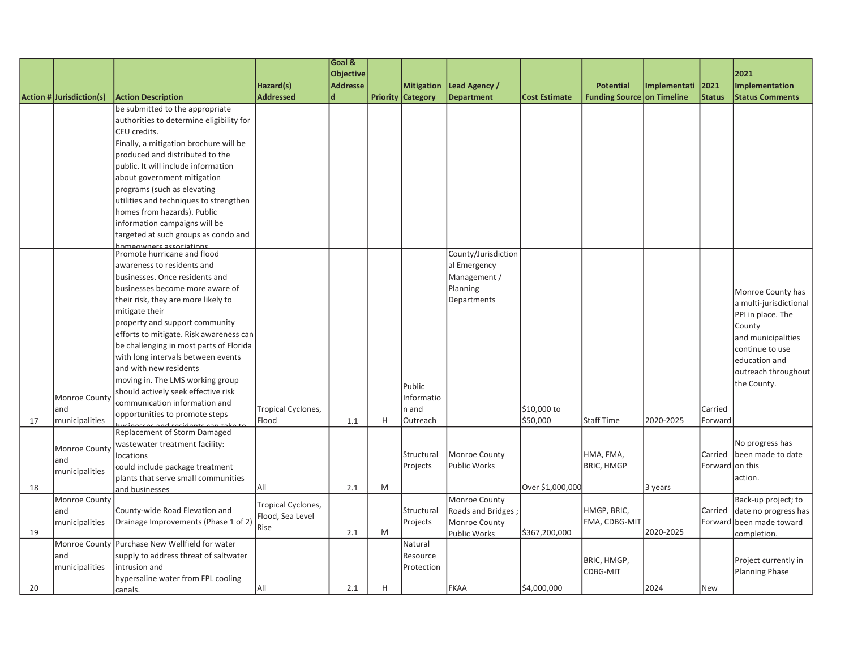|    |                          |                                          |                    | Goal &           |   |                          |                     |                      |                                   |              |                 |                                                  |
|----|--------------------------|------------------------------------------|--------------------|------------------|---|--------------------------|---------------------|----------------------|-----------------------------------|--------------|-----------------|--------------------------------------------------|
|    |                          |                                          |                    | <b>Objective</b> |   |                          |                     |                      |                                   |              |                 | 2021                                             |
|    |                          |                                          | Hazard(s)          | <b>Addresse</b>  |   | <b>Mitigation</b>        | Lead Agency /       |                      | <b>Potential</b>                  | Implementati | 2021            | Implementation                                   |
|    | Action # Jurisdiction(s) | <b>Action Description</b>                | <b>Addressed</b>   | d                |   | <b>Priority Category</b> | <b>Department</b>   | <b>Cost Estimate</b> | <b>Funding Source on Timeline</b> |              | <b>Status</b>   | <b>Status Comments</b>                           |
|    |                          | be submitted to the appropriate          |                    |                  |   |                          |                     |                      |                                   |              |                 |                                                  |
|    |                          | authorities to determine eligibility for |                    |                  |   |                          |                     |                      |                                   |              |                 |                                                  |
|    |                          | CEU credits.                             |                    |                  |   |                          |                     |                      |                                   |              |                 |                                                  |
|    |                          | Finally, a mitigation brochure will be   |                    |                  |   |                          |                     |                      |                                   |              |                 |                                                  |
|    |                          | produced and distributed to the          |                    |                  |   |                          |                     |                      |                                   |              |                 |                                                  |
|    |                          | public. It will include information      |                    |                  |   |                          |                     |                      |                                   |              |                 |                                                  |
|    |                          | about government mitigation              |                    |                  |   |                          |                     |                      |                                   |              |                 |                                                  |
|    |                          | programs (such as elevating              |                    |                  |   |                          |                     |                      |                                   |              |                 |                                                  |
|    |                          | utilities and techniques to strengthen   |                    |                  |   |                          |                     |                      |                                   |              |                 |                                                  |
|    |                          | homes from hazards). Public              |                    |                  |   |                          |                     |                      |                                   |              |                 |                                                  |
|    |                          | information campaigns will be            |                    |                  |   |                          |                     |                      |                                   |              |                 |                                                  |
|    |                          | targeted at such groups as condo and     |                    |                  |   |                          |                     |                      |                                   |              |                 |                                                  |
|    |                          | homeowners associations                  |                    |                  |   |                          |                     |                      |                                   |              |                 |                                                  |
|    |                          | Promote hurricane and flood              |                    |                  |   |                          | County/Jurisdiction |                      |                                   |              |                 |                                                  |
|    |                          | awareness to residents and               |                    |                  |   |                          | al Emergency        |                      |                                   |              |                 |                                                  |
|    |                          | businesses. Once residents and           |                    |                  |   |                          | Management /        |                      |                                   |              |                 |                                                  |
|    |                          | businesses become more aware of          |                    |                  |   |                          | Planning            |                      |                                   |              |                 | Monroe County has                                |
|    |                          | their risk, they are more likely to      |                    |                  |   |                          | Departments         |                      |                                   |              |                 | a multi-jurisdictional                           |
|    |                          | mitigate their                           |                    |                  |   |                          |                     |                      |                                   |              |                 | PPI in place. The                                |
|    |                          | property and support community           |                    |                  |   |                          |                     |                      |                                   |              |                 | County                                           |
|    |                          | efforts to mitigate. Risk awareness can  |                    |                  |   |                          |                     |                      |                                   |              |                 | and municipalities                               |
|    |                          | be challenging in most parts of Florida  |                    |                  |   |                          |                     |                      |                                   |              |                 | continue to use                                  |
|    |                          | with long intervals between events       |                    |                  |   |                          |                     |                      |                                   |              |                 | education and                                    |
|    |                          | and with new residents                   |                    |                  |   |                          |                     |                      |                                   |              |                 | outreach throughout                              |
|    |                          | moving in. The LMS working group         |                    |                  |   |                          |                     |                      |                                   |              |                 | the County.                                      |
|    |                          | should actively seek effective risk      |                    |                  |   | Public                   |                     |                      |                                   |              |                 |                                                  |
|    | Monroe Count             | communication information and            |                    |                  |   | Informatio               |                     |                      |                                   |              |                 |                                                  |
|    | and                      | opportunities to promote steps           | Tropical Cyclones, |                  |   | n and                    |                     | \$10,000 to          |                                   |              | Carried         |                                                  |
| 17 | municipalities           | ingecas and rasidants can take t         | Flood              | 1.1              | H | Outreach                 |                     | \$50,000             | <b>Staff Time</b>                 | 2020-2025    | Forward         |                                                  |
|    |                          | Replacement of Storm Damaged             |                    |                  |   |                          |                     |                      |                                   |              |                 |                                                  |
|    | Monroe County            | wastewater treatment facility:           |                    |                  |   |                          |                     |                      |                                   |              |                 | No progress has                                  |
|    | and                      | locations                                |                    |                  |   | Structural               | Monroe County       |                      | HMA, FMA,                         |              | Carried         | lbeen made to date                               |
|    | municipalities           | could include package treatment          |                    |                  |   | Projects                 | <b>Public Works</b> |                      | <b>BRIC, HMGP</b>                 |              | Forward on this |                                                  |
| 18 |                          | plants that serve small communities      | All                | 2.1              | M |                          |                     | Over \$1,000,000     |                                   |              |                 | action.                                          |
|    | Monroe County            | and businesses                           |                    |                  |   |                          |                     |                      |                                   | 3 years      |                 |                                                  |
|    |                          | County-wide Road Elevation and           | Tropical Cyclones, |                  |   |                          | Monroe County       |                      | HMGP, BRIC,                       |              |                 | Back-up project; to                              |
|    | and                      |                                          | Flood, Sea Level   |                  |   | Structural               | Roads and Bridges;  |                      | FMA, CDBG-MIT                     |              | Carried         | date no progress has<br>Forward been made toward |
| 19 | municipalities           | Drainage Improvements (Phase 1 of 2)     | Rise               | 2.1              | M | Projects                 | Monroe County       | \$367,200,000        |                                   | 2020-2025    |                 |                                                  |
|    | Monroe County            | Purchase New Wellfield for water         |                    |                  |   | Natural                  | <b>Public Works</b> |                      |                                   |              |                 | completion.                                      |
|    | and                      |                                          |                    |                  |   | Resource                 |                     |                      |                                   |              |                 |                                                  |
|    |                          | supply to address threat of saltwater    |                    |                  |   |                          |                     |                      | BRIC, HMGP,                       |              |                 | Project currently in                             |
|    | municipalities           | intrusion and                            |                    |                  |   | Protection               |                     |                      | CDBG-MIT                          |              |                 | Planning Phase                                   |
| 20 |                          | hypersaline water from FPL cooling       | All                | 2.1              | H |                          | FKAA                | \$4,000,000          |                                   | 2024         | New             |                                                  |
|    |                          | canals.                                  |                    |                  |   |                          |                     |                      |                                   |              |                 |                                                  |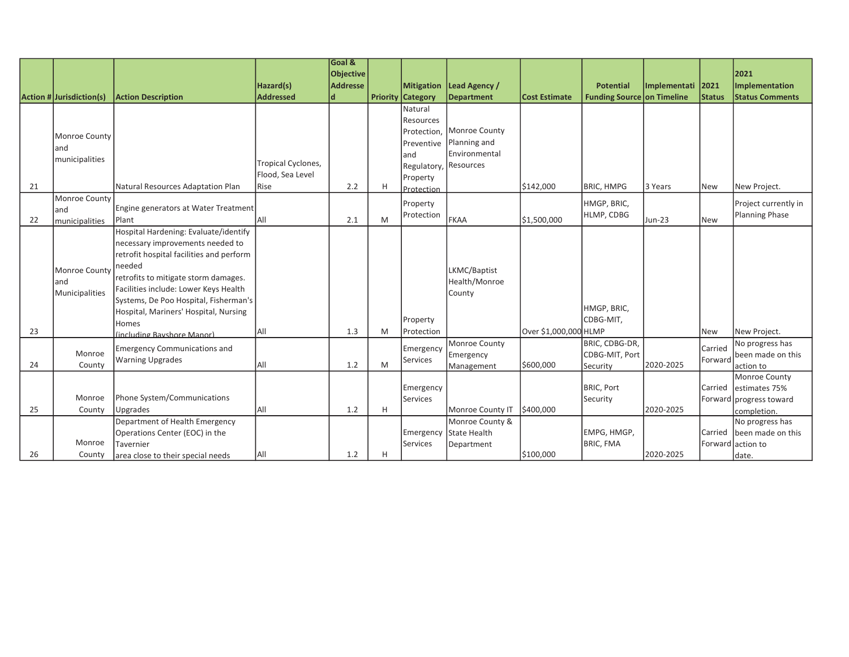|    |                          |                                          |                               | Goal &           |   |                                               |                             |                       |                            |               |                       |                                          |
|----|--------------------------|------------------------------------------|-------------------------------|------------------|---|-----------------------------------------------|-----------------------------|-----------------------|----------------------------|---------------|-----------------------|------------------------------------------|
|    |                          |                                          |                               | <b>Objective</b> |   |                                               |                             |                       |                            |               |                       | 2021                                     |
|    |                          |                                          | Hazard(s)<br><b>Addressed</b> | <b>Addresse</b>  |   | <b>Mitigation</b><br><b>Priority Category</b> | Lead Agency /<br>Department | <b>Cost Estimate</b>  | <b>Potential</b>           | Implementati  | 2021<br><b>Status</b> | Implementation<br><b>Status Comments</b> |
|    | Action # Jurisdiction(s) | <b>Action Description</b>                |                               | d                |   | Natural                                       |                             |                       | Funding Source on Timeline |               |                       |                                          |
|    |                          |                                          |                               |                  |   |                                               |                             |                       |                            |               |                       |                                          |
|    |                          |                                          |                               |                  |   | <b>Resources</b>                              | Monroe County               |                       |                            |               |                       |                                          |
|    | Monroe County            |                                          |                               |                  |   | Protection,                                   | Planning and                |                       |                            |               |                       |                                          |
|    | land                     |                                          |                               |                  |   | <b>IPreventive</b><br>land                    | <b>IEnvironmental</b>       |                       |                            |               |                       |                                          |
|    | municipalities           |                                          | Tropical Cyclones,            |                  |   |                                               | Resources                   |                       |                            |               |                       |                                          |
|    |                          |                                          | Flood, Sea Level              |                  |   | Regulatory,                                   |                             |                       |                            |               |                       |                                          |
| 21 |                          | Natural Resources Adaptation Plan        | Rise                          | 2.2              | H | Property<br>Protection                        |                             | \$142,000             | <b>BRIC, HMPG</b>          | 3 Years       | <b>New</b>            | New Project.                             |
|    | Monroe County            |                                          |                               |                  |   |                                               |                             |                       |                            |               |                       |                                          |
|    | and                      | Engine generators at Water Treatment     |                               |                  |   | Property                                      |                             |                       | HMGP, BRIC,                |               |                       | Project currently in                     |
| 22 | municipalities           | Plant                                    | All                           | 2.1              | M | Protection                                    | Іғкаа                       | \$1,500,000           | HLMP, CDBG                 | <b>Jun-23</b> | <b>New</b>            | Planning Phase                           |
|    |                          | Hospital Hardening: Evaluate/identify    |                               |                  |   |                                               |                             |                       |                            |               |                       |                                          |
|    |                          | necessary improvements needed to         |                               |                  |   |                                               |                             |                       |                            |               |                       |                                          |
|    |                          | retrofit hospital facilities and perform |                               |                  |   |                                               |                             |                       |                            |               |                       |                                          |
|    | Monroe County            | needed                                   |                               |                  |   |                                               | LKMC/Baptist                |                       |                            |               |                       |                                          |
|    | and                      | retrofits to mitigate storm damages.     |                               |                  |   |                                               | Health/Monroe               |                       |                            |               |                       |                                          |
|    | Municipalities           | Facilities include: Lower Keys Health    |                               |                  |   |                                               | County                      |                       |                            |               |                       |                                          |
|    |                          | Systems, De Poo Hospital, Fisherman's    |                               |                  |   |                                               |                             |                       |                            |               |                       |                                          |
|    |                          | Hospital, Mariners' Hospital, Nursing    |                               |                  |   |                                               |                             |                       | HMGP, BRIC,                |               |                       |                                          |
|    |                          | Homes                                    |                               |                  |   | Property                                      |                             |                       | CDBG-MIT,                  |               |                       |                                          |
| 23 |                          | (including Bayshore Manor)               | <b>AII</b>                    | 1.3              | M | Protection                                    |                             | Over \$1,000,000 HLMP |                            |               | <b>New</b>            | New Project.                             |
|    | Monroe                   | <b>Emergency Communications and</b>      |                               |                  |   | Emergency                                     | Monroe County               |                       | BRIC, CDBG-DR,             |               | Carried               | No progress has                          |
|    |                          | <b>Warning Upgrades</b>                  | <b>AII</b>                    | 1.2              | M | Services                                      | Emergency                   |                       | CDBG-MIT, Port             | 2020-2025     | Forward               | been made on this                        |
| 24 | County                   |                                          |                               |                  |   |                                               | Management                  | \$600,000             | Security                   |               |                       | action to                                |
|    |                          |                                          |                               |                  |   |                                               |                             |                       | <b>BRIC, Port</b>          |               | Carried               | Monroe County<br>estimates 75%           |
|    | Monroe                   | Phone System/Communications              |                               |                  |   | Emergency<br><b>Services</b>                  |                             |                       | Security                   |               |                       | Forward progress toward                  |
| 25 | County                   | Upgrades                                 | All                           | 1.2              | H |                                               | Monroe County IT            | \$400,000             |                            | 2020-2025     |                       | completion.                              |
|    |                          | Department of Health Emergency           |                               |                  |   |                                               | Monroe County &             |                       |                            |               |                       | No progress has                          |
|    |                          | Operations Center (EOC) in the           |                               |                  |   | Emergency                                     | State Health                |                       | EMPG, HMGP,                |               | Carried               | been made on this                        |
|    | Monroe                   | Tavernier                                |                               |                  |   | <b>Services</b>                               | Department                  |                       | <b>BRIC, FMA</b>           |               | Forward               | laction to                               |
| 26 | County                   | area close to their special needs        | All                           | 1.2              | н |                                               |                             | \$100,000             |                            | 2020-2025     |                       | date.                                    |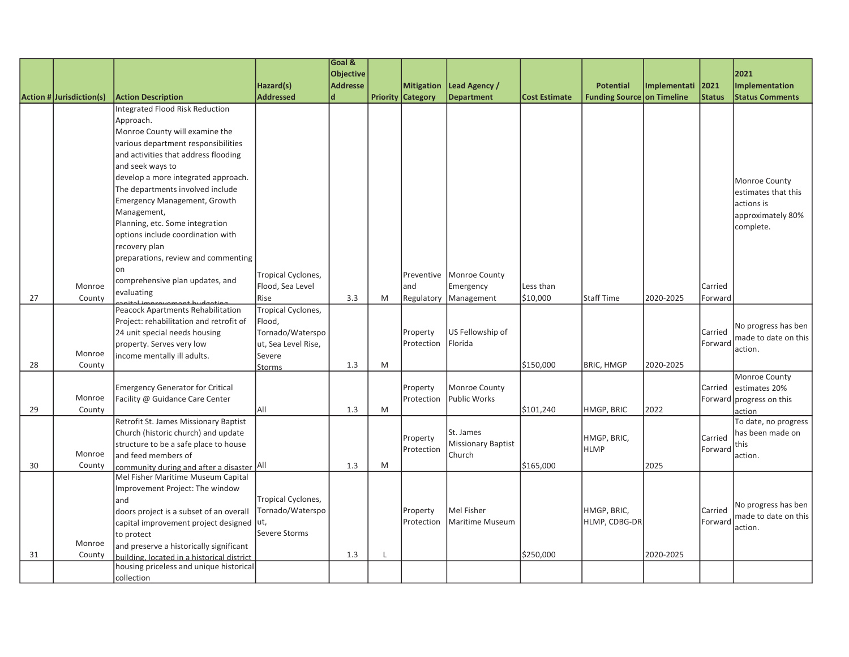|    |                          |                                                       |                     | Goal &           |   |                          |                            |                      |                                   |              |               |                          |
|----|--------------------------|-------------------------------------------------------|---------------------|------------------|---|--------------------------|----------------------------|----------------------|-----------------------------------|--------------|---------------|--------------------------|
|    |                          |                                                       |                     | <b>Objective</b> |   |                          |                            |                      |                                   |              |               | 2021                     |
|    |                          |                                                       | Hazard(s)           | <b>Addresse</b>  |   | <b>Mitigation</b>        | Lead Agency /              |                      | <b>Potential</b>                  | Implementati | 2021          | Implementation           |
|    | Action # Jurisdiction(s) | <b>Action Description</b>                             | <b>Addressed</b>    | $\mathsf{d}$     |   | <b>Priority Category</b> | <b>Department</b>          | <b>Cost Estimate</b> | <b>Funding Source on Timeline</b> |              | <b>Status</b> | <b>Status Comments</b>   |
|    |                          | Integrated Flood Risk Reduction                       |                     |                  |   |                          |                            |                      |                                   |              |               |                          |
|    |                          | Approach.                                             |                     |                  |   |                          |                            |                      |                                   |              |               |                          |
|    |                          | Monroe County will examine the                        |                     |                  |   |                          |                            |                      |                                   |              |               |                          |
|    |                          | various department responsibilities                   |                     |                  |   |                          |                            |                      |                                   |              |               |                          |
|    |                          | and activities that address flooding                  |                     |                  |   |                          |                            |                      |                                   |              |               |                          |
|    |                          | and seek ways to                                      |                     |                  |   |                          |                            |                      |                                   |              |               |                          |
|    |                          | develop a more integrated approach.                   |                     |                  |   |                          |                            |                      |                                   |              |               | Monroe County            |
|    |                          | The departments involved include                      |                     |                  |   |                          |                            |                      |                                   |              |               | estimates that this      |
|    |                          | Emergency Management, Growth                          |                     |                  |   |                          |                            |                      |                                   |              |               | actions is               |
|    |                          | Management,                                           |                     |                  |   |                          |                            |                      |                                   |              |               | approximately 80%        |
|    |                          | Planning, etc. Some integration                       |                     |                  |   |                          |                            |                      |                                   |              |               | complete.                |
|    |                          | options include coordination with                     |                     |                  |   |                          |                            |                      |                                   |              |               |                          |
|    |                          | recovery plan                                         |                     |                  |   |                          |                            |                      |                                   |              |               |                          |
|    |                          | preparations, review and commenting                   |                     |                  |   |                          |                            |                      |                                   |              |               |                          |
|    |                          | lon                                                   | Tropical Cyclones,  |                  |   |                          | Preventive   Monroe County |                      |                                   |              |               |                          |
|    | Monroe                   | comprehensive plan updates, and                       | Flood, Sea Level    |                  |   | and                      | Emergency                  | Less than            |                                   |              | Carried       |                          |
| 27 | County                   | evaluating                                            | Rise                | 3.3              | M | Regulatory               | Management                 | \$10,000             | <b>Staff Time</b>                 | 2020-2025    | Forward       |                          |
|    |                          | <b>Peacock Apartments Rehabilitation</b>              | Tropical Cyclones,  |                  |   |                          |                            |                      |                                   |              |               |                          |
|    |                          | Project: rehabilitation and retrofit of               | Flood,              |                  |   |                          |                            |                      |                                   |              |               |                          |
|    |                          | 24 unit special needs housing                         | Tornado/Waterspo    |                  |   | Property                 | US Fellowship of           |                      |                                   |              | Carried       | No progress has ben      |
|    |                          | property. Serves very low                             | ut, Sea Level Rise, |                  |   | Protection               | Florida                    |                      |                                   |              | Forward       | made to date on this     |
|    | Monroe                   | income mentally ill adults.                           | Severe              |                  |   |                          |                            |                      |                                   |              |               | action.                  |
| 28 | County                   |                                                       | <b>Storms</b>       | 1.3              | M |                          |                            | \$150,000            | <b>BRIC, HMGP</b>                 | 2020-2025    |               |                          |
|    |                          |                                                       |                     |                  |   |                          |                            |                      |                                   |              |               | Monroe County            |
|    |                          | <b>Emergency Generator for Critical</b>               |                     |                  |   | Property                 | Monroe County              |                      |                                   |              | Carried       | estimates 20%            |
|    | Monroe                   | Facility @ Guidance Care Center                       |                     |                  |   | Protection               | Public Works               |                      |                                   |              |               | Forward progress on this |
| 29 | County                   |                                                       | All                 | 1.3              | M |                          |                            | \$101,240            | HMGP, BRIC                        | 2022         |               | action                   |
|    |                          | Retrofit St. James Missionary Baptist                 |                     |                  |   |                          |                            |                      |                                   |              |               | To date, no progress     |
|    |                          | Church (historic church) and update                   |                     |                  |   | Property                 | St. James                  |                      | HMGP, BRIC,                       |              | Carried       | has been made on         |
|    |                          | structure to be a safe place to house                 |                     |                  |   | Protection               | <b>Missionary Baptist</b>  |                      | <b>HLMP</b>                       |              | Forward       | this                     |
|    | Monroe                   | and feed members of                                   |                     |                  |   |                          | Church                     |                      |                                   |              |               | action.                  |
| 30 | County                   | community during and after a disaster All             |                     | 1.3              | M |                          |                            | \$165,000            |                                   | 2025         |               |                          |
|    |                          | Mel Fisher Maritime Museum Capital                    |                     |                  |   |                          |                            |                      |                                   |              |               |                          |
|    |                          | Improvement Project: The window                       | Tropical Cyclones,  |                  |   |                          |                            |                      |                                   |              |               |                          |
|    |                          | land                                                  | Tornado/Waterspo    |                  |   | Property                 | Mel Fisher                 |                      | HMGP, BRIC,                       |              | Carried       | No progress has ben      |
|    |                          | doors project is a subset of an overall               |                     |                  |   | Protection               | Maritime Museum            |                      | HLMP, CDBG-DR                     |              | Forward       | made to date on this     |
|    |                          | capital improvement project designed ut,              | Severe Storms       |                  |   |                          |                            |                      |                                   |              |               | action.                  |
|    | Monroe                   | to protect<br>and preserve a historically significant |                     |                  |   |                          |                            |                      |                                   |              |               |                          |
| 31 | County                   | building. located in a historical district            |                     | 1.3              | L |                          |                            | \$250,000            |                                   | 2020-2025    |               |                          |
|    |                          | housing priceless and unique historical               |                     |                  |   |                          |                            |                      |                                   |              |               |                          |
|    |                          | collection                                            |                     |                  |   |                          |                            |                      |                                   |              |               |                          |
|    |                          |                                                       |                     |                  |   |                          |                            |                      |                                   |              |               |                          |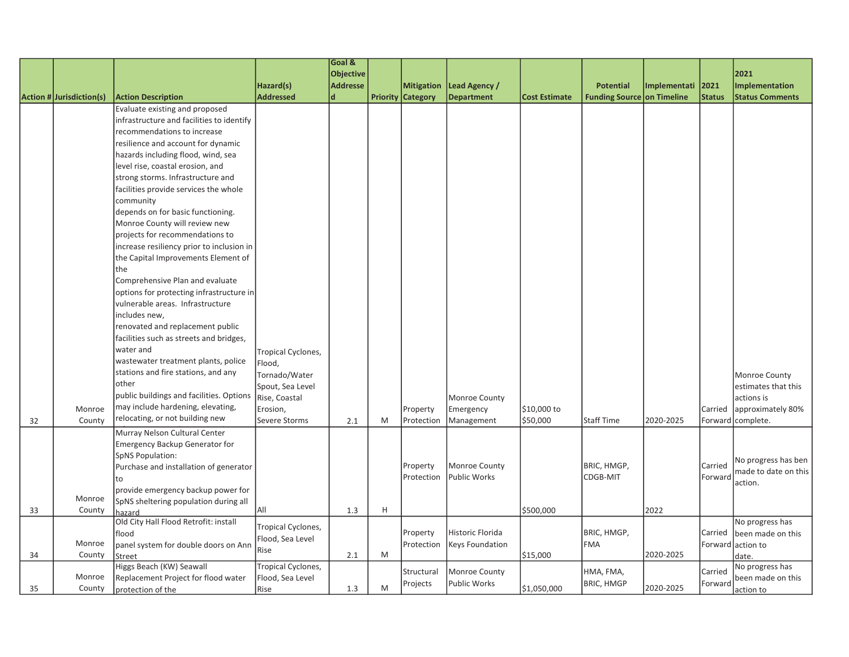|    |                          |                                           |                    | Goal &           |   |                          |                     |                      |                                   |                   |               |                        |
|----|--------------------------|-------------------------------------------|--------------------|------------------|---|--------------------------|---------------------|----------------------|-----------------------------------|-------------------|---------------|------------------------|
|    |                          |                                           |                    | <b>Objective</b> |   |                          |                     |                      |                                   |                   |               | 2021                   |
|    |                          |                                           | Hazard(s)          | <b>Addresse</b>  |   | <b>Mitigation</b>        | Lead Agency /       |                      | <b>Potential</b>                  | Implementati 2021 |               | <b>Implementation</b>  |
|    | Action # Jurisdiction(s) | <b>Action Description</b>                 | <b>Addressed</b>   | ld.              |   | <b>Priority Category</b> | <b>Department</b>   | <b>Cost Estimate</b> | <b>Funding Source on Timeline</b> |                   | <b>Status</b> | <b>Status Comments</b> |
|    |                          | Evaluate existing and proposed            |                    |                  |   |                          |                     |                      |                                   |                   |               |                        |
|    |                          | infrastructure and facilities to identify |                    |                  |   |                          |                     |                      |                                   |                   |               |                        |
|    |                          | recommendations to increase               |                    |                  |   |                          |                     |                      |                                   |                   |               |                        |
|    |                          | resilience and account for dynamic        |                    |                  |   |                          |                     |                      |                                   |                   |               |                        |
|    |                          | hazards including flood, wind, sea        |                    |                  |   |                          |                     |                      |                                   |                   |               |                        |
|    |                          | level rise, coastal erosion, and          |                    |                  |   |                          |                     |                      |                                   |                   |               |                        |
|    |                          | strong storms. Infrastructure and         |                    |                  |   |                          |                     |                      |                                   |                   |               |                        |
|    |                          | facilities provide services the whole     |                    |                  |   |                          |                     |                      |                                   |                   |               |                        |
|    |                          | community                                 |                    |                  |   |                          |                     |                      |                                   |                   |               |                        |
|    |                          | depends on for basic functioning.         |                    |                  |   |                          |                     |                      |                                   |                   |               |                        |
|    |                          | Monroe County will review new             |                    |                  |   |                          |                     |                      |                                   |                   |               |                        |
|    |                          | projects for recommendations to           |                    |                  |   |                          |                     |                      |                                   |                   |               |                        |
|    |                          | increase resiliency prior to inclusion in |                    |                  |   |                          |                     |                      |                                   |                   |               |                        |
|    |                          | the Capital Improvements Element of       |                    |                  |   |                          |                     |                      |                                   |                   |               |                        |
|    |                          | the                                       |                    |                  |   |                          |                     |                      |                                   |                   |               |                        |
|    |                          | Comprehensive Plan and evaluate           |                    |                  |   |                          |                     |                      |                                   |                   |               |                        |
|    |                          | options for protecting infrastructure in  |                    |                  |   |                          |                     |                      |                                   |                   |               |                        |
|    |                          | vulnerable areas. Infrastructure          |                    |                  |   |                          |                     |                      |                                   |                   |               |                        |
|    |                          | includes new,                             |                    |                  |   |                          |                     |                      |                                   |                   |               |                        |
|    |                          | renovated and replacement public          |                    |                  |   |                          |                     |                      |                                   |                   |               |                        |
|    |                          | facilities such as streets and bridges,   |                    |                  |   |                          |                     |                      |                                   |                   |               |                        |
|    |                          | water and                                 |                    |                  |   |                          |                     |                      |                                   |                   |               |                        |
|    |                          | wastewater treatment plants, police       | Tropical Cyclones, |                  |   |                          |                     |                      |                                   |                   |               |                        |
|    |                          | stations and fire stations, and any       | Flood,             |                  |   |                          |                     |                      |                                   |                   |               |                        |
|    |                          | other                                     | Tornado/Water      |                  |   |                          |                     |                      |                                   |                   |               | Monroe County          |
|    |                          | public buildings and facilities. Options  | Spout, Sea Level   |                  |   |                          |                     |                      |                                   |                   |               | estimates that this    |
|    |                          | may include hardening, elevating,         | Rise, Coastal      |                  |   |                          | Monroe County       |                      |                                   |                   |               | actions is             |
|    | Monroe                   |                                           | Erosion,           |                  |   | Property                 | Emergency           | \$10,000 to          |                                   |                   | Carried       | approximately 80%      |
| 32 | County                   | relocating, or not building new           | Severe Storms      | 2.1              | M | Protection               | Management          | \$50,000             | <b>Staff Time</b>                 | 2020-2025         |               | Forward complete.      |
|    |                          | Murray Nelson Cultural Center             |                    |                  |   |                          |                     |                      |                                   |                   |               |                        |
|    |                          | <b>Emergency Backup Generator for</b>     |                    |                  |   |                          |                     |                      |                                   |                   |               |                        |
|    |                          | <b>SpNS Population:</b>                   |                    |                  |   |                          |                     |                      |                                   |                   |               | No progress has ben    |
|    |                          | Purchase and installation of generator    |                    |                  |   | Property                 | Monroe County       |                      | BRIC, HMGP,                       |                   | Carried       | made to date on this   |
|    |                          | to                                        |                    |                  |   | Protection               | <b>Public Works</b> |                      | CDGB-MIT                          |                   | Forward       | action.                |
|    |                          | provide emergency backup power for        |                    |                  |   |                          |                     |                      |                                   |                   |               |                        |
|    | Monroe                   | SpNS sheltering population during all     |                    |                  |   |                          |                     |                      |                                   |                   |               |                        |
| 33 | County                   | hazard                                    | All                | 1.3              | H |                          |                     | \$500,000            |                                   | 2022              |               |                        |
|    |                          | Old City Hall Flood Retrofit: install     | Tropical Cyclones, |                  |   |                          |                     |                      |                                   |                   |               | No progress has        |
|    |                          | flood                                     | Flood, Sea Level   |                  |   | Property                 | Historic Florida    |                      | BRIC, HMGP,                       |                   | Carried       | been made on this      |
|    | Monroe                   | panel system for double doors on Ann      | Rise               |                  | M | Protection               | Keys Foundation     |                      | <b>FMA</b>                        | 2020-2025         |               | Forward action to      |
| 34 | County                   | Street                                    |                    | 2.1              |   |                          |                     | \$15,000             |                                   |                   |               | date.                  |
|    | Monroe                   | Higgs Beach (KW) Seawall                  | Tropical Cyclones, |                  |   | Structural               | Monroe County       |                      | HMA, FMA,                         |                   | Carried       | No progress has        |
|    |                          | Replacement Project for flood water       | Flood, Sea Level   |                  | M | Projects                 | <b>Public Works</b> |                      | <b>BRIC, HMGP</b>                 | 2020-2025         | Forward       | been made on this      |
| 35 | County                   | protection of the                         | Rise               | 1.3              |   |                          |                     | \$1,050,000          |                                   |                   |               | action to              |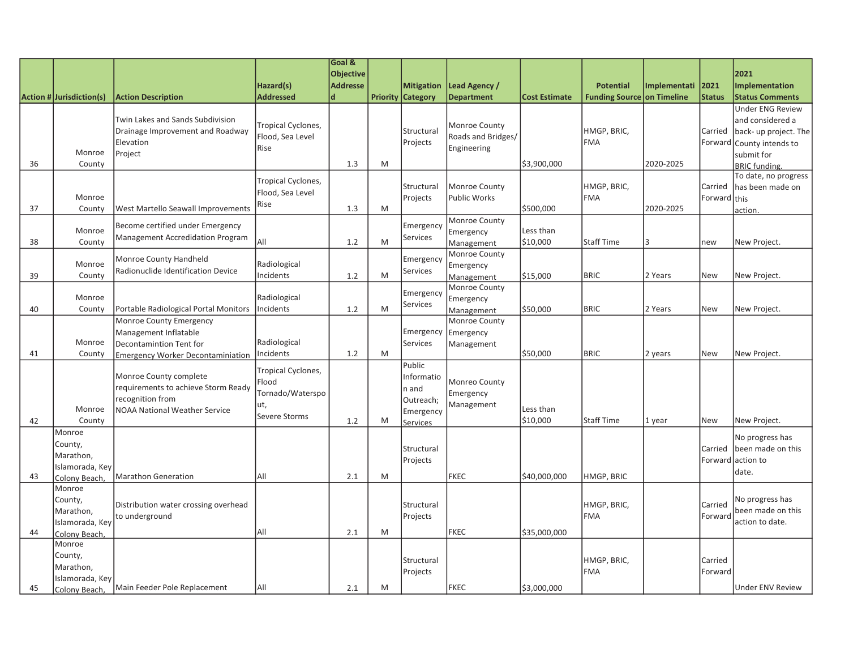|    |                                                                    |                                                                                                                           |                                                                         | Goal &<br><b>Objective</b> |   |                                                                     |                                                    |                       |                                   |              |                         | 2021                                                                                 |
|----|--------------------------------------------------------------------|---------------------------------------------------------------------------------------------------------------------------|-------------------------------------------------------------------------|----------------------------|---|---------------------------------------------------------------------|----------------------------------------------------|-----------------------|-----------------------------------|--------------|-------------------------|--------------------------------------------------------------------------------------|
|    |                                                                    |                                                                                                                           | Hazard(s)                                                               | <b>Addresse</b>            |   | <b>Mitigation</b>                                                   | Lead Agency /                                      |                       | <b>Potential</b>                  | Implementati | 2021                    | Implementation                                                                       |
|    | Action # Jurisdiction(s)                                           | <b>Action Description</b>                                                                                                 | <b>Addressed</b>                                                        | d                          |   | <b>Priority Category</b>                                            | <b>Department</b>                                  | <b>Cost Estimate</b>  | <b>Funding Source on Timeline</b> |              | <b>Status</b>           | <b>Status Comments</b><br><b>Under ENG Review</b>                                    |
|    | Monroe                                                             | Twin Lakes and Sands Subdivision<br>Drainage Improvement and Roadway<br>Elevation<br>Project                              | Tropical Cyclones,<br>Flood, Sea Level<br>Rise                          |                            |   | Structural<br>Projects                                              | Monroe County<br>Roads and Bridges/<br>Engineering |                       | HMGP, BRIC,<br><b>FMA</b>         |              | Carried                 | and considered a<br>back- up project. The<br>Forward County intends to<br>submit for |
| 36 | County                                                             |                                                                                                                           |                                                                         | 1.3                        | M |                                                                     |                                                    | \$3,900,000           |                                   | 2020-2025    |                         | <b>BRIC</b> funding.                                                                 |
| 37 | Monroe<br>County                                                   | West Martello Seawall Improvements                                                                                        | Tropical Cyclones,<br>Flood, Sea Level<br>Rise                          | 1.3                        | M | Structural<br>Projects                                              | Monroe County<br>Public Works                      | \$500,000             | HMGP, BRIC,<br><b>FMA</b>         | 2020-2025    | Carried<br>Forward this | To date, no progress<br>has been made on<br>action.                                  |
| 38 | Monroe<br>County                                                   | Become certified under Emergency<br>Management Accredidation Program                                                      | All                                                                     | 1.2                        | M | Emergency<br><b>Services</b>                                        | Monroe County<br>Emergency<br>Management           | Less than<br>\$10,000 | <b>Staff Time</b>                 | $\mathbf{B}$ | new                     | New Project.                                                                         |
| 39 | Monroe<br>County                                                   | Monroe County Handheld<br>Radionuclide Identification Device                                                              | Radiological<br>Incidents                                               | 1.2                        | M | Emergency<br><b>Services</b>                                        | Monroe County<br>Emergency<br><b>Management</b>    | \$15,000              | <b>BRIC</b>                       | 2 Years      | New                     | New Project.                                                                         |
| 40 | Monroe<br>County                                                   | Portable Radiological Portal Monitors                                                                                     | Radiological<br>Incidents                                               | 1.2                        | M | Emergency<br>Services                                               | Monroe County<br>Emergency<br>Management           | \$50,000              | <b>BRIC</b>                       | 2 Years      | <b>New</b>              | New Project.                                                                         |
| 41 | Monroe<br>County                                                   | Monroe County Emergency<br>Management Inflatable<br>Decontamintion Tent for<br><b>Emergency Worker Decontaminiation</b>   | Radiological<br>Incidents                                               | 1.2                        | M | Emergency<br><b>Services</b>                                        | Monroe County<br>Emergency<br>Management           | \$50,000              | <b>BRIC</b>                       | 2 years      | <b>New</b>              | New Project.                                                                         |
| 42 | Monroe<br>County                                                   | Monroe County complete<br>requirements to achieve Storm Ready<br>recognition from<br><b>NOAA National Weather Service</b> | Tropical Cyclones,<br>Flood<br>Tornado/Waterspo<br>ut,<br>Severe Storms | 1.2                        | M | Public<br>Informatio<br>n and<br>Outreach;<br>Emergency<br>Services | Monreo County<br>Emergency<br>Management           | Less than<br>\$10,000 | <b>Staff Time</b>                 | 1 year       | <b>New</b>              | New Project.                                                                         |
| 43 | Monroe<br>County,<br>Marathon,<br>Islamorada, Key<br>Colony Beach  | Marathon Generation                                                                                                       | All                                                                     | 2.1                        | M | Structural<br>Projects                                              | <b>FKEC</b>                                        | \$40,000,000          | HMGP, BRIC                        |              | Carried<br>Forward      | No progress has<br>been made on this<br>action to<br>date.                           |
| 44 | Monroe<br>County,<br>Marathon,<br>Islamorada, Key<br>Colony Beach, | Distribution water crossing overhead<br>to underground                                                                    | All                                                                     | 2.1                        | M | Structural<br>Projects                                              | <b>FKEC</b>                                        | \$35,000,000          | HMGP, BRIC,<br><b>FMA</b>         |              | Carried<br>Forward      | No progress has<br>been made on this<br>action to date.                              |
| 45 | Monroe<br>County,<br>Marathon,<br>Islamorada, Key<br>Colony Beach, | Main Feeder Pole Replacement                                                                                              | All                                                                     | 2.1                        | M | Structural<br>Projects                                              | <b>FKEC</b>                                        | \$3,000,000           | HMGP, BRIC,<br><b>FMA</b>         |              | Carried<br>Forward      | Under ENV Review                                                                     |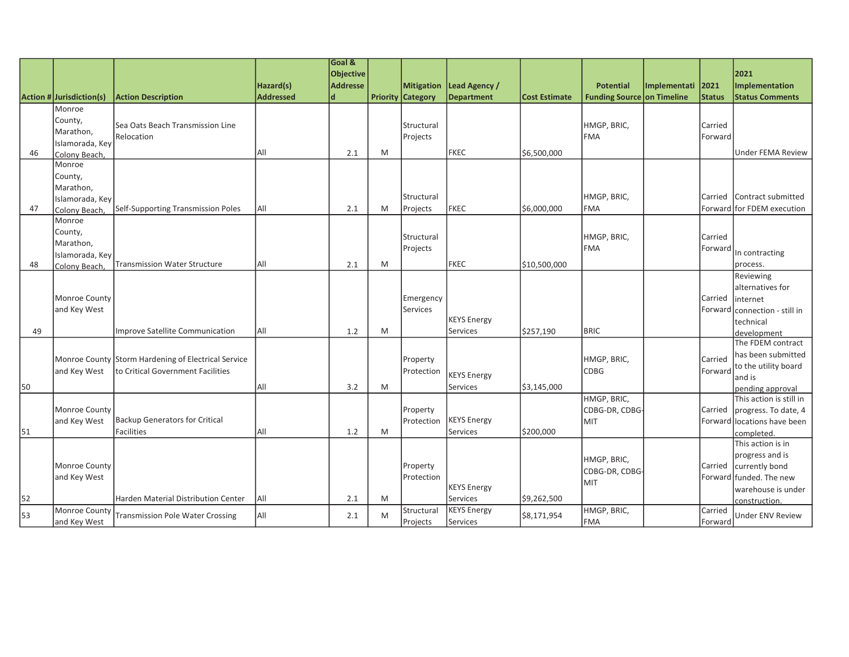|    |                          |                                                     |                  | Goal &           |   |                          |                    |                      |                                   |              |               |                            |
|----|--------------------------|-----------------------------------------------------|------------------|------------------|---|--------------------------|--------------------|----------------------|-----------------------------------|--------------|---------------|----------------------------|
|    |                          |                                                     |                  | <b>Objective</b> |   |                          |                    |                      |                                   |              |               | 2021                       |
|    |                          |                                                     | Hazard(s)        | <b>Addresse</b>  |   | Mitigation               | Lead Agency /      |                      | <b>Potential</b>                  | Implementati | 2021          | Implementation             |
|    | Action # Jurisdiction(s) | <b>Action Description</b>                           | <b>Addressed</b> | d                |   | <b>Priority Category</b> | <b>Department</b>  | <b>Cost Estimate</b> | <b>Funding Source on Timeline</b> |              | <b>Status</b> | <b>Status Comments</b>     |
|    | Monroe                   |                                                     |                  |                  |   |                          |                    |                      |                                   |              |               |                            |
|    | County,                  | Sea Oats Beach Transmission Line                    |                  |                  |   | Structural               |                    |                      | HMGP, BRIC,                       |              | Carried       |                            |
|    | Marathon,                | Relocation                                          |                  |                  |   | Projects                 |                    |                      | FMA                               |              | Forward       |                            |
|    | Islamorada, Key          |                                                     |                  |                  |   |                          |                    |                      |                                   |              |               |                            |
| 46 | Colony Beach,            |                                                     | All              | 2.1              | M |                          | FKEC               | \$6,500,000          |                                   |              |               | <b>Under FEMA Review</b>   |
|    | Monroe                   |                                                     |                  |                  |   |                          |                    |                      |                                   |              |               |                            |
|    | County,                  |                                                     |                  |                  |   |                          |                    |                      |                                   |              |               |                            |
|    | Marathon,                |                                                     |                  |                  |   |                          |                    |                      |                                   |              |               |                            |
|    | Islamorada, Key          |                                                     |                  |                  |   | Structural               |                    |                      | HMGP, BRIC,                       |              | Carried       | Contract submitted         |
| 47 | Colony Beach             | Self-Supporting Transmission Poles                  | All              | 2.1              | M | Projects                 | FKEC               | \$6,000,000          | <b>FMA</b>                        |              |               | Forward for FDEM execution |
|    | Monroe                   |                                                     |                  |                  |   |                          |                    |                      |                                   |              |               |                            |
|    | County,                  |                                                     |                  |                  |   | Structural               |                    |                      | HMGP, BRIC,                       |              | Carried       |                            |
|    | Marathon,                |                                                     |                  |                  |   | Projects                 |                    |                      | FMA                               |              | Forward       | In contracting             |
| 48 | Islamorada, Key          | <b>Transmission Water Structure</b>                 | All              | 2.1              | M |                          | <b>IFKEC</b>       | \$10,500,000         |                                   |              |               | process.                   |
|    | Colony Beach             |                                                     |                  |                  |   |                          |                    |                      |                                   |              |               | Reviewing                  |
|    |                          |                                                     |                  |                  |   |                          |                    |                      |                                   |              |               | alternatives for           |
|    | Monroe County            |                                                     |                  |                  |   | Emergency                |                    |                      |                                   |              | Carried       | internet                   |
|    | and Key West             |                                                     |                  |                  |   | Services                 |                    |                      |                                   |              | Forward       | connection - still in      |
|    |                          |                                                     |                  |                  |   |                          | <b>KEYS Energy</b> |                      |                                   |              |               | technical                  |
| 49 |                          | Improve Satellite Communication                     | All              | 1.2              | M |                          | <b>Services</b>    | \$257,190            | <b>BRIC</b>                       |              |               | development                |
|    |                          |                                                     |                  |                  |   |                          |                    |                      |                                   |              |               | The FDEM contract          |
|    |                          |                                                     |                  |                  |   |                          |                    |                      |                                   |              |               | has been submitted         |
|    |                          | Monroe County Storm Hardening of Electrical Service |                  |                  |   | Property                 |                    |                      | HMGP, BRIC,                       |              | Carried       | to the utility board       |
|    | and Key West             | to Critical Government Facilities                   |                  |                  |   | Protection               | <b>KEYS Energy</b> |                      | CDBG                              |              | Forward       | and is                     |
| 50 |                          |                                                     | All              | 3.2              | M |                          | <b>Services</b>    | \$3,145,000          |                                   |              |               | pending approval           |
|    |                          |                                                     |                  |                  |   |                          |                    |                      | HMGP, BRIC,                       |              |               | This action is still in    |
|    | Monroe County            |                                                     |                  |                  |   | Property                 |                    |                      | CDBG-DR, CDBG-                    |              | Carried       | progress. To date, 4       |
|    | and Key West             | <b>Backup Generators for Critical</b>               |                  |                  |   | Protection               | <b>KEYS Energy</b> |                      | MIT                               |              | Forward       | locations have been        |
| 51 |                          | <b>Facilities</b>                                   | All              | 1.2              | M |                          | Services           | \$200,000            |                                   |              |               | completed.                 |
|    |                          |                                                     |                  |                  |   |                          |                    |                      |                                   |              |               | This action is in          |
|    |                          |                                                     |                  |                  |   |                          |                    |                      | HMGP, BRIC,                       |              |               | progress and is            |
|    | Monroe County            |                                                     |                  |                  |   | Property                 |                    |                      | CDBG-DR, CDBG-                    |              | Carried       | currently bond             |
|    | and Key West             |                                                     |                  |                  |   | Protection               |                    |                      | MIT                               |              |               | Forward funded. The new    |
|    |                          |                                                     |                  |                  |   |                          | <b>KEYS Energy</b> |                      |                                   |              |               | warehouse is under         |
| 52 |                          | <b>Harden Material Distribution Center</b>          | All              | 2.1              | M |                          | Services           | \$9,262,500          |                                   |              |               | construction.              |
| 53 | Monroe County            | <b>Transmission Pole Water Crossing</b>             | All              | 2.1              | M | Structural               | <b>KEYS Energy</b> | \$8,171,954          | HMGP, BRIC,                       |              | Carried       | <b>Under ENV Review</b>    |
|    | and Key West             |                                                     |                  |                  |   | Projects                 | Services           |                      | FMA                               |              | Forward       |                            |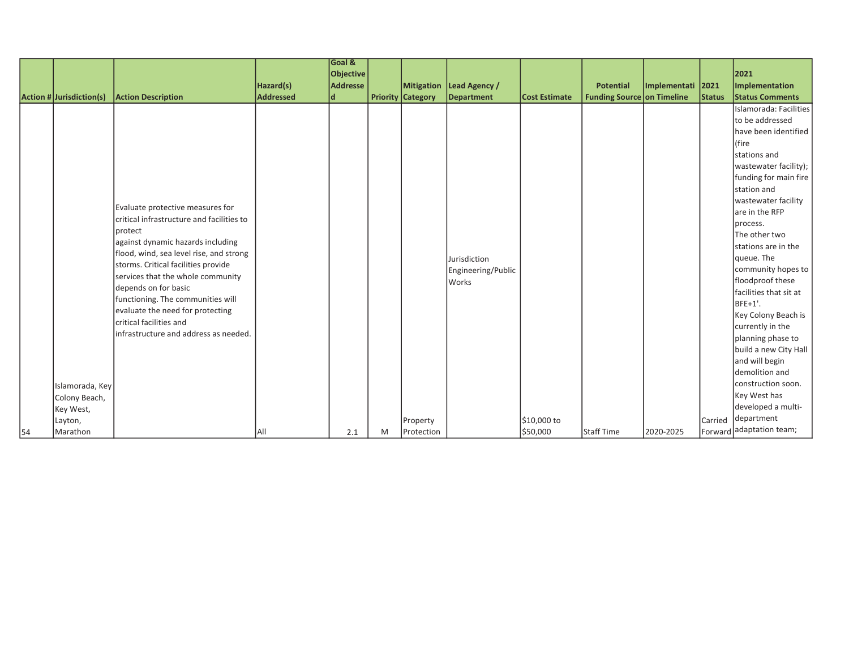|    |                                  |                                           |           | Goal &           |   |                          |                            |                      |                            |                   |               |                                            |
|----|----------------------------------|-------------------------------------------|-----------|------------------|---|--------------------------|----------------------------|----------------------|----------------------------|-------------------|---------------|--------------------------------------------|
|    |                                  |                                           |           | <b>Objective</b> |   |                          |                            |                      |                            |                   |               | 2021                                       |
|    |                                  |                                           | Hazard(s) | <b>Addresse</b>  |   |                          | Mitigation   Lead Agency / |                      | <b>Potential</b>           | Implementati 2021 |               | Implementation                             |
|    | $ $ Action # $ $ Jurisdiction(s) | <b>Action Description</b>                 | Addressed | ld.              |   | <b>Priority Category</b> | Department                 | <b>Cost Estimate</b> | Funding Source on Timeline |                   | <b>Status</b> | <b>Status Comments</b>                     |
|    |                                  |                                           |           |                  |   |                          |                            |                      |                            |                   |               | Islamorada: Facilities                     |
|    |                                  |                                           |           |                  |   |                          |                            |                      |                            |                   |               | to be addressed                            |
|    |                                  |                                           |           |                  |   |                          |                            |                      |                            |                   |               | have been identified                       |
|    |                                  |                                           |           |                  |   |                          |                            |                      |                            |                   |               | (fire                                      |
|    |                                  |                                           |           |                  |   |                          |                            |                      |                            |                   |               | stations and                               |
|    |                                  |                                           |           |                  |   |                          |                            |                      |                            |                   |               | wastewater facility);                      |
|    |                                  |                                           |           |                  |   |                          |                            |                      |                            |                   |               | funding for main fire                      |
|    |                                  |                                           |           |                  |   |                          |                            |                      |                            |                   |               | station and                                |
|    |                                  | Evaluate protective measures for          |           |                  |   |                          |                            |                      |                            |                   |               | wastewater facility                        |
|    |                                  | critical infrastructure and facilities to |           |                  |   |                          |                            |                      |                            |                   |               | are in the RFP                             |
|    |                                  | protect                                   |           |                  |   |                          |                            |                      |                            |                   |               | process.                                   |
|    |                                  | against dynamic hazards including         |           |                  |   |                          |                            |                      |                            |                   |               | The other two                              |
|    |                                  | flood, wind, sea level rise, and strong   |           |                  |   |                          |                            |                      |                            |                   |               | stations are in the                        |
|    |                                  | storms. Critical facilities provide       |           |                  |   |                          | Jurisdiction               |                      |                            |                   |               | queue. The                                 |
|    |                                  | services that the whole community         |           |                  |   |                          | Engineering/Public         |                      |                            |                   |               | community hopes to                         |
|    |                                  | depends on for basic                      |           |                  |   |                          | <b>Works</b>               |                      |                            |                   |               | floodproof these                           |
|    |                                  | functioning. The communities will         |           |                  |   |                          |                            |                      |                            |                   |               | facilities that sit at                     |
|    |                                  | evaluate the need for protecting          |           |                  |   |                          |                            |                      |                            |                   |               | BFE+1'.                                    |
|    |                                  | critical facilities and                   |           |                  |   |                          |                            |                      |                            |                   |               | Key Colony Beach is                        |
|    |                                  | infrastructure and address as needed.     |           |                  |   |                          |                            |                      |                            |                   |               | currently in the                           |
|    |                                  |                                           |           |                  |   |                          |                            |                      |                            |                   |               | planning phase to<br>build a new City Hall |
|    |                                  |                                           |           |                  |   |                          |                            |                      |                            |                   |               | and will begin                             |
|    |                                  |                                           |           |                  |   |                          |                            |                      |                            |                   |               | demolition and                             |
|    |                                  |                                           |           |                  |   |                          |                            |                      |                            |                   |               | construction soon.                         |
|    | Islamorada, Key                  |                                           |           |                  |   |                          |                            |                      |                            |                   |               | Key West has                               |
|    | Colony Beach,                    |                                           |           |                  |   |                          |                            |                      |                            |                   |               | developed a multi-                         |
|    | Key West,                        |                                           |           |                  |   |                          |                            |                      |                            |                   |               | department                                 |
|    | Layton,                          |                                           |           |                  |   | Property                 |                            | \$10,000 to          |                            |                   | Carried       | Forward adaptation team;                   |
| 54 | Marathon                         |                                           | IAII      | 2.1              | M | Protection               |                            | \$50,000             | Staff Time                 | 2020-2025         |               |                                            |

many stormwater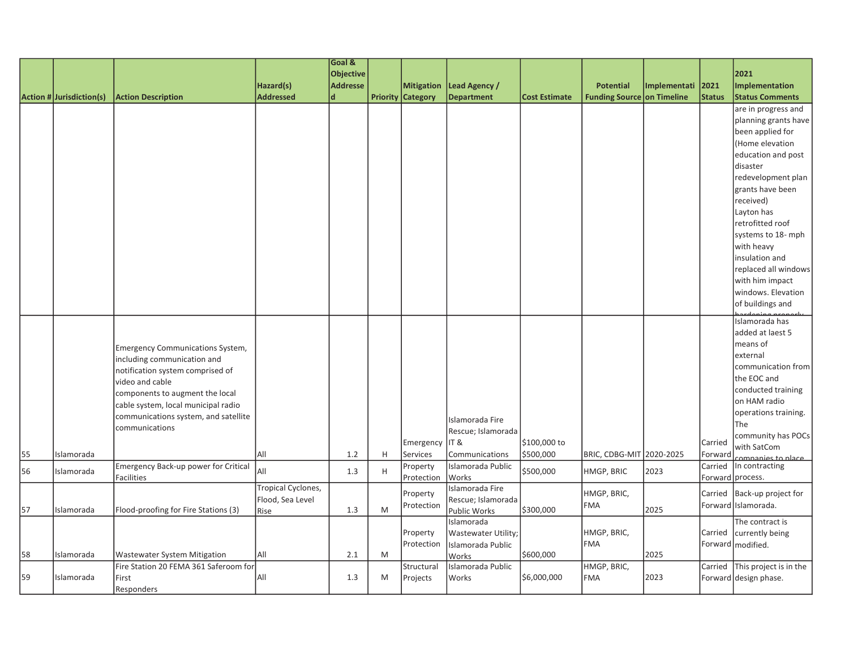|    |                                 |                                       |                          | Goal &           |   |                          |                                   |                      |                            |              |               |                                        |
|----|---------------------------------|---------------------------------------|--------------------------|------------------|---|--------------------------|-----------------------------------|----------------------|----------------------------|--------------|---------------|----------------------------------------|
|    |                                 |                                       |                          | <b>Objective</b> |   |                          |                                   |                      |                            |              |               | 2021                                   |
|    |                                 |                                       | Hazard(s)                | <b>Addresse</b>  |   |                          | Mitigation   Lead Agency /        |                      | <b>Potential</b>           | Implementati | 2021          | Implementation                         |
|    | <b>Action # Jurisdiction(s)</b> | <b>Action Description</b>             | <b>Addressed</b>         | ld.              |   | <b>Priority Category</b> | <b>Department</b>                 | <b>Cost Estimate</b> | Funding Source on Timeline |              | <b>Status</b> | <b>Status Comments</b>                 |
|    |                                 |                                       |                          |                  |   |                          |                                   |                      |                            |              |               | are in progress and                    |
|    |                                 |                                       |                          |                  |   |                          |                                   |                      |                            |              |               | planning grants have                   |
|    |                                 |                                       |                          |                  |   |                          |                                   |                      |                            |              |               | been applied for                       |
|    |                                 |                                       |                          |                  |   |                          |                                   |                      |                            |              |               | (Home elevation                        |
|    |                                 |                                       |                          |                  |   |                          |                                   |                      |                            |              |               | education and post                     |
|    |                                 |                                       |                          |                  |   |                          |                                   |                      |                            |              |               | disaster                               |
|    |                                 |                                       |                          |                  |   |                          |                                   |                      |                            |              |               | redevelopment plan                     |
|    |                                 |                                       |                          |                  |   |                          |                                   |                      |                            |              |               | grants have been                       |
|    |                                 |                                       |                          |                  |   |                          |                                   |                      |                            |              |               | received)                              |
|    |                                 |                                       |                          |                  |   |                          |                                   |                      |                            |              |               | Layton has                             |
|    |                                 |                                       |                          |                  |   |                          |                                   |                      |                            |              |               | retrofitted roof                       |
|    |                                 |                                       |                          |                  |   |                          |                                   |                      |                            |              |               | systems to 18- mph                     |
|    |                                 |                                       |                          |                  |   |                          |                                   |                      |                            |              |               | with heavy                             |
|    |                                 |                                       |                          |                  |   |                          |                                   |                      |                            |              |               | linsulation and                        |
|    |                                 |                                       |                          |                  |   |                          |                                   |                      |                            |              |               | replaced all windows                   |
|    |                                 |                                       |                          |                  |   |                          |                                   |                      |                            |              |               | with him impact                        |
|    |                                 |                                       |                          |                  |   |                          |                                   |                      |                            |              |               | windows. Elevation<br>of buildings and |
|    |                                 |                                       |                          |                  |   |                          |                                   |                      |                            |              |               |                                        |
|    |                                 |                                       |                          |                  |   |                          |                                   |                      |                            |              |               | Islamorada has                         |
|    |                                 |                                       |                          |                  |   |                          |                                   |                      |                            |              |               | added at laest 5                       |
|    |                                 | Emergency Communications System,      |                          |                  |   |                          |                                   |                      |                            |              |               | means of                               |
|    |                                 | including communication and           |                          |                  |   |                          |                                   |                      |                            |              |               | external                               |
|    |                                 | notification system comprised of      |                          |                  |   |                          |                                   |                      |                            |              |               | communication from                     |
|    |                                 | video and cable                       |                          |                  |   |                          |                                   |                      |                            |              |               | the EOC and                            |
|    |                                 | components to augment the local       |                          |                  |   |                          |                                   |                      |                            |              |               | conducted training                     |
|    |                                 | cable system, local municipal radio   |                          |                  |   |                          |                                   |                      |                            |              |               | on HAM radio                           |
|    |                                 | communications system, and satellite  |                          |                  |   |                          | Islamorada Fire                   |                      |                            |              |               | operations training.<br>lThe           |
|    |                                 | communications                        |                          |                  |   |                          | Rescue; Islamorada                |                      |                            |              |               | community has POCs                     |
|    |                                 |                                       |                          |                  |   | Emergency                | IT &                              | \$100,000 to         |                            |              | Carried       | with SatCom                            |
| 55 | Islamorada                      |                                       | All                      | 1.2              | H | Services                 | Communications                    | \$500,000            | BRIC, CDBG-MIT 2020-2025   |              | Forward       | companies to place                     |
| 56 | Islamorada                      | Emergency Back-up power for Critical  | All                      | 1.3              | H | Property                 | Islamorada Public                 | \$500,000            | HMGP, BRIC                 | 2023         | Carried       | In contracting                         |
|    |                                 | <b>Facilities</b>                     |                          |                  |   | Protection               | Works                             |                      |                            |              |               | Forward process.                       |
|    |                                 |                                       | Tropical Cyclones,       |                  |   | Property                 | Islamorada Fire                   |                      | HMGP, BRIC,                |              | Carried       | Back-up project for                    |
| 57 | Islamorada                      | Flood-proofing for Fire Stations (3)  | Flood, Sea Level<br>Rise | 1.3              | M | Protection               | Rescue; Islamorada                | \$300,000            | <b>FMA</b>                 | 2025         |               | Forward Islamorada.                    |
|    |                                 |                                       |                          |                  |   |                          | <b>Public Works</b><br>Islamorada |                      |                            |              |               | The contract is                        |
|    |                                 |                                       |                          |                  |   | Property                 | Wastewater Utility;               |                      | HMGP, BRIC,                |              | Carried       | currently being                        |
|    |                                 |                                       |                          |                  |   | Protection               | Islamorada Public                 |                      | <b>FMA</b>                 |              |               | Forward   modified.                    |
| 58 | Islamorada                      | <b>Wastewater System Mitigation</b>   | All                      | 2.1              | M |                          | Works                             | \$600,000            |                            | 2025         |               |                                        |
|    |                                 | Fire Station 20 FEMA 361 Saferoom for |                          |                  |   | Structural               | Islamorada Public                 |                      | HMGP, BRIC,                |              |               | Carried This project is in the         |
| 59 | Islamorada                      | First                                 | All                      | 1.3              | M | Projects                 | Works                             | \$6,000,000          | <b>FMA</b>                 | 2023         |               | Forward design phase.                  |
|    |                                 | <b>Responders</b>                     |                          |                  |   |                          |                                   |                      |                            |              |               |                                        |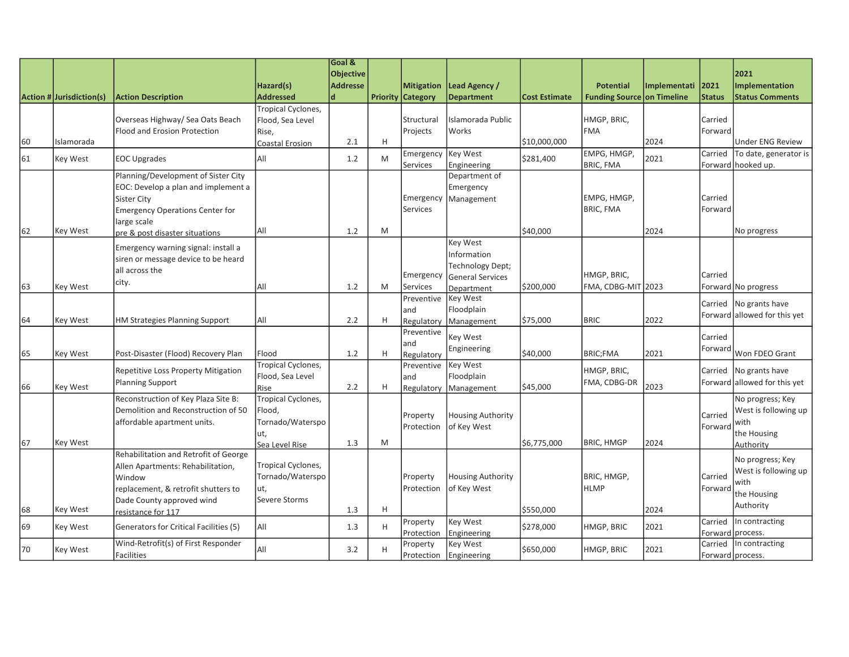|    |                          |                                                                                                                                                                                |                                                                           | Goal &<br><b>Objective</b> |   |                                               |                                                                        |                      |                                                |              |                       | 2021                                                                         |
|----|--------------------------|--------------------------------------------------------------------------------------------------------------------------------------------------------------------------------|---------------------------------------------------------------------------|----------------------------|---|-----------------------------------------------|------------------------------------------------------------------------|----------------------|------------------------------------------------|--------------|-----------------------|------------------------------------------------------------------------------|
|    | Action # Jurisdiction(s) | <b>Action Description</b>                                                                                                                                                      | Hazard(s)<br><b>Addressed</b>                                             | <b>Addresse</b>            |   | <b>Mitigation</b><br><b>Priority Category</b> | Lead Agency /<br><b>Department</b>                                     | <b>Cost Estimate</b> | <b>Potential</b><br>Funding Source on Timeline | Implementati | 2021<br><b>Status</b> | Implementation<br><b>Status Comments</b>                                     |
| 60 | Islamorada               | Overseas Highway/ Sea Oats Beach<br>Flood and Erosion Protection                                                                                                               | Tropical Cyclones,<br>Flood, Sea Level<br>Rise,<br>Coastal Erosion        | 2.1                        | H | Structural<br>Projects                        | Islamorada Public<br>Works                                             | \$10,000,000         | HMGP, BRIC,<br><b>FMA</b>                      | 2024         | Carried<br>Forward    | <b>Under ENG Review</b>                                                      |
| 61 | Key West                 | <b>EOC Upgrades</b>                                                                                                                                                            | All                                                                       | 1.2                        | M | Emergency<br>Services                         | <b>Key West</b><br>Engineering                                         | \$281,400            | EMPG, HMGP,<br><b>BRIC, FMA</b>                | 2021         | Carried               | To date, generator is<br>Forward hooked up.                                  |
|    |                          | Planning/Development of Sister City<br>EOC: Develop a plan and implement a<br>Sister City<br><b>Emergency Operations Center for</b><br>large scale                             |                                                                           |                            |   | Emergency<br>Services                         | Department of<br>Emergency<br>Management                               |                      | EMPG, HMGP,<br><b>BRIC, FMA</b>                |              | Carried<br>Forward    |                                                                              |
| 62 | <b>Key West</b>          | pre & post disaster situations                                                                                                                                                 | All                                                                       | 1.2                        | M |                                               |                                                                        | \$40,000             |                                                | 2024         |                       | No progress                                                                  |
|    |                          | Emergency warning signal: install a<br>siren or message device to be heard<br>all across the<br>city.                                                                          |                                                                           |                            |   | Emergency                                     | Key West<br>Information<br>Technology Dept;<br><b>General Services</b> |                      | HMGP, BRIC,                                    |              | Carried               |                                                                              |
| 63 | <b>Key West</b>          |                                                                                                                                                                                | All                                                                       | 1.2                        | M | <b>Services</b><br>Preventive<br>and          | Department<br>Key West<br>Floodplain                                   | \$200,000            | FMA, CDBG-MIT 2023                             |              | Carried<br>Forward    | Forward No progress<br>No grants have<br>allowed for this yet                |
| 64 | Key West                 | HM Strategies Planning Support                                                                                                                                                 | All                                                                       | 2.2                        | H | Regulatory<br>Preventive<br>and               | Management<br><b>Key West</b><br>Engineering                           | \$75,000             | <b>BRIC</b>                                    | 2022         | Carried<br>Forward    |                                                                              |
| 65 | <b>Key West</b>          | Post-Disaster (Flood) Recovery Plan<br><b>Repetitive Loss Property Mitigation</b>                                                                                              | Flood<br>Tropical Cyclones,                                               | 1.2                        | H | Regulatory<br>Preventive                      | <b>Key West</b>                                                        | \$40,000             | <b>BRIC;FMA</b><br>HMGP, BRIC,                 | 2021         | Carried               | Won FDEO Grant<br>No grants have                                             |
| 66 | Key West                 | Planning Support                                                                                                                                                               | Flood, Sea Level<br>Rise                                                  | 2.2                        | H | land<br>Regulatory                            | Floodplain<br>Management                                               | \$45,000             | FMA, CDBG-DR                                   | 2023         |                       | Forward allowed for this yet                                                 |
| 67 | Key West                 | Reconstruction of Key Plaza Site B:<br>Demolition and Reconstruction of 50<br>affordable apartment units.                                                                      | Tropical Cyclones,<br>Flood,<br>Tornado/Waterspo<br>ut,<br>Sea Level Rise | 1.3                        | M | Property<br>Protection                        | <b>Housing Authority</b><br>of Key West                                | \$6,775,000          | <b>BRIC, HMGP</b>                              | 2024         | Carried<br>Forward    | No progress; Key<br>West is following up<br>with<br>the Housing<br>Authority |
| 68 | Key West                 | Rehabilitation and Retrofit of George<br>Allen Apartments: Rehabilitation,<br>Window<br>replacement, & retrofit shutters to<br>Dade County approved wind<br>resistance for 117 | Tropical Cyclones,<br>Tornado/Waterspo<br>ut,<br>Severe Storms            | 1.3                        | H | Property<br>Protection                        | <b>Housing Authority</b><br>of Key West                                | \$550,000            | BRIC, HMGP,<br><b>HLMP</b>                     | 2024         | Carried<br>Forward    | No progress; Key<br>West is following up<br>with<br>the Housing<br>Authority |
| 69 | Key West                 | Generators for Critical Facilities (5)                                                                                                                                         | All                                                                       | 1.3                        | H | Property<br>Protection                        | Key West<br>Engineering                                                | \$278,000            | HMGP, BRIC                                     | 2021         | Carried<br>Forward    | In contracting<br>process.                                                   |
| 70 | Key West                 | Wind-Retrofit(s) of First Responder<br>Facilities                                                                                                                              | All                                                                       | 3.2                        | Н | Property<br>Protection                        | <b>Key West</b><br>Engineering                                         | \$650,000            | HMGP, BRIC                                     | 2021         | Carried               | In contracting<br>Forward process.                                           |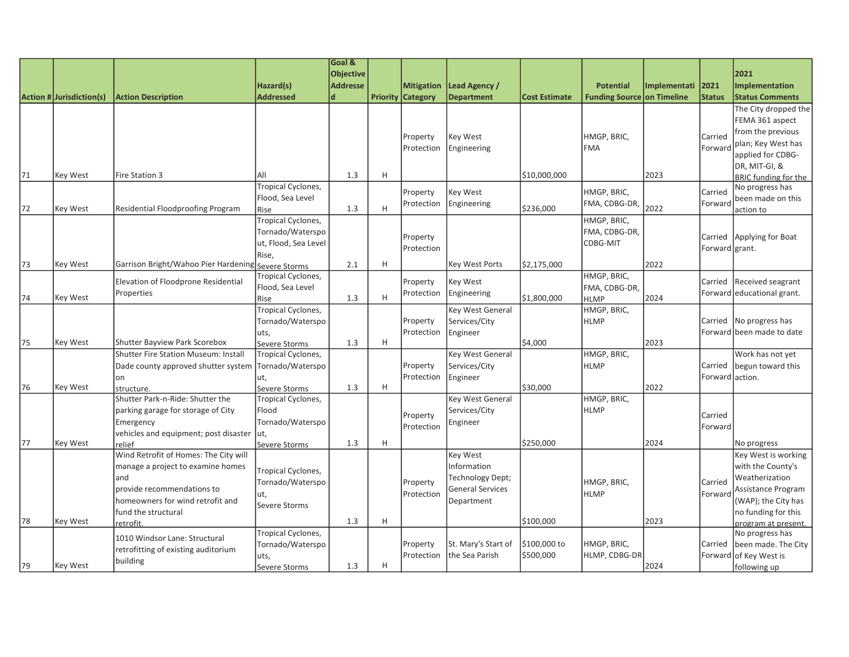| <b>Objective</b><br>2021<br><b>Addresse</b><br>Hazard(s)<br><b>Mitigation</b><br>Lead Agency /<br><b>Potential</b><br>Implementati<br>2021<br><b>Addressed</b><br>$\mathbf d$<br><b>Department</b><br>Funding Source on Timeline<br>Action # Jurisdiction(s)<br><b>Priority Category</b><br><b>Status</b><br><b>Action Description</b><br><b>Cost Estimate</b> | Implementation<br><b>Status Comments</b><br>The City dropped the |
|----------------------------------------------------------------------------------------------------------------------------------------------------------------------------------------------------------------------------------------------------------------------------------------------------------------------------------------------------------------|------------------------------------------------------------------|
|                                                                                                                                                                                                                                                                                                                                                                |                                                                  |
|                                                                                                                                                                                                                                                                                                                                                                |                                                                  |
|                                                                                                                                                                                                                                                                                                                                                                |                                                                  |
|                                                                                                                                                                                                                                                                                                                                                                |                                                                  |
|                                                                                                                                                                                                                                                                                                                                                                | FEMA 361 aspect                                                  |
|                                                                                                                                                                                                                                                                                                                                                                | from the previous                                                |
| HMGP, BRIC,<br>Property<br>Key West<br>Carried<br>Engineering<br>Forward<br>Protection<br><b>FMA</b>                                                                                                                                                                                                                                                           | plan; Key West has                                               |
|                                                                                                                                                                                                                                                                                                                                                                | applied for CDBG-                                                |
|                                                                                                                                                                                                                                                                                                                                                                | DR, MIT-GI, &                                                    |
| 71<br>1.3<br>H<br>2023<br><b>Key West</b><br>Fire Station 3<br>All<br>\$10,000,000                                                                                                                                                                                                                                                                             | <b>BRIC funding for the</b>                                      |
| Tropical Cyclones,<br>Key West<br>HMGP, BRIC,<br>Carried<br>Property                                                                                                                                                                                                                                                                                           | No progress has                                                  |
| Flood, Sea Level<br>FMA, CDBG-DR,<br>Engineering<br>Forward<br>Protection                                                                                                                                                                                                                                                                                      | been made on this                                                |
| 2022<br>1.3<br>H<br>72<br>Residential Floodproofing Program<br>\$236,000<br><b>Key West</b><br>Rise                                                                                                                                                                                                                                                            | action to                                                        |
| Tropical Cyclones,<br>HMGP, BRIC,                                                                                                                                                                                                                                                                                                                              |                                                                  |
| Tornado/Waterspo<br>FMA, CDBG-DR,<br>Carried<br>Property                                                                                                                                                                                                                                                                                                       | Applying for Boat                                                |
| ut, Flood, Sea Level<br><b>CDBG-MIT</b><br>Protection<br>Forward grant.                                                                                                                                                                                                                                                                                        |                                                                  |
| Rise,<br>H<br>73<br><b>Key West</b><br>Garrison Bright/Wahoo Pier Hardening<br>2.1<br>Key West Ports<br>\$2,175,000<br>2022                                                                                                                                                                                                                                    |                                                                  |
| Severe Storms<br>Tropical Cyclones,<br>HMGP, BRIC,                                                                                                                                                                                                                                                                                                             |                                                                  |
| Elevation of Floodprone Residential<br>Key West<br>Property<br>Carried<br>Flood, Sea Level<br>FMA, CDBG-DR,                                                                                                                                                                                                                                                    | <b>Received seagrant</b>                                         |
| Properties<br>Protection<br>Engineering<br>2024<br>1.3<br>H<br>Key West<br>\$1,800,000<br>74<br>Rise<br><b>HLMP</b>                                                                                                                                                                                                                                            | Forward educational grant.                                       |
| <b>Tropical Cyclones,</b><br>HMGP, BRIC,<br>Key West General                                                                                                                                                                                                                                                                                                   |                                                                  |
| Tornado/Waterspo<br>Property<br>Services/City<br><b>HLMP</b><br>Carried                                                                                                                                                                                                                                                                                        | No progress has                                                  |
| Protection<br>Engineer<br>uts,                                                                                                                                                                                                                                                                                                                                 | Forward been made to date                                        |
| 2023<br>75<br>1.3<br>H<br>\$4,000<br>Key West<br>Shutter Bayview Park Scorebox<br>Severe Storms                                                                                                                                                                                                                                                                |                                                                  |
| Key West General<br>HMGP, BRIC,<br>Shutter Fire Station Museum: Install<br>Tropical Cyclones,                                                                                                                                                                                                                                                                  | Work has not yet                                                 |
| Tornado/Waterspo<br>Property<br>Services/City<br><b>HLMP</b><br>Carried<br>Dade county approved shutter system                                                                                                                                                                                                                                                 | begun toward this                                                |
| Forward action.<br>on<br>ut,<br>Protection<br>Engineer                                                                                                                                                                                                                                                                                                         |                                                                  |
| \$30,000<br>2022<br>76<br>1.3<br>H<br>Key West<br>Severe Storms<br>structure.                                                                                                                                                                                                                                                                                  |                                                                  |
| Shutter Park-n-Ride: Shutter the<br>Key West General<br>HMGP, BRIC,<br>Tropical Cyclones,                                                                                                                                                                                                                                                                      |                                                                  |
| parking garage for storage of City<br>Services/City<br><b>HLMP</b><br>Flood<br>Carried<br>Property                                                                                                                                                                                                                                                             |                                                                  |
| Tornado/Waterspo<br>Emergency<br>Engineer<br>Protection<br>Forward                                                                                                                                                                                                                                                                                             |                                                                  |
| vehicles and equipment; post disaster<br>lut,                                                                                                                                                                                                                                                                                                                  |                                                                  |
| 77<br><b>Key West</b><br>1.3<br>H<br>\$250,000<br>2024<br>relief<br>Severe Storms                                                                                                                                                                                                                                                                              | No progress                                                      |
| Wind Retrofit of Homes: The City will<br><b>Key West</b>                                                                                                                                                                                                                                                                                                       | Key West is working                                              |
| manage a project to examine homes<br>Information<br>Tropical Cyclones,                                                                                                                                                                                                                                                                                         | with the County's                                                |
| and<br>Technology Dept;<br>Tornado/Waterspo<br>HMGP, BRIC,<br>Carried<br>Property                                                                                                                                                                                                                                                                              | Weatherization                                                   |
| provide recommendations to<br><b>General Services</b><br>Protection<br><b>HLMP</b><br>Forward<br>ut,                                                                                                                                                                                                                                                           | Assistance Program                                               |
| homeowners for wind retrofit and<br>Department<br>Severe Storms                                                                                                                                                                                                                                                                                                | (WAP); the City has                                              |
| fund the structural<br>78<br>H<br>\$100,000<br>2023<br>Key West<br>1.3                                                                                                                                                                                                                                                                                         | no funding for this                                              |
| retrofit.<br>Tropical Cyclones,                                                                                                                                                                                                                                                                                                                                | program at present.<br>No progress has                           |
| 1010 Windsor Lane: Structural<br>\$100,000 to<br>St. Mary's Start of<br>HMGP, BRIC,<br>Tornado/Waterspo<br>Carried<br>Property                                                                                                                                                                                                                                 | been made. The City                                              |
| retrofitting of existing auditorium<br>\$500,000<br>HLMP, CDBG-DR<br>the Sea Parish<br>Protection<br>Forward<br>uts,                                                                                                                                                                                                                                           | of Key West is                                                   |
| building<br>H<br>79<br>Key West<br>1.3<br>2024<br>Severe Storms                                                                                                                                                                                                                                                                                                | following up                                                     |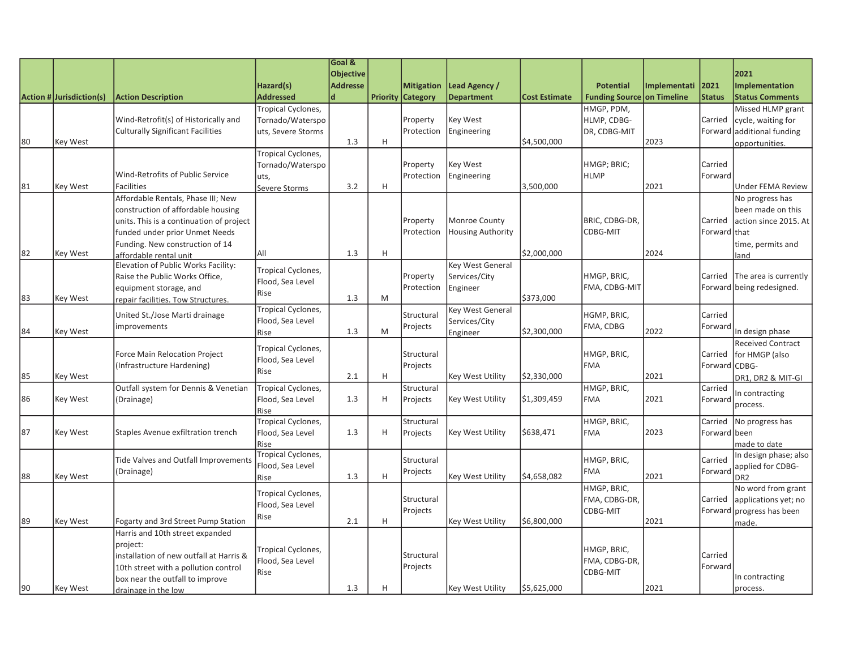|    |                          |                                                               |                    | Goal &           |   |                          |                          |                      |                                   |              |               |                           |
|----|--------------------------|---------------------------------------------------------------|--------------------|------------------|---|--------------------------|--------------------------|----------------------|-----------------------------------|--------------|---------------|---------------------------|
|    |                          |                                                               |                    | <b>Objective</b> |   |                          |                          |                      |                                   |              |               | 2021                      |
|    |                          |                                                               | Hazard(s)          | <b>Addresse</b>  |   | <b>Mitigation</b>        | Lead Agency /            |                      | <b>Potential</b>                  | Implementati | 2021          | <b>Implementation</b>     |
|    | Action # Jurisdiction(s) | <b>Action Description</b>                                     | <b>Addressed</b>   | $\mathbf d$      |   | <b>Priority Category</b> | <b>Department</b>        | <b>Cost Estimate</b> | <b>Funding Source on Timeline</b> |              | <b>Status</b> | <b>Status Comments</b>    |
|    |                          |                                                               | Tropical Cyclones, |                  |   |                          |                          |                      | HMGP, PDM,                        |              |               | Missed HLMP grant         |
|    |                          | Wind-Retrofit(s) of Historically and                          | Tornado/Waterspo   |                  |   | Property                 | <b>Key West</b>          |                      | HLMP, CDBG-                       |              | Carried       | cycle, waiting for        |
|    |                          | <b>Culturally Significant Facilities</b>                      | uts, Severe Storms |                  |   | Protection               | Engineering              |                      | DR, CDBG-MIT                      |              | Forward       | additional funding        |
| 80 | <b>Key West</b>          |                                                               |                    | 1.3              | H |                          |                          | \$4,500,000          |                                   | 2023         |               | opportunities.            |
|    |                          |                                                               | Tropical Cyclones, |                  |   |                          |                          |                      |                                   |              |               |                           |
|    |                          |                                                               | Tornado/Waterspo   |                  |   | Property                 | <b>Key West</b>          |                      | HMGP; BRIC;                       |              | Carried       |                           |
|    |                          | Wind-Retrofits of Public Service                              | uts,               |                  |   | Protection               | Engineering              |                      | <b>HLMP</b>                       |              | Forward       |                           |
| 81 | Key West                 | <b>Facilities</b>                                             | Severe Storms      | 3.2              | H |                          |                          | 3,500,000            |                                   | 2021         |               | <b>Under FEMA Review</b>  |
|    |                          | Affordable Rentals, Phase III; New                            |                    |                  |   |                          |                          |                      |                                   |              |               | No progress has           |
|    |                          | construction of affordable housing                            |                    |                  |   |                          |                          |                      |                                   |              |               | been made on this         |
|    |                          | units. This is a continuation of project                      |                    |                  |   | Property                 | Monroe County            |                      | BRIC, CDBG-DR,                    |              | Carried       | action since 2015. At     |
|    |                          | funded under prior Unmet Needs                                |                    |                  |   | Protection               | <b>Housing Authority</b> |                      | CDBG-MIT                          |              | Forward that  |                           |
| 82 |                          | Funding. New construction of 14                               | All                | 1.3              | H |                          |                          | \$2,000,000          |                                   | 2024         |               | time, permits and         |
|    | Key West                 | affordable rental unit<br>Elevation of Public Works Facility: |                    |                  |   |                          | <b>Key West General</b>  |                      |                                   |              |               | and                       |
|    |                          | Raise the Public Works Office,                                | Tropical Cyclones, |                  |   | Property                 | Services/City            |                      | HMGP, BRIC,                       |              | Carried       | The area is currently     |
|    |                          | equipment storage, and                                        | Flood, Sea Level   |                  |   | Protection               | Engineer                 |                      | FMA, CDBG-MIT                     |              |               | Forward being redesigned. |
| 83 | Key West                 | repair facilities. Tow Structures.                            | Rise               | 1.3              | M |                          |                          | \$373,000            |                                   |              |               |                           |
|    |                          |                                                               | Tropical Cyclones, |                  |   |                          | Key West General         |                      |                                   |              |               |                           |
|    |                          | United St./Jose Marti drainage                                | Flood, Sea Level   |                  |   | Structural               | Services/City            |                      | HGMP, BRIC,                       |              | Carried       |                           |
| 84 | Key West                 | improvements                                                  | Rise               | 1.3              | M | Projects                 | Engineer                 | \$2,300,000          | FMA, CDBG                         | 2022         | Forward       | In design phase           |
|    |                          |                                                               |                    |                  |   |                          |                          |                      |                                   |              |               | Received Contract         |
|    |                          | <b>Force Main Relocation Project</b>                          | Tropical Cyclones, |                  |   | Structural               |                          |                      | HMGP, BRIC,                       |              | Carried       | for HMGP (also            |
|    |                          | (Infrastructure Hardening)                                    | Flood, Sea Level   |                  |   | Projects                 |                          |                      | <b>FMA</b>                        |              | Forward CDBG- |                           |
| 85 | Key West                 |                                                               | Rise               | 2.1              | H |                          | <b>Key West Utility</b>  | \$2,330,000          |                                   | 2021         |               | DR1, DR2 & MIT-GI         |
|    |                          | Outfall system for Dennis & Venetian                          | Tropical Cyclones, |                  |   | Structural               |                          |                      | HMGP, BRIC,                       |              | Carried       |                           |
| 86 | Key West                 | (Drainage)                                                    | Flood, Sea Level   | 1.3              | H | Projects                 | <b>Key West Utility</b>  | \$1,309,459          | <b>FMA</b>                        | 2021         | Forward       | In contracting            |
|    |                          |                                                               | Rise               |                  |   |                          |                          |                      |                                   |              |               | process.                  |
|    |                          |                                                               | Tropical Cyclones, |                  |   | Structural               |                          |                      | HMGP, BRIC,                       |              | Carried       | No progress has           |
| 87 | Key West                 | Staples Avenue exfiltration trench                            | Flood, Sea Level   | 1.3              | H | Projects                 | <b>Key West Utility</b>  | \$638,471            | <b>FMA</b>                        | 2023         | Forward been  |                           |
|    |                          |                                                               | Rise               |                  |   |                          |                          |                      |                                   |              |               | made to date              |
|    |                          | <b>Tide Valves and Outfall Improvements</b>                   | Tropical Cyclones, |                  |   | Structural               |                          |                      | HMGP, BRIC,                       |              | Carried       | In design phase; also     |
|    |                          | (Drainage)                                                    | Flood, Sea Level   |                  |   | Projects                 |                          |                      | <b>FMA</b>                        |              | Forward       | applied for CDBG-         |
| 88 | Key West                 |                                                               | Rise               | 1.3              | H |                          | <b>Key West Utility</b>  | \$4,658,082          |                                   | 2021         |               | DR <sub>2</sub>           |
|    |                          |                                                               | Tropical Cyclones, |                  |   |                          |                          |                      | HMGP, BRIC,                       |              |               | No word from grant        |
|    |                          |                                                               | Flood, Sea Level   |                  |   | Structural               |                          |                      | FMA, CDBG-DR,                     |              | Carried       | applications yet; no      |
|    |                          |                                                               | Rise               |                  | H | Projects                 |                          | \$6,800,000          | CDBG-MIT                          | 2021         | Forward       | progress has been         |
| 89 | Key West                 | Fogarty and 3rd Street Pump Station                           |                    | 2.1              |   |                          | Key West Utility         |                      |                                   |              |               | made.                     |
|    |                          | Harris and 10th street expanded                               |                    |                  |   |                          |                          |                      |                                   |              |               |                           |
|    |                          | project:<br>installation of new outfall at Harris &           | Tropical Cyclones, |                  |   | Structural               |                          |                      | HMGP, BRIC,                       |              | Carried       |                           |
|    |                          | 10th street with a pollution control                          | Flood, Sea Level   |                  |   | Projects                 |                          |                      | FMA, CDBG-DR,                     |              | Forward       |                           |
|    |                          | box near the outfall to improve                               | Rise               |                  |   |                          |                          |                      | CDBG-MIT                          |              |               | In contracting            |
| 90 | Key West                 | drainage in the low                                           |                    | 1.3              | H |                          | Key West Utility         | \$5,625,000          |                                   | 2021         |               | process.                  |
|    |                          |                                                               |                    |                  |   |                          |                          |                      |                                   |              |               |                           |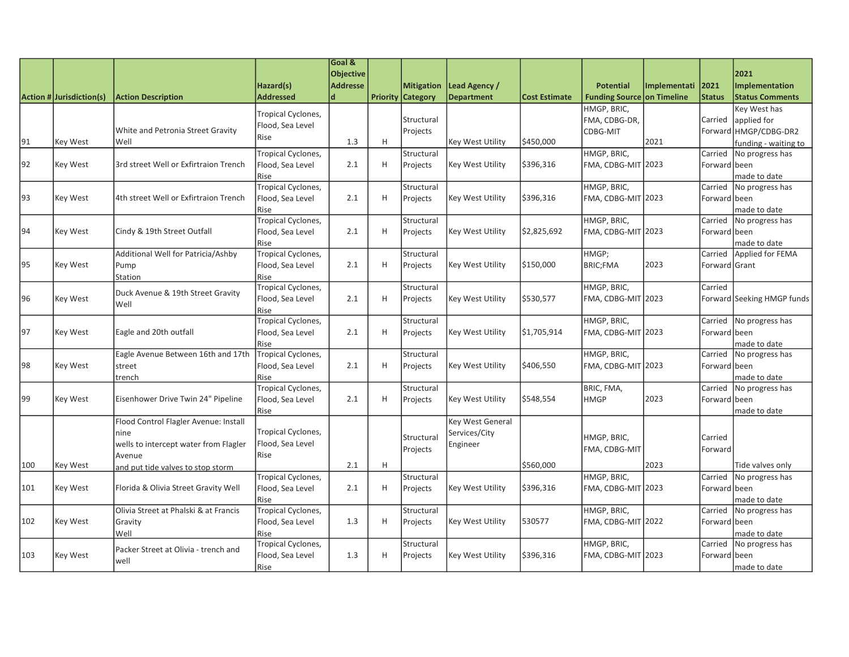|     |                          |                                       |                                        | Goal &<br><b>Objective</b> |   |                          |                         |                      |                            |              |                         | 2021                       |
|-----|--------------------------|---------------------------------------|----------------------------------------|----------------------------|---|--------------------------|-------------------------|----------------------|----------------------------|--------------|-------------------------|----------------------------|
|     |                          |                                       | Hazard(s)                              | <b>Addresse</b>            |   | <b>Mitigation</b>        | Lead Agency /           |                      | <b>Potential</b>           | Implementati | 2021                    | <b>Implementation</b>      |
|     | Action # Jurisdiction(s) | <b>Action Description</b>             | <b>Addressed</b>                       | $\mathbf d$                |   | <b>Priority Category</b> | <b>Department</b>       | <b>Cost Estimate</b> | Funding Source on Timeline |              | <b>Status</b>           | <b>Status Comments</b>     |
|     |                          |                                       |                                        |                            |   |                          |                         |                      | HMGP, BRIC,                |              |                         | Key West has               |
|     |                          |                                       | Tropical Cyclones,                     |                            |   | Structural               |                         |                      | FMA, CDBG-DR,              |              | Carried                 | applied for                |
|     |                          | White and Petronia Street Gravity     | Flood, Sea Level                       |                            |   | Projects                 |                         |                      | CDBG-MIT                   |              | Forward                 | HMGP/CDBG-DR2              |
| 91  | Key West                 | Well                                  | Rise                                   | 1.3                        | H |                          | Key West Utility        | \$450,000            |                            | 2021         |                         | funding - waiting to       |
|     |                          |                                       | <b>Tropical Cyclones,</b>              |                            |   | Structural               |                         |                      | HMGP, BRIC,                |              | Carried                 | No progress has            |
| 92  | Key West                 | 3rd street Well or Exfirtraion Trench | Flood, Sea Level                       | 2.1                        | H | Projects                 | Key West Utility        | \$396,316            | FMA, CDBG-MIT 2023         |              | Forward                 | been                       |
|     |                          |                                       | Rise                                   |                            |   |                          |                         |                      |                            |              |                         | made to date               |
|     |                          |                                       | Tropical Cyclones,                     |                            |   | Structural               |                         |                      | HMGP, BRIC,                |              | Carried                 | No progress has            |
| 93  | Key West                 | 4th street Well or Exfirtraion Trench | Flood, Sea Level                       | 2.1                        | H | Projects                 | Key West Utility        | \$396,316            | FMA, CDBG-MIT 2023         |              | Forward                 | been                       |
|     |                          |                                       | Rise                                   |                            |   |                          |                         |                      |                            |              |                         | made to date               |
|     |                          |                                       | Tropical Cyclones,                     |                            |   | Structural               |                         |                      | HMGP, BRIC,                |              | Carried                 | No progress has            |
| 94  | Key West                 | Cindy & 19th Street Outfall           | Flood, Sea Level                       | 2.1                        | H | Projects                 | <b>Key West Utility</b> | \$2,825,692          | FMA, CDBG-MIT 2023         |              | Forward been            |                            |
|     |                          |                                       | Rise                                   |                            |   |                          |                         |                      |                            |              |                         | made to date               |
|     |                          | Additional Well for Patricia/Ashby    | Tropical Cyclones,                     |                            |   | Structural               |                         |                      | HMGP;                      |              | Carried                 | Applied for FEMA           |
| 95  | Key West                 | Pump                                  | Flood, Sea Level                       | 2.1                        | H | Projects                 | Key West Utility        | \$150,000            | <b>BRIC;FMA</b>            | 2023         | Forward Grant           |                            |
|     |                          | <b>Station</b>                        | Rise                                   |                            |   |                          |                         |                      |                            |              | Carried                 |                            |
| 96  | Key West                 | Duck Avenue & 19th Street Gravity     | Tropical Cyclones,                     | 2.1                        | H | Structural               | Key West Utility        | \$530,577            | HMGP, BRIC,                |              |                         | Forward Seeking HMGP funds |
|     |                          | Well                                  | Flood, Sea Level<br>Rise               |                            |   | Projects                 |                         |                      | FMA, CDBG-MIT 2023         |              |                         |                            |
|     |                          |                                       | Tropical Cyclones,                     |                            |   | Structural               |                         |                      | HMGP, BRIC,                |              | Carried                 | No progress has            |
| 97  | Key West                 | Eagle and 20th outfall                | Flood, Sea Level                       | 2.1                        | H | Projects                 | Key West Utility        | \$1,705,914          | FMA, CDBG-MIT 2023         |              | Forward been            |                            |
|     |                          |                                       | Rise                                   |                            |   |                          |                         |                      |                            |              |                         | made to date               |
|     |                          | Eagle Avenue Between 16th and 17th    | Tropical Cyclones,                     |                            |   | Structural               |                         |                      | HMGP, BRIC,                |              | Carried                 | No progress has            |
| 98  | Key West                 | street                                | Flood, Sea Level                       | 2.1                        | H | Projects                 | Key West Utility        | \$406,550            | FMA, CDBG-MIT 2023         |              | Forward been            |                            |
|     |                          | trench                                | Rise                                   |                            |   |                          |                         |                      |                            |              |                         | made to date               |
|     |                          |                                       | Tropical Cyclones,                     |                            |   | Structural               |                         |                      | BRIC, FMA,                 |              | Carried                 | No progress has            |
| 99  | Key West                 | Eisenhower Drive Twin 24" Pipeline    | Flood, Sea Level                       | 2.1                        | H | Projects                 | Key West Utility        | \$548,554            | <b>HMGP</b>                | 2023         | Forward                 | been                       |
|     |                          |                                       | Rise                                   |                            |   |                          |                         |                      |                            |              |                         | made to date               |
|     |                          | Flood Control Flagler Avenue: Install |                                        |                            |   |                          | <b>Key West General</b> |                      |                            |              |                         |                            |
|     |                          | nine                                  | Tropical Cyclones,                     |                            |   | Structural               | Services/City           |                      | HMGP, BRIC,                |              | Carried                 |                            |
|     |                          | wells to intercept water from Flagler | Flood, Sea Level                       |                            |   | Projects                 | Engineer                |                      | FMA, CDBG-MIT              |              | Forward                 |                            |
|     |                          | Avenue                                | Rise                                   |                            |   |                          |                         |                      |                            |              |                         |                            |
| 100 | Key West                 | and put tide valves to stop storm     |                                        | 2.1                        | H |                          |                         | \$560,000            |                            | 2023         |                         | Tide valves only           |
|     |                          |                                       | Tropical Cyclones,                     |                            |   | Structural               |                         |                      | HMGP, BRIC,                |              | Carried                 | No progress has            |
| 101 | Key West                 | Florida & Olivia Street Gravity Well  | Flood, Sea Level                       | 2.1                        | H | Projects                 | Key West Utility        | \$396,316            | FMA, CDBG-MIT 2023         |              | Forward                 | been                       |
|     |                          |                                       | Rise                                   |                            |   |                          |                         |                      |                            |              |                         | made to date               |
|     |                          | Olivia Street at Phalski & at Francis | Tropical Cyclones,                     |                            |   | Structural               |                         |                      | HMGP, BRIC,                |              | Carried                 | No progress has            |
| 102 | Key West                 | Gravity                               | Flood, Sea Level                       | 1.3                        | H | Projects                 | <b>Key West Utility</b> | 530577               | FMA, CDBG-MIT 2022         |              | Forward been            |                            |
|     |                          | Well                                  | Rise                                   |                            |   |                          |                         |                      | HMGP, BRIC,                |              |                         | made to date               |
| 103 | Key West                 | Packer Street at Olivia - trench and  | Tropical Cyclones,<br>Flood, Sea Level | 1.3                        | H | Structural               | <b>Key West Utility</b> | \$396,316            | FMA, CDBG-MIT 2023         |              | Carried<br>Forward been | No progress has            |
|     |                          | well                                  | Rise                                   |                            |   | Projects                 |                         |                      |                            |              |                         |                            |
|     |                          |                                       |                                        |                            |   |                          |                         |                      |                            |              |                         | made to date               |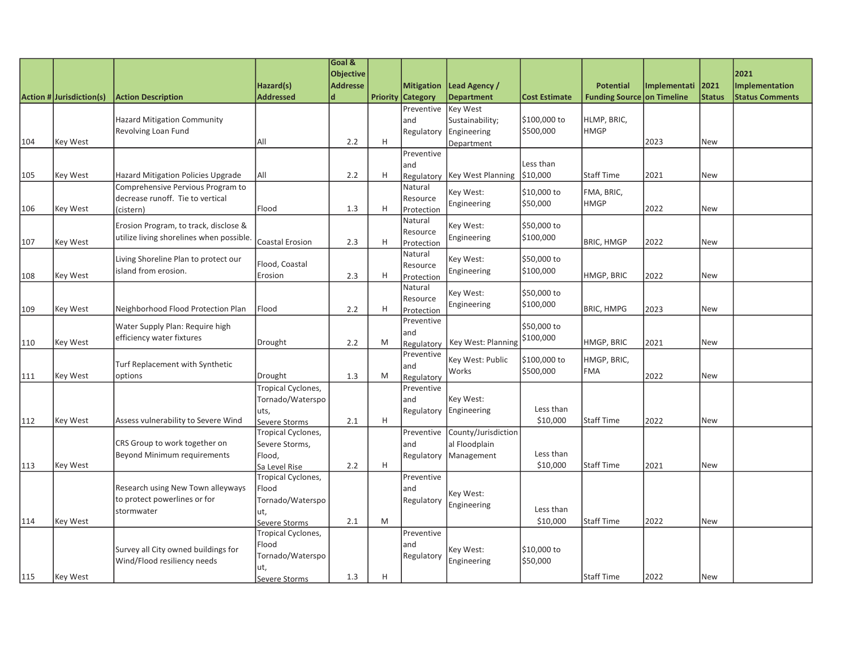|     |                          |                                          |                                     | Goal &          |                           |                          |                          |                      |                                   |              |               |                        |
|-----|--------------------------|------------------------------------------|-------------------------------------|-----------------|---------------------------|--------------------------|--------------------------|----------------------|-----------------------------------|--------------|---------------|------------------------|
|     |                          |                                          |                                     | Objective       |                           |                          |                          |                      |                                   |              |               | 2021                   |
|     |                          |                                          | Hazard(s)                           | <b>Addresse</b> |                           | <b>Mitigation</b>        | Lead Agency /            |                      | <b>Potential</b>                  | Implementati | 2021          | Implementation         |
|     | Action # Jurisdiction(s) | <b>Action Description</b>                | <b>Addressed</b>                    | $\mathbf d$     |                           | <b>Priority Category</b> | <b>Department</b>        | <b>Cost Estimate</b> | <b>Funding Source on Timeline</b> |              | <b>Status</b> | <b>Status Comments</b> |
|     |                          |                                          |                                     |                 |                           | Preventive               | <b>Key West</b>          |                      |                                   |              |               |                        |
|     |                          | <b>Hazard Mitigation Community</b>       |                                     |                 |                           | and                      | Sustainability;          | \$100,000 to         | HLMP, BRIC,                       |              |               |                        |
|     |                          | <b>Revolving Loan Fund</b>               |                                     |                 |                           | Regulatory               | Engineering              | \$500,000            | <b>HMGP</b>                       |              |               |                        |
| 104 | Key West                 |                                          | All                                 | 2.2             | $\boldsymbol{\mathsf{H}}$ |                          | Department               |                      |                                   | 2023         | New           |                        |
|     |                          |                                          |                                     |                 |                           | Preventive               |                          |                      |                                   |              |               |                        |
|     |                          |                                          |                                     |                 |                           | and                      |                          | Less than            |                                   |              |               |                        |
| 105 | <b>Key West</b>          | Hazard Mitigation Policies Upgrade       | All                                 | 2.2             | H                         | Regulatory               | <b>Key West Planning</b> | \$10,000             | <b>Staff Time</b>                 | 2021         | <b>New</b>    |                        |
|     |                          | Comprehensive Pervious Program to        |                                     |                 |                           | Natural                  | Key West:                | \$10,000 to          | FMA, BRIC,                        |              |               |                        |
|     |                          | decrease runoff. Tie to vertical         |                                     |                 |                           | Resource                 |                          |                      | <b>HMGP</b>                       |              |               |                        |
| 106 | Key West                 | (cistern)                                | Flood                               | 1.3             | H                         | Protection               | Engineering              | \$50,000             |                                   | 2022         | New           |                        |
|     |                          | Erosion Program, to track, disclose &    |                                     |                 |                           | Natural                  | Key West:                | \$50,000 to          |                                   |              |               |                        |
|     |                          | utilize living shorelines when possible. |                                     |                 |                           | Resource                 | Engineering              | \$100,000            |                                   |              |               |                        |
| 107 | Key West                 |                                          | Coastal Erosion                     | 2.3             | H                         | Protection               |                          |                      | <b>BRIC, HMGP</b>                 | 2022         | New           |                        |
|     |                          | Living Shoreline Plan to protect our     |                                     |                 |                           | Natural                  | Key West:                | \$50,000 to          |                                   |              |               |                        |
|     |                          | lisland from erosion.                    | Flood, Coastal                      |                 |                           | Resource                 | Engineering              | \$100,000            |                                   |              |               |                        |
| 108 | Key West                 |                                          | Erosion                             | 2.3             | H                         | Protection               |                          |                      | HMGP, BRIC                        | 2022         | New           |                        |
|     |                          |                                          |                                     |                 |                           | Natural                  | Key West:                | \$50,000 to          |                                   |              |               |                        |
|     |                          |                                          |                                     |                 |                           | Resource                 | Engineering              | \$100,000            |                                   |              |               |                        |
| 109 | Key West                 | Neighborhood Flood Protection Plan       | Flood                               | 2.2             | H                         | Protection               |                          |                      | <b>BRIC, HMPG</b>                 | 2023         | New           |                        |
|     |                          | Water Supply Plan: Require high          |                                     |                 |                           | Preventive               |                          | \$50,000 to          |                                   |              |               |                        |
|     |                          | efficiency water fixtures                |                                     |                 |                           | and                      |                          | \$100,000            |                                   |              |               |                        |
| 110 | Key West                 |                                          | Drought                             | 2.2             | M                         | Regulatory               | Key West: Planning       |                      | HMGP, BRIC                        | 2021         | <b>New</b>    |                        |
|     |                          |                                          |                                     |                 |                           | Preventive               | Key West: Public         | \$100,000 to         | HMGP, BRIC,                       |              |               |                        |
|     |                          | Turf Replacement with Synthetic          |                                     | 1.3             | M                         | and                      | Works                    | \$500,000            | <b>FMA</b>                        | 2022         | <b>New</b>    |                        |
| 111 | Key West                 | options                                  | Drought                             |                 |                           | Regulatory               |                          |                      |                                   |              |               |                        |
|     |                          |                                          | Tropical Cyclones,                  |                 |                           | Preventive               | Key West:                |                      |                                   |              |               |                        |
|     |                          |                                          | Tornado/Waterspo                    |                 |                           | and                      |                          | Less than            |                                   |              |               |                        |
| 112 | <b>Key West</b>          | Assess vulnerability to Severe Wind      | uts,                                | 2.1             | H                         | Regulatory               | Engineering              | \$10,000             | <b>Staff Time</b>                 | 2022         | <b>New</b>    |                        |
|     |                          |                                          | Severe Storms<br>Tropical Cyclones, |                 |                           | Preventive               | County/Jurisdiction      |                      |                                   |              |               |                        |
|     |                          | CRS Group to work together on            | Severe Storms,                      |                 |                           | and                      | al Floodplain            |                      |                                   |              |               |                        |
|     |                          | Beyond Minimum requirements              | Flood,                              |                 |                           | Regulatory               | Management               | Less than            |                                   |              |               |                        |
| 113 | Key West                 |                                          | Sa Level Rise                       | 2.2             | H                         |                          |                          | \$10,000             | <b>Staff Time</b>                 | 2021         | New           |                        |
|     |                          |                                          | Tropical Cyclones,                  |                 |                           | Preventive               |                          |                      |                                   |              |               |                        |
|     |                          | Research using New Town alleyways        | Flood                               |                 |                           | and                      |                          |                      |                                   |              |               |                        |
|     |                          | to protect powerlines or for             | Tornado/Waterspo                    |                 |                           | Regulatory               | Key West:                |                      |                                   |              |               |                        |
|     |                          | stormwater                               | ut,                                 |                 |                           |                          | Engineering              | Less than            |                                   |              |               |                        |
| 114 | Key West                 |                                          | Severe Storms                       | 2.1             | M                         |                          |                          | \$10,000             | <b>Staff Time</b>                 | 2022         | New           |                        |
|     |                          |                                          | Tropical Cyclones,                  |                 |                           | Preventive               |                          |                      |                                   |              |               |                        |
|     |                          |                                          | Flood                               |                 |                           | and                      |                          |                      |                                   |              |               |                        |
|     |                          | Survey all City owned buildings for      | Tornado/Waterspo                    |                 |                           | Regulatory               | Key West:                | \$10,000 to          |                                   |              |               |                        |
|     |                          | Wind/Flood resiliency needs              | ut,                                 |                 |                           |                          | Engineering              | \$50,000             |                                   |              |               |                        |
| 115 | Key West                 |                                          | Severe Storms                       | 1.3             | Н                         |                          |                          |                      | <b>Staff Time</b>                 | 2022         | New           |                        |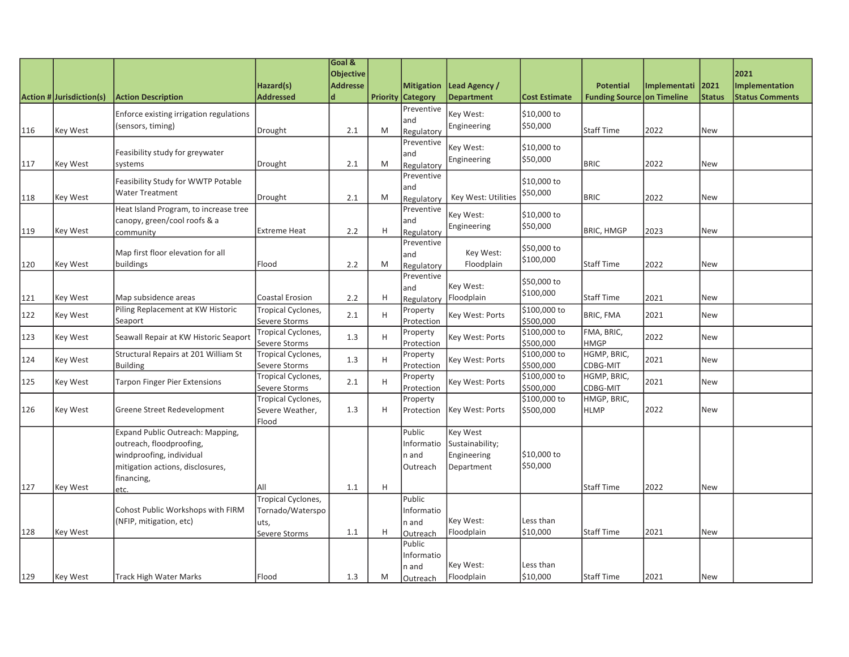|     |                          |                                         |                                       | Goal &                         |   |                                               |                                    |                           |                                                       |              |                       |                                                 |
|-----|--------------------------|-----------------------------------------|---------------------------------------|--------------------------------|---|-----------------------------------------------|------------------------------------|---------------------------|-------------------------------------------------------|--------------|-----------------------|-------------------------------------------------|
|     |                          |                                         |                                       | <b>Objective</b>               |   |                                               |                                    |                           |                                                       |              |                       | 2021                                            |
|     | Action # Jurisdiction(s) | <b>Action Description</b>               | Hazard(s)<br><b>Addressed</b>         | <b>Addresse</b><br>$\mathbf d$ |   | <b>Mitigation</b><br><b>Priority Category</b> | Lead Agency /<br><b>Department</b> | <b>Cost Estimate</b>      | <b>Potential</b><br><b>Funding Source on Timeline</b> | Implementati | 2021<br><b>Status</b> | <b>Implementation</b><br><b>Status Comments</b> |
|     |                          |                                         |                                       |                                |   | Preventive                                    |                                    |                           |                                                       |              |                       |                                                 |
|     |                          | Enforce existing irrigation regulations |                                       |                                |   | and                                           | Key West:                          | \$10,000 to               |                                                       |              |                       |                                                 |
| 116 | Key West                 | (sensors, timing)                       | Drought                               | 2.1                            | M | Regulatory                                    | Engineering                        | \$50,000                  | Staff Time                                            | 2022         | <b>New</b>            |                                                 |
|     |                          |                                         |                                       |                                |   | Preventive                                    | Key West:                          | \$10,000 to               |                                                       |              |                       |                                                 |
|     |                          | Feasibility study for greywater         |                                       |                                |   | and                                           | Engineering                        | \$50,000                  |                                                       |              |                       |                                                 |
| 117 | Key West                 | systems                                 | Drought                               | 2.1                            | M | Regulatory                                    |                                    |                           | <b>BRIC</b>                                           | 2022         | <b>New</b>            |                                                 |
|     |                          | Feasibility Study for WWTP Potable      |                                       |                                |   | Preventive<br>and                             |                                    | \$10,000 to               |                                                       |              |                       |                                                 |
| 118 | Key West                 | Water Treatment                         | Drought                               | 2.1                            | M | Regulatory                                    | Key West: Utilities                | \$50,000                  | <b>BRIC</b>                                           | 2022         | <b>New</b>            |                                                 |
|     |                          | Heat Island Program, to increase tree   |                                       |                                |   | Preventive                                    |                                    |                           |                                                       |              |                       |                                                 |
|     |                          | canopy, green/cool roofs & a            |                                       |                                |   | and                                           | Key West:<br>Engineering           | \$10,000 to<br>\$50,000   |                                                       |              |                       |                                                 |
| 119 | Key West                 | community                               | <b>Extreme Heat</b>                   | 2.2                            | H | Regulatory                                    |                                    |                           | <b>BRIC, HMGP</b>                                     | 2023         | <b>New</b>            |                                                 |
|     |                          | Map first floor elevation for all       |                                       |                                |   | Preventive                                    | Key West:                          | \$50,000 to               |                                                       |              |                       |                                                 |
| 120 | Key West                 | buildings                               | Flood                                 | 2.2                            | M | and<br>Regulatory                             | Floodplain                         | \$100,000                 | Staff Time                                            | 2022         | <b>New</b>            |                                                 |
|     |                          |                                         |                                       |                                |   | Preventive                                    |                                    |                           |                                                       |              |                       |                                                 |
|     |                          |                                         |                                       |                                |   | and                                           | Key West:                          | \$50,000 to               |                                                       |              |                       |                                                 |
| 121 | Key West                 | Map subsidence areas                    | Coastal Erosion                       | 2.2                            | H | Regulatory                                    | Floodplain                         | \$100,000                 | Staff Time                                            | 2021         | <b>New</b>            |                                                 |
| 122 | Key West                 | Piling Replacement at KW Historic       | Tropical Cyclones,                    | 2.1                            | H | Property                                      | Key West: Ports                    | \$100,000 to              | <b>BRIC, FMA</b>                                      | 2021         | <b>New</b>            |                                                 |
|     |                          | Seaport                                 | Severe Storms                         |                                |   | Protection                                    |                                    | \$500,000<br>\$100,000 to | FMA, BRIC,                                            |              |                       |                                                 |
| 123 | Key West                 | Seawall Repair at KW Historic Seaport   | Tropical Cyclones,<br>Severe Storms   | 1.3                            | H | Property<br>Protection                        | Key West: Ports                    | \$500,000                 | <b>HMGP</b>                                           | 2022         | <b>New</b>            |                                                 |
|     |                          | Structural Repairs at 201 William St    | Tropical Cyclones,                    |                                |   | Property                                      |                                    | \$100,000 to              | HGMP, BRIC,                                           |              |                       |                                                 |
| 124 | Key West                 | Building                                | Severe Storms                         | 1.3                            | H | Protection                                    | Key West: Ports                    | \$500,000                 | CDBG-MIT                                              | 2021         | <b>New</b>            |                                                 |
| 125 | Key West                 | <b>Tarpon Finger Pier Extensions</b>    | Tropical Cyclones,                    | 2.1                            | H | Property                                      | Key West: Ports                    | \$100,000 to              | HGMP, BRIC,                                           | 2021         | <b>New</b>            |                                                 |
|     |                          |                                         | Severe Storms                         |                                |   | Protection                                    |                                    | \$500,000                 | CDBG-MIT                                              |              |                       |                                                 |
| 126 | Key West                 | Greene Street Redevelopment             | Tropical Cyclones,<br>Severe Weather, | 1.3                            | H | Property<br>Protection                        | Key West: Ports                    | \$100,000 to<br>\$500,000 | HMGP, BRIC,<br><b>HLMP</b>                            | 2022         | <b>New</b>            |                                                 |
|     |                          |                                         | Flood                                 |                                |   |                                               |                                    |                           |                                                       |              |                       |                                                 |
|     |                          | Expand Public Outreach: Mapping,        |                                       |                                |   | Public                                        | Key West                           |                           |                                                       |              |                       |                                                 |
|     |                          | outreach, floodproofing,                |                                       |                                |   | Informatio                                    | Sustainability;                    |                           |                                                       |              |                       |                                                 |
|     |                          | windproofing, individual                |                                       |                                |   | n and                                         | Engineering                        | \$10,000 to               |                                                       |              |                       |                                                 |
|     |                          | mitigation actions, disclosures,        |                                       |                                |   | Outreach                                      | Department                         | \$50,000                  |                                                       |              |                       |                                                 |
| 127 |                          | financing,                              | All                                   |                                | H |                                               |                                    |                           | Staff Time                                            | 2022         | <b>New</b>            |                                                 |
|     | Key West                 | letc.                                   | <b>Tropical Cyclones,</b>             | 1.1                            |   | Public                                        |                                    |                           |                                                       |              |                       |                                                 |
|     |                          | Cohost Public Workshops with FIRM       | Tornado/Waterspo                      |                                |   | Informatio                                    |                                    |                           |                                                       |              |                       |                                                 |
|     |                          | (NFIP, mitigation, etc)                 | uts,                                  |                                |   | n and                                         | Key West:                          | Less than                 |                                                       |              |                       |                                                 |
| 128 | Key West                 |                                         | Severe Storms                         | 1.1                            | H | Outreach                                      | Floodplain                         | \$10,000                  | Staff Time                                            | 2021         | <b>New</b>            |                                                 |
|     |                          |                                         |                                       |                                |   | Public                                        |                                    |                           |                                                       |              |                       |                                                 |
|     |                          |                                         |                                       |                                |   | Informatio                                    |                                    |                           |                                                       |              |                       |                                                 |
| 129 |                          |                                         |                                       | 1.3                            | M | n and                                         | Key West:                          | Less than<br>\$10,000     |                                                       | 2021         |                       |                                                 |
|     | <b>Key West</b>          | Track High Water Marks                  | Flood                                 |                                |   | Outreach                                      | Floodplain                         |                           | Staff Time                                            |              | <b>New</b>            |                                                 |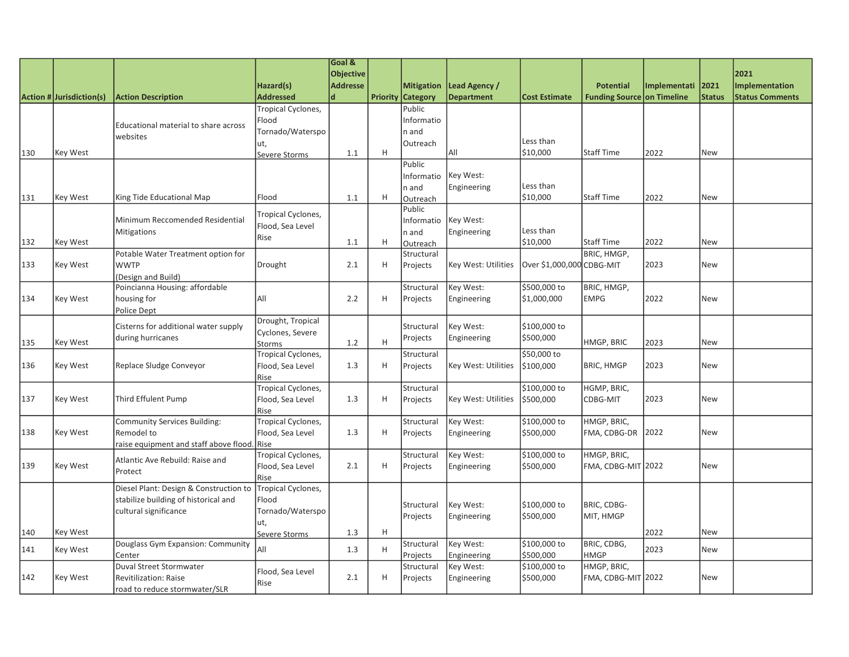| <b>Objective</b><br>2021<br>Hazard(s)<br><b>Addresse</b><br><b>Mitigation</b><br>Lead Agency /<br><b>Potential</b><br>Implementati<br>2021<br>Implementation<br><b>Addressed</b><br><b>Department</b><br>Action # Jurisdiction(s)<br>d<br><b>Priority Category</b><br><b>Funding Source on Timeline</b><br><b>Status</b><br><b>Status Comments</b><br><b>Action Description</b><br><b>Cost Estimate</b><br>Tropical Cyclones,<br>Public<br>Informatio<br>Flood<br>Educational material to share across<br>Tornado/Waterspo<br>n and<br>websites<br>Less than<br>Outreach<br>ut,<br>lail<br>\$10,000<br>H<br><b>Staff Time</b><br>2022<br>130<br>Key West<br>1.1<br>New<br>Severe Storms<br>Public<br>Informatio<br>Key West:<br>Less than<br>Engineering<br>n and<br>\$10,000<br>King Tide Educational Map<br><b>Staff Time</b><br>131<br>Key West<br>Flood<br>1.1<br>H<br>2022<br>New<br>Outreach<br>Public<br>Tropical Cyclones,<br>Key West:<br>Minimum Reccomended Residential<br>Informatio<br>Flood, Sea Level<br>Less than<br>Engineering<br><b>Mitigations</b><br>n and<br>Rise<br>\$10,000<br><b>Staff Time</b><br>Key West<br>H<br>2022<br>132<br>1.1<br>New<br>Outreach<br>BRIC, HMGP,<br>Potable Water Treatment option for<br>Structural<br><b>WWTP</b><br>Key West: Utilities<br>Over \$1,000,000 CDBG-MIT<br>2023<br>133<br>Key West<br>Drought<br>2.1<br>H<br><b>New</b><br>Projects<br>(Design and Build)<br>Poincianna Housing: affordable<br>\$500,000 to<br>Key West:<br>BRIC, HMGP,<br>Structural<br>All<br>2022<br>134<br>Key West<br>2.2<br>H<br>\$1,000,000<br><b>EMPG</b><br>New<br>housing for<br>Projects<br>Engineering<br>Police Dept<br>Drought, Tropical<br>Cisterns for additional water supply<br>Key West:<br>\$100,000 to<br>Structural<br>Cyclones, Severe<br>\$500,000<br>during hurricanes<br>Projects<br>Engineering<br>H<br>1.2<br>HMGP, BRIC<br>2023<br>135<br>Key West<br>New<br><b>Storms</b><br>\$50,000 to<br>Tropical Cyclones,<br>Structural<br>Replace Sludge Conveyor<br>Flood, Sea Level<br>Key West: Utilities<br>2023<br>136<br>Key West<br>1.3<br>H<br>\$100,000<br><b>BRIC, HMGP</b><br><b>New</b><br>Projects<br>Rise<br>\$100,000 to<br>Tropical Cyclones,<br>HGMP, BRIC,<br>Structural<br>Third Effulent Pump<br>Flood, Sea Level<br>2023<br>Key West<br>1.3<br>Key West: Utilities<br>\$500,000<br>CDBG-MIT<br>New<br>H<br>Projects<br>Rise<br>Tropical Cyclones,<br>Key West:<br>\$100,000 to<br>HMGP, BRIC,<br>Community Services Building:<br>Structural<br>Flood, Sea Level<br>\$500,000<br>2022<br>Key West<br>Remodel to<br>1.3<br>H<br>Projects<br>Engineering<br>FMA, CDBG-DR<br><b>New</b><br>raise equipment and staff above flood.<br>Rise<br>Tropical Cyclones,<br>Key West:<br>\$100,000 to<br>HMGP, BRIC,<br>Structural<br>Atlantic Ave Rebuild: Raise and<br>139<br>Key West<br>Flood, Sea Level<br>2.1<br>H<br>\$500,000<br>FMA, CDBG-MIT 2022<br>New<br>Projects<br>Engineering<br>Protect<br>Rise<br>Diesel Plant: Design & Construction to<br><b>Tropical Cyclones,</b><br>stabilize building of historical and<br>Flood<br>Key West:<br>\$100,000 to<br>BRIC, CDBG-<br>Structural<br>cultural significance<br>Tornado/Waterspo<br>\$500,000<br>MIT, HMGP<br>Projects<br>Engineering<br>ut,<br>H<br>Key West<br>1.3<br>2022<br>140<br>New<br>Severe Storms<br>\$100,000 to<br>BRIC, CDBG,<br>Douglass Gym Expansion: Community<br>Key West:<br>Structural<br>All<br>2023<br>141<br>Key West<br>1.3<br>H<br><b>New</b><br><b>Engineering</b><br>\$500,000<br>Projects<br><b>HMGP</b><br>Center<br>HMGP, BRIC,<br>Duval Street Stormwater<br>\$100,000 to<br>Key West:<br>Structural<br>Flood, Sea Level<br>2.1<br>Key West<br>H<br>FMA, CDBG-MIT 2022<br>New<br><b>Revitilization: Raise</b><br>Engineering<br>\$500,000<br>Projects<br>Rise |     |                               | Goal & |  |  |  |  |
|--------------------------------------------------------------------------------------------------------------------------------------------------------------------------------------------------------------------------------------------------------------------------------------------------------------------------------------------------------------------------------------------------------------------------------------------------------------------------------------------------------------------------------------------------------------------------------------------------------------------------------------------------------------------------------------------------------------------------------------------------------------------------------------------------------------------------------------------------------------------------------------------------------------------------------------------------------------------------------------------------------------------------------------------------------------------------------------------------------------------------------------------------------------------------------------------------------------------------------------------------------------------------------------------------------------------------------------------------------------------------------------------------------------------------------------------------------------------------------------------------------------------------------------------------------------------------------------------------------------------------------------------------------------------------------------------------------------------------------------------------------------------------------------------------------------------------------------------------------------------------------------------------------------------------------------------------------------------------------------------------------------------------------------------------------------------------------------------------------------------------------------------------------------------------------------------------------------------------------------------------------------------------------------------------------------------------------------------------------------------------------------------------------------------------------------------------------------------------------------------------------------------------------------------------------------------------------------------------------------------------------------------------------------------------------------------------------------------------------------------------------------------------------------------------------------------------------------------------------------------------------------------------------------------------------------------------------------------------------------------------------------------------------------------------------------------------------------------------------------------------------------------------------------------------------------------------------------------------------------------------------------------------------------------------------------------------------------------------------------------------------------------------------------------------------------------------------------------------------------------------------------------------------------------------------------------------------------------------------------------------------------------------------------------------------------------------------------------------------------------------------------------------------------------------------------------------|-----|-------------------------------|--------|--|--|--|--|
|                                                                                                                                                                                                                                                                                                                                                                                                                                                                                                                                                                                                                                                                                                                                                                                                                                                                                                                                                                                                                                                                                                                                                                                                                                                                                                                                                                                                                                                                                                                                                                                                                                                                                                                                                                                                                                                                                                                                                                                                                                                                                                                                                                                                                                                                                                                                                                                                                                                                                                                                                                                                                                                                                                                                                                                                                                                                                                                                                                                                                                                                                                                                                                                                                                                                                                                                                                                                                                                                                                                                                                                                                                                                                                                                                                                                                          |     |                               |        |  |  |  |  |
|                                                                                                                                                                                                                                                                                                                                                                                                                                                                                                                                                                                                                                                                                                                                                                                                                                                                                                                                                                                                                                                                                                                                                                                                                                                                                                                                                                                                                                                                                                                                                                                                                                                                                                                                                                                                                                                                                                                                                                                                                                                                                                                                                                                                                                                                                                                                                                                                                                                                                                                                                                                                                                                                                                                                                                                                                                                                                                                                                                                                                                                                                                                                                                                                                                                                                                                                                                                                                                                                                                                                                                                                                                                                                                                                                                                                                          |     |                               |        |  |  |  |  |
|                                                                                                                                                                                                                                                                                                                                                                                                                                                                                                                                                                                                                                                                                                                                                                                                                                                                                                                                                                                                                                                                                                                                                                                                                                                                                                                                                                                                                                                                                                                                                                                                                                                                                                                                                                                                                                                                                                                                                                                                                                                                                                                                                                                                                                                                                                                                                                                                                                                                                                                                                                                                                                                                                                                                                                                                                                                                                                                                                                                                                                                                                                                                                                                                                                                                                                                                                                                                                                                                                                                                                                                                                                                                                                                                                                                                                          |     |                               |        |  |  |  |  |
|                                                                                                                                                                                                                                                                                                                                                                                                                                                                                                                                                                                                                                                                                                                                                                                                                                                                                                                                                                                                                                                                                                                                                                                                                                                                                                                                                                                                                                                                                                                                                                                                                                                                                                                                                                                                                                                                                                                                                                                                                                                                                                                                                                                                                                                                                                                                                                                                                                                                                                                                                                                                                                                                                                                                                                                                                                                                                                                                                                                                                                                                                                                                                                                                                                                                                                                                                                                                                                                                                                                                                                                                                                                                                                                                                                                                                          |     |                               |        |  |  |  |  |
|                                                                                                                                                                                                                                                                                                                                                                                                                                                                                                                                                                                                                                                                                                                                                                                                                                                                                                                                                                                                                                                                                                                                                                                                                                                                                                                                                                                                                                                                                                                                                                                                                                                                                                                                                                                                                                                                                                                                                                                                                                                                                                                                                                                                                                                                                                                                                                                                                                                                                                                                                                                                                                                                                                                                                                                                                                                                                                                                                                                                                                                                                                                                                                                                                                                                                                                                                                                                                                                                                                                                                                                                                                                                                                                                                                                                                          |     |                               |        |  |  |  |  |
|                                                                                                                                                                                                                                                                                                                                                                                                                                                                                                                                                                                                                                                                                                                                                                                                                                                                                                                                                                                                                                                                                                                                                                                                                                                                                                                                                                                                                                                                                                                                                                                                                                                                                                                                                                                                                                                                                                                                                                                                                                                                                                                                                                                                                                                                                                                                                                                                                                                                                                                                                                                                                                                                                                                                                                                                                                                                                                                                                                                                                                                                                                                                                                                                                                                                                                                                                                                                                                                                                                                                                                                                                                                                                                                                                                                                                          |     |                               |        |  |  |  |  |
|                                                                                                                                                                                                                                                                                                                                                                                                                                                                                                                                                                                                                                                                                                                                                                                                                                                                                                                                                                                                                                                                                                                                                                                                                                                                                                                                                                                                                                                                                                                                                                                                                                                                                                                                                                                                                                                                                                                                                                                                                                                                                                                                                                                                                                                                                                                                                                                                                                                                                                                                                                                                                                                                                                                                                                                                                                                                                                                                                                                                                                                                                                                                                                                                                                                                                                                                                                                                                                                                                                                                                                                                                                                                                                                                                                                                                          |     |                               |        |  |  |  |  |
|                                                                                                                                                                                                                                                                                                                                                                                                                                                                                                                                                                                                                                                                                                                                                                                                                                                                                                                                                                                                                                                                                                                                                                                                                                                                                                                                                                                                                                                                                                                                                                                                                                                                                                                                                                                                                                                                                                                                                                                                                                                                                                                                                                                                                                                                                                                                                                                                                                                                                                                                                                                                                                                                                                                                                                                                                                                                                                                                                                                                                                                                                                                                                                                                                                                                                                                                                                                                                                                                                                                                                                                                                                                                                                                                                                                                                          |     |                               |        |  |  |  |  |
|                                                                                                                                                                                                                                                                                                                                                                                                                                                                                                                                                                                                                                                                                                                                                                                                                                                                                                                                                                                                                                                                                                                                                                                                                                                                                                                                                                                                                                                                                                                                                                                                                                                                                                                                                                                                                                                                                                                                                                                                                                                                                                                                                                                                                                                                                                                                                                                                                                                                                                                                                                                                                                                                                                                                                                                                                                                                                                                                                                                                                                                                                                                                                                                                                                                                                                                                                                                                                                                                                                                                                                                                                                                                                                                                                                                                                          |     |                               |        |  |  |  |  |
|                                                                                                                                                                                                                                                                                                                                                                                                                                                                                                                                                                                                                                                                                                                                                                                                                                                                                                                                                                                                                                                                                                                                                                                                                                                                                                                                                                                                                                                                                                                                                                                                                                                                                                                                                                                                                                                                                                                                                                                                                                                                                                                                                                                                                                                                                                                                                                                                                                                                                                                                                                                                                                                                                                                                                                                                                                                                                                                                                                                                                                                                                                                                                                                                                                                                                                                                                                                                                                                                                                                                                                                                                                                                                                                                                                                                                          |     |                               |        |  |  |  |  |
|                                                                                                                                                                                                                                                                                                                                                                                                                                                                                                                                                                                                                                                                                                                                                                                                                                                                                                                                                                                                                                                                                                                                                                                                                                                                                                                                                                                                                                                                                                                                                                                                                                                                                                                                                                                                                                                                                                                                                                                                                                                                                                                                                                                                                                                                                                                                                                                                                                                                                                                                                                                                                                                                                                                                                                                                                                                                                                                                                                                                                                                                                                                                                                                                                                                                                                                                                                                                                                                                                                                                                                                                                                                                                                                                                                                                                          |     |                               |        |  |  |  |  |
|                                                                                                                                                                                                                                                                                                                                                                                                                                                                                                                                                                                                                                                                                                                                                                                                                                                                                                                                                                                                                                                                                                                                                                                                                                                                                                                                                                                                                                                                                                                                                                                                                                                                                                                                                                                                                                                                                                                                                                                                                                                                                                                                                                                                                                                                                                                                                                                                                                                                                                                                                                                                                                                                                                                                                                                                                                                                                                                                                                                                                                                                                                                                                                                                                                                                                                                                                                                                                                                                                                                                                                                                                                                                                                                                                                                                                          |     |                               |        |  |  |  |  |
|                                                                                                                                                                                                                                                                                                                                                                                                                                                                                                                                                                                                                                                                                                                                                                                                                                                                                                                                                                                                                                                                                                                                                                                                                                                                                                                                                                                                                                                                                                                                                                                                                                                                                                                                                                                                                                                                                                                                                                                                                                                                                                                                                                                                                                                                                                                                                                                                                                                                                                                                                                                                                                                                                                                                                                                                                                                                                                                                                                                                                                                                                                                                                                                                                                                                                                                                                                                                                                                                                                                                                                                                                                                                                                                                                                                                                          |     |                               |        |  |  |  |  |
|                                                                                                                                                                                                                                                                                                                                                                                                                                                                                                                                                                                                                                                                                                                                                                                                                                                                                                                                                                                                                                                                                                                                                                                                                                                                                                                                                                                                                                                                                                                                                                                                                                                                                                                                                                                                                                                                                                                                                                                                                                                                                                                                                                                                                                                                                                                                                                                                                                                                                                                                                                                                                                                                                                                                                                                                                                                                                                                                                                                                                                                                                                                                                                                                                                                                                                                                                                                                                                                                                                                                                                                                                                                                                                                                                                                                                          |     |                               |        |  |  |  |  |
|                                                                                                                                                                                                                                                                                                                                                                                                                                                                                                                                                                                                                                                                                                                                                                                                                                                                                                                                                                                                                                                                                                                                                                                                                                                                                                                                                                                                                                                                                                                                                                                                                                                                                                                                                                                                                                                                                                                                                                                                                                                                                                                                                                                                                                                                                                                                                                                                                                                                                                                                                                                                                                                                                                                                                                                                                                                                                                                                                                                                                                                                                                                                                                                                                                                                                                                                                                                                                                                                                                                                                                                                                                                                                                                                                                                                                          |     |                               |        |  |  |  |  |
|                                                                                                                                                                                                                                                                                                                                                                                                                                                                                                                                                                                                                                                                                                                                                                                                                                                                                                                                                                                                                                                                                                                                                                                                                                                                                                                                                                                                                                                                                                                                                                                                                                                                                                                                                                                                                                                                                                                                                                                                                                                                                                                                                                                                                                                                                                                                                                                                                                                                                                                                                                                                                                                                                                                                                                                                                                                                                                                                                                                                                                                                                                                                                                                                                                                                                                                                                                                                                                                                                                                                                                                                                                                                                                                                                                                                                          |     |                               |        |  |  |  |  |
|                                                                                                                                                                                                                                                                                                                                                                                                                                                                                                                                                                                                                                                                                                                                                                                                                                                                                                                                                                                                                                                                                                                                                                                                                                                                                                                                                                                                                                                                                                                                                                                                                                                                                                                                                                                                                                                                                                                                                                                                                                                                                                                                                                                                                                                                                                                                                                                                                                                                                                                                                                                                                                                                                                                                                                                                                                                                                                                                                                                                                                                                                                                                                                                                                                                                                                                                                                                                                                                                                                                                                                                                                                                                                                                                                                                                                          |     |                               |        |  |  |  |  |
|                                                                                                                                                                                                                                                                                                                                                                                                                                                                                                                                                                                                                                                                                                                                                                                                                                                                                                                                                                                                                                                                                                                                                                                                                                                                                                                                                                                                                                                                                                                                                                                                                                                                                                                                                                                                                                                                                                                                                                                                                                                                                                                                                                                                                                                                                                                                                                                                                                                                                                                                                                                                                                                                                                                                                                                                                                                                                                                                                                                                                                                                                                                                                                                                                                                                                                                                                                                                                                                                                                                                                                                                                                                                                                                                                                                                                          |     |                               |        |  |  |  |  |
|                                                                                                                                                                                                                                                                                                                                                                                                                                                                                                                                                                                                                                                                                                                                                                                                                                                                                                                                                                                                                                                                                                                                                                                                                                                                                                                                                                                                                                                                                                                                                                                                                                                                                                                                                                                                                                                                                                                                                                                                                                                                                                                                                                                                                                                                                                                                                                                                                                                                                                                                                                                                                                                                                                                                                                                                                                                                                                                                                                                                                                                                                                                                                                                                                                                                                                                                                                                                                                                                                                                                                                                                                                                                                                                                                                                                                          |     |                               |        |  |  |  |  |
|                                                                                                                                                                                                                                                                                                                                                                                                                                                                                                                                                                                                                                                                                                                                                                                                                                                                                                                                                                                                                                                                                                                                                                                                                                                                                                                                                                                                                                                                                                                                                                                                                                                                                                                                                                                                                                                                                                                                                                                                                                                                                                                                                                                                                                                                                                                                                                                                                                                                                                                                                                                                                                                                                                                                                                                                                                                                                                                                                                                                                                                                                                                                                                                                                                                                                                                                                                                                                                                                                                                                                                                                                                                                                                                                                                                                                          |     |                               |        |  |  |  |  |
|                                                                                                                                                                                                                                                                                                                                                                                                                                                                                                                                                                                                                                                                                                                                                                                                                                                                                                                                                                                                                                                                                                                                                                                                                                                                                                                                                                                                                                                                                                                                                                                                                                                                                                                                                                                                                                                                                                                                                                                                                                                                                                                                                                                                                                                                                                                                                                                                                                                                                                                                                                                                                                                                                                                                                                                                                                                                                                                                                                                                                                                                                                                                                                                                                                                                                                                                                                                                                                                                                                                                                                                                                                                                                                                                                                                                                          |     |                               |        |  |  |  |  |
|                                                                                                                                                                                                                                                                                                                                                                                                                                                                                                                                                                                                                                                                                                                                                                                                                                                                                                                                                                                                                                                                                                                                                                                                                                                                                                                                                                                                                                                                                                                                                                                                                                                                                                                                                                                                                                                                                                                                                                                                                                                                                                                                                                                                                                                                                                                                                                                                                                                                                                                                                                                                                                                                                                                                                                                                                                                                                                                                                                                                                                                                                                                                                                                                                                                                                                                                                                                                                                                                                                                                                                                                                                                                                                                                                                                                                          |     |                               |        |  |  |  |  |
|                                                                                                                                                                                                                                                                                                                                                                                                                                                                                                                                                                                                                                                                                                                                                                                                                                                                                                                                                                                                                                                                                                                                                                                                                                                                                                                                                                                                                                                                                                                                                                                                                                                                                                                                                                                                                                                                                                                                                                                                                                                                                                                                                                                                                                                                                                                                                                                                                                                                                                                                                                                                                                                                                                                                                                                                                                                                                                                                                                                                                                                                                                                                                                                                                                                                                                                                                                                                                                                                                                                                                                                                                                                                                                                                                                                                                          |     |                               |        |  |  |  |  |
|                                                                                                                                                                                                                                                                                                                                                                                                                                                                                                                                                                                                                                                                                                                                                                                                                                                                                                                                                                                                                                                                                                                                                                                                                                                                                                                                                                                                                                                                                                                                                                                                                                                                                                                                                                                                                                                                                                                                                                                                                                                                                                                                                                                                                                                                                                                                                                                                                                                                                                                                                                                                                                                                                                                                                                                                                                                                                                                                                                                                                                                                                                                                                                                                                                                                                                                                                                                                                                                                                                                                                                                                                                                                                                                                                                                                                          |     |                               |        |  |  |  |  |
|                                                                                                                                                                                                                                                                                                                                                                                                                                                                                                                                                                                                                                                                                                                                                                                                                                                                                                                                                                                                                                                                                                                                                                                                                                                                                                                                                                                                                                                                                                                                                                                                                                                                                                                                                                                                                                                                                                                                                                                                                                                                                                                                                                                                                                                                                                                                                                                                                                                                                                                                                                                                                                                                                                                                                                                                                                                                                                                                                                                                                                                                                                                                                                                                                                                                                                                                                                                                                                                                                                                                                                                                                                                                                                                                                                                                                          |     |                               |        |  |  |  |  |
|                                                                                                                                                                                                                                                                                                                                                                                                                                                                                                                                                                                                                                                                                                                                                                                                                                                                                                                                                                                                                                                                                                                                                                                                                                                                                                                                                                                                                                                                                                                                                                                                                                                                                                                                                                                                                                                                                                                                                                                                                                                                                                                                                                                                                                                                                                                                                                                                                                                                                                                                                                                                                                                                                                                                                                                                                                                                                                                                                                                                                                                                                                                                                                                                                                                                                                                                                                                                                                                                                                                                                                                                                                                                                                                                                                                                                          |     |                               |        |  |  |  |  |
|                                                                                                                                                                                                                                                                                                                                                                                                                                                                                                                                                                                                                                                                                                                                                                                                                                                                                                                                                                                                                                                                                                                                                                                                                                                                                                                                                                                                                                                                                                                                                                                                                                                                                                                                                                                                                                                                                                                                                                                                                                                                                                                                                                                                                                                                                                                                                                                                                                                                                                                                                                                                                                                                                                                                                                                                                                                                                                                                                                                                                                                                                                                                                                                                                                                                                                                                                                                                                                                                                                                                                                                                                                                                                                                                                                                                                          |     |                               |        |  |  |  |  |
|                                                                                                                                                                                                                                                                                                                                                                                                                                                                                                                                                                                                                                                                                                                                                                                                                                                                                                                                                                                                                                                                                                                                                                                                                                                                                                                                                                                                                                                                                                                                                                                                                                                                                                                                                                                                                                                                                                                                                                                                                                                                                                                                                                                                                                                                                                                                                                                                                                                                                                                                                                                                                                                                                                                                                                                                                                                                                                                                                                                                                                                                                                                                                                                                                                                                                                                                                                                                                                                                                                                                                                                                                                                                                                                                                                                                                          |     |                               |        |  |  |  |  |
|                                                                                                                                                                                                                                                                                                                                                                                                                                                                                                                                                                                                                                                                                                                                                                                                                                                                                                                                                                                                                                                                                                                                                                                                                                                                                                                                                                                                                                                                                                                                                                                                                                                                                                                                                                                                                                                                                                                                                                                                                                                                                                                                                                                                                                                                                                                                                                                                                                                                                                                                                                                                                                                                                                                                                                                                                                                                                                                                                                                                                                                                                                                                                                                                                                                                                                                                                                                                                                                                                                                                                                                                                                                                                                                                                                                                                          |     |                               |        |  |  |  |  |
|                                                                                                                                                                                                                                                                                                                                                                                                                                                                                                                                                                                                                                                                                                                                                                                                                                                                                                                                                                                                                                                                                                                                                                                                                                                                                                                                                                                                                                                                                                                                                                                                                                                                                                                                                                                                                                                                                                                                                                                                                                                                                                                                                                                                                                                                                                                                                                                                                                                                                                                                                                                                                                                                                                                                                                                                                                                                                                                                                                                                                                                                                                                                                                                                                                                                                                                                                                                                                                                                                                                                                                                                                                                                                                                                                                                                                          |     |                               |        |  |  |  |  |
|                                                                                                                                                                                                                                                                                                                                                                                                                                                                                                                                                                                                                                                                                                                                                                                                                                                                                                                                                                                                                                                                                                                                                                                                                                                                                                                                                                                                                                                                                                                                                                                                                                                                                                                                                                                                                                                                                                                                                                                                                                                                                                                                                                                                                                                                                                                                                                                                                                                                                                                                                                                                                                                                                                                                                                                                                                                                                                                                                                                                                                                                                                                                                                                                                                                                                                                                                                                                                                                                                                                                                                                                                                                                                                                                                                                                                          | 137 |                               |        |  |  |  |  |
|                                                                                                                                                                                                                                                                                                                                                                                                                                                                                                                                                                                                                                                                                                                                                                                                                                                                                                                                                                                                                                                                                                                                                                                                                                                                                                                                                                                                                                                                                                                                                                                                                                                                                                                                                                                                                                                                                                                                                                                                                                                                                                                                                                                                                                                                                                                                                                                                                                                                                                                                                                                                                                                                                                                                                                                                                                                                                                                                                                                                                                                                                                                                                                                                                                                                                                                                                                                                                                                                                                                                                                                                                                                                                                                                                                                                                          |     |                               |        |  |  |  |  |
|                                                                                                                                                                                                                                                                                                                                                                                                                                                                                                                                                                                                                                                                                                                                                                                                                                                                                                                                                                                                                                                                                                                                                                                                                                                                                                                                                                                                                                                                                                                                                                                                                                                                                                                                                                                                                                                                                                                                                                                                                                                                                                                                                                                                                                                                                                                                                                                                                                                                                                                                                                                                                                                                                                                                                                                                                                                                                                                                                                                                                                                                                                                                                                                                                                                                                                                                                                                                                                                                                                                                                                                                                                                                                                                                                                                                                          |     |                               |        |  |  |  |  |
|                                                                                                                                                                                                                                                                                                                                                                                                                                                                                                                                                                                                                                                                                                                                                                                                                                                                                                                                                                                                                                                                                                                                                                                                                                                                                                                                                                                                                                                                                                                                                                                                                                                                                                                                                                                                                                                                                                                                                                                                                                                                                                                                                                                                                                                                                                                                                                                                                                                                                                                                                                                                                                                                                                                                                                                                                                                                                                                                                                                                                                                                                                                                                                                                                                                                                                                                                                                                                                                                                                                                                                                                                                                                                                                                                                                                                          | 138 |                               |        |  |  |  |  |
|                                                                                                                                                                                                                                                                                                                                                                                                                                                                                                                                                                                                                                                                                                                                                                                                                                                                                                                                                                                                                                                                                                                                                                                                                                                                                                                                                                                                                                                                                                                                                                                                                                                                                                                                                                                                                                                                                                                                                                                                                                                                                                                                                                                                                                                                                                                                                                                                                                                                                                                                                                                                                                                                                                                                                                                                                                                                                                                                                                                                                                                                                                                                                                                                                                                                                                                                                                                                                                                                                                                                                                                                                                                                                                                                                                                                                          |     |                               |        |  |  |  |  |
|                                                                                                                                                                                                                                                                                                                                                                                                                                                                                                                                                                                                                                                                                                                                                                                                                                                                                                                                                                                                                                                                                                                                                                                                                                                                                                                                                                                                                                                                                                                                                                                                                                                                                                                                                                                                                                                                                                                                                                                                                                                                                                                                                                                                                                                                                                                                                                                                                                                                                                                                                                                                                                                                                                                                                                                                                                                                                                                                                                                                                                                                                                                                                                                                                                                                                                                                                                                                                                                                                                                                                                                                                                                                                                                                                                                                                          |     |                               |        |  |  |  |  |
|                                                                                                                                                                                                                                                                                                                                                                                                                                                                                                                                                                                                                                                                                                                                                                                                                                                                                                                                                                                                                                                                                                                                                                                                                                                                                                                                                                                                                                                                                                                                                                                                                                                                                                                                                                                                                                                                                                                                                                                                                                                                                                                                                                                                                                                                                                                                                                                                                                                                                                                                                                                                                                                                                                                                                                                                                                                                                                                                                                                                                                                                                                                                                                                                                                                                                                                                                                                                                                                                                                                                                                                                                                                                                                                                                                                                                          |     |                               |        |  |  |  |  |
|                                                                                                                                                                                                                                                                                                                                                                                                                                                                                                                                                                                                                                                                                                                                                                                                                                                                                                                                                                                                                                                                                                                                                                                                                                                                                                                                                                                                                                                                                                                                                                                                                                                                                                                                                                                                                                                                                                                                                                                                                                                                                                                                                                                                                                                                                                                                                                                                                                                                                                                                                                                                                                                                                                                                                                                                                                                                                                                                                                                                                                                                                                                                                                                                                                                                                                                                                                                                                                                                                                                                                                                                                                                                                                                                                                                                                          |     |                               |        |  |  |  |  |
|                                                                                                                                                                                                                                                                                                                                                                                                                                                                                                                                                                                                                                                                                                                                                                                                                                                                                                                                                                                                                                                                                                                                                                                                                                                                                                                                                                                                                                                                                                                                                                                                                                                                                                                                                                                                                                                                                                                                                                                                                                                                                                                                                                                                                                                                                                                                                                                                                                                                                                                                                                                                                                                                                                                                                                                                                                                                                                                                                                                                                                                                                                                                                                                                                                                                                                                                                                                                                                                                                                                                                                                                                                                                                                                                                                                                                          |     |                               |        |  |  |  |  |
|                                                                                                                                                                                                                                                                                                                                                                                                                                                                                                                                                                                                                                                                                                                                                                                                                                                                                                                                                                                                                                                                                                                                                                                                                                                                                                                                                                                                                                                                                                                                                                                                                                                                                                                                                                                                                                                                                                                                                                                                                                                                                                                                                                                                                                                                                                                                                                                                                                                                                                                                                                                                                                                                                                                                                                                                                                                                                                                                                                                                                                                                                                                                                                                                                                                                                                                                                                                                                                                                                                                                                                                                                                                                                                                                                                                                                          |     |                               |        |  |  |  |  |
|                                                                                                                                                                                                                                                                                                                                                                                                                                                                                                                                                                                                                                                                                                                                                                                                                                                                                                                                                                                                                                                                                                                                                                                                                                                                                                                                                                                                                                                                                                                                                                                                                                                                                                                                                                                                                                                                                                                                                                                                                                                                                                                                                                                                                                                                                                                                                                                                                                                                                                                                                                                                                                                                                                                                                                                                                                                                                                                                                                                                                                                                                                                                                                                                                                                                                                                                                                                                                                                                                                                                                                                                                                                                                                                                                                                                                          |     |                               |        |  |  |  |  |
|                                                                                                                                                                                                                                                                                                                                                                                                                                                                                                                                                                                                                                                                                                                                                                                                                                                                                                                                                                                                                                                                                                                                                                                                                                                                                                                                                                                                                                                                                                                                                                                                                                                                                                                                                                                                                                                                                                                                                                                                                                                                                                                                                                                                                                                                                                                                                                                                                                                                                                                                                                                                                                                                                                                                                                                                                                                                                                                                                                                                                                                                                                                                                                                                                                                                                                                                                                                                                                                                                                                                                                                                                                                                                                                                                                                                                          |     |                               |        |  |  |  |  |
|                                                                                                                                                                                                                                                                                                                                                                                                                                                                                                                                                                                                                                                                                                                                                                                                                                                                                                                                                                                                                                                                                                                                                                                                                                                                                                                                                                                                                                                                                                                                                                                                                                                                                                                                                                                                                                                                                                                                                                                                                                                                                                                                                                                                                                                                                                                                                                                                                                                                                                                                                                                                                                                                                                                                                                                                                                                                                                                                                                                                                                                                                                                                                                                                                                                                                                                                                                                                                                                                                                                                                                                                                                                                                                                                                                                                                          |     |                               |        |  |  |  |  |
|                                                                                                                                                                                                                                                                                                                                                                                                                                                                                                                                                                                                                                                                                                                                                                                                                                                                                                                                                                                                                                                                                                                                                                                                                                                                                                                                                                                                                                                                                                                                                                                                                                                                                                                                                                                                                                                                                                                                                                                                                                                                                                                                                                                                                                                                                                                                                                                                                                                                                                                                                                                                                                                                                                                                                                                                                                                                                                                                                                                                                                                                                                                                                                                                                                                                                                                                                                                                                                                                                                                                                                                                                                                                                                                                                                                                                          |     |                               |        |  |  |  |  |
|                                                                                                                                                                                                                                                                                                                                                                                                                                                                                                                                                                                                                                                                                                                                                                                                                                                                                                                                                                                                                                                                                                                                                                                                                                                                                                                                                                                                                                                                                                                                                                                                                                                                                                                                                                                                                                                                                                                                                                                                                                                                                                                                                                                                                                                                                                                                                                                                                                                                                                                                                                                                                                                                                                                                                                                                                                                                                                                                                                                                                                                                                                                                                                                                                                                                                                                                                                                                                                                                                                                                                                                                                                                                                                                                                                                                                          |     |                               |        |  |  |  |  |
|                                                                                                                                                                                                                                                                                                                                                                                                                                                                                                                                                                                                                                                                                                                                                                                                                                                                                                                                                                                                                                                                                                                                                                                                                                                                                                                                                                                                                                                                                                                                                                                                                                                                                                                                                                                                                                                                                                                                                                                                                                                                                                                                                                                                                                                                                                                                                                                                                                                                                                                                                                                                                                                                                                                                                                                                                                                                                                                                                                                                                                                                                                                                                                                                                                                                                                                                                                                                                                                                                                                                                                                                                                                                                                                                                                                                                          |     |                               |        |  |  |  |  |
|                                                                                                                                                                                                                                                                                                                                                                                                                                                                                                                                                                                                                                                                                                                                                                                                                                                                                                                                                                                                                                                                                                                                                                                                                                                                                                                                                                                                                                                                                                                                                                                                                                                                                                                                                                                                                                                                                                                                                                                                                                                                                                                                                                                                                                                                                                                                                                                                                                                                                                                                                                                                                                                                                                                                                                                                                                                                                                                                                                                                                                                                                                                                                                                                                                                                                                                                                                                                                                                                                                                                                                                                                                                                                                                                                                                                                          | 142 |                               |        |  |  |  |  |
|                                                                                                                                                                                                                                                                                                                                                                                                                                                                                                                                                                                                                                                                                                                                                                                                                                                                                                                                                                                                                                                                                                                                                                                                                                                                                                                                                                                                                                                                                                                                                                                                                                                                                                                                                                                                                                                                                                                                                                                                                                                                                                                                                                                                                                                                                                                                                                                                                                                                                                                                                                                                                                                                                                                                                                                                                                                                                                                                                                                                                                                                                                                                                                                                                                                                                                                                                                                                                                                                                                                                                                                                                                                                                                                                                                                                                          |     | road to reduce stormwater/SLR |        |  |  |  |  |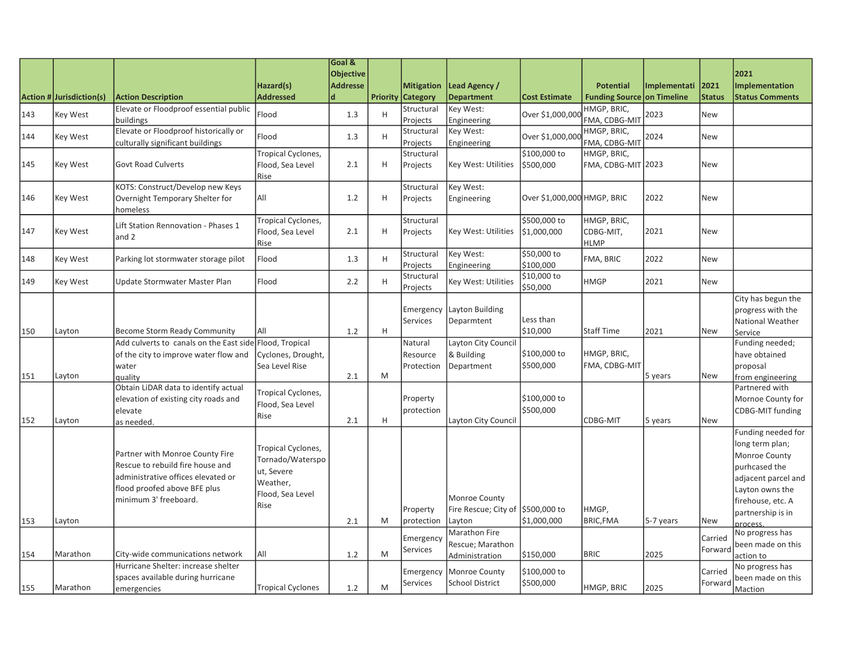|     |                                 |                                                         |                          | Goal &           |   |                          |                                   |                             |                                   |              |               |                         |
|-----|---------------------------------|---------------------------------------------------------|--------------------------|------------------|---|--------------------------|-----------------------------------|-----------------------------|-----------------------------------|--------------|---------------|-------------------------|
|     |                                 |                                                         |                          | <b>Objective</b> |   |                          |                                   |                             |                                   |              |               | 2021                    |
|     |                                 |                                                         | Hazard(s)                | <b>Addresse</b>  |   | <b>Mitigation</b>        | Lead Agency /                     |                             | <b>Potential</b>                  | Implementati | 2021          | <b>Implementation</b>   |
|     | <b>Action # Jurisdiction(s)</b> | <b>Action Description</b>                               | <b>Addressed</b>         | d                |   | <b>Priority Category</b> | <b>Department</b>                 | <b>Cost Estimate</b>        | <b>Funding Source on Timeline</b> |              | <b>Status</b> | <b>Status Comments</b>  |
| 143 | Key West                        | Elevate or Floodproof essential public                  | Flood                    | 1.3              | H | Structural               | Key West:                         | Over \$1,000,000            | HMGP, BRIC,                       | 2023         | <b>New</b>    |                         |
|     |                                 | buildings                                               |                          |                  |   | Projects                 | Engineering                       |                             | FMA, CDBG-MIT                     |              |               |                         |
| 144 | Key West                        | Elevate or Floodproof historically or                   | Flood                    | 1.3              | H | Structural               | Key West:                         | Over \$1,000,000            | HMGP, BRIC,                       | 2024         | <b>New</b>    |                         |
|     |                                 | culturally significant buildings                        |                          |                  |   | Projects                 | Engineering                       |                             | FMA, CDBG-MIT                     |              |               |                         |
|     |                                 |                                                         | Tropical Cyclones,       |                  |   | Structural               |                                   | \$100,000 to                | HMGP, BRIC,                       |              |               |                         |
| 145 | Key West                        | <b>Govt Road Culverts</b>                               | Flood, Sea Level         | 2.1              | H | Projects                 | Key West: Utilities               | \$500,000                   | FMA, CDBG-MIT 2023                |              | <b>New</b>    |                         |
|     |                                 |                                                         | Rise                     |                  |   |                          |                                   |                             |                                   |              |               |                         |
|     |                                 | KOTS: Construct/Develop new Keys                        |                          |                  |   | Structural               | Key West:                         |                             |                                   |              |               |                         |
| 146 | Key West                        | Overnight Temporary Shelter for                         | All                      | 1.2              | H | Projects                 | Engineering                       | Over \$1,000,000 HMGP, BRIC |                                   | 2022         | <b>New</b>    |                         |
|     |                                 | homeless                                                |                          |                  |   | Structural               |                                   | \$500,000 to                | HMGP, BRIC,                       |              |               |                         |
| 147 | Key West                        | Lift Station Rennovation - Phases 1                     | Tropical Cyclones,       | 2.1              | H |                          | Key West: Utilities               |                             |                                   | 2021         | <b>New</b>    |                         |
|     |                                 | land 2                                                  | Flood, Sea Level         |                  |   | Projects                 |                                   | \$1,000,000                 | CDBG-MIT,                         |              |               |                         |
|     |                                 |                                                         | Rise                     |                  |   | Structural               | Key West:                         | \$50,000 to                 | <b>HLMP</b>                       |              |               |                         |
| 148 | Key West                        | Parking lot stormwater storage pilot                    | Flood                    | 1.3              | H | Projects                 | Engineering                       | \$100,000                   | FMA, BRIC                         | 2022         | <b>New</b>    |                         |
|     |                                 |                                                         |                          |                  |   | Structural               |                                   | \$10,000 to                 |                                   |              |               |                         |
| 149 | Key West                        | Update Stormwater Master Plan                           | Flood                    | 2.2              | H | Projects                 | Key West: Utilities               | \$50,000                    | <b>HMGP</b>                       | 2021         | <b>New</b>    |                         |
|     |                                 |                                                         |                          |                  |   |                          |                                   |                             |                                   |              |               | City has begun the      |
|     |                                 |                                                         |                          |                  |   | Emergency                | Layton Building                   |                             |                                   |              |               | progress with the       |
|     |                                 |                                                         |                          |                  |   | Services                 | Deparmtent                        | Less than                   |                                   |              |               | National Weather        |
| 150 | Layton                          | Become Storm Ready Community                            | All                      | 1.2              | H |                          |                                   | \$10,000                    | <b>Staff Time</b>                 | 2021         | <b>New</b>    | Service                 |
|     |                                 | Add culverts to canals on the East side Flood, Tropical |                          |                  |   | Natural                  | Layton City Council               |                             |                                   |              |               | Funding needed;         |
|     |                                 | of the city to improve water flow and                   | Cyclones, Drought,       |                  |   | Resource                 | & Building                        | \$100,000 to                | HMGP, BRIC,                       |              |               | have obtained           |
|     |                                 | water                                                   | Sea Level Rise           |                  |   | Protection               | Department                        | \$500,000                   | FMA, CDBG-MIT                     |              |               | proposal                |
| 151 | Layton                          | laualitv                                                |                          | 2.1              | M |                          |                                   |                             |                                   | 5 years      | <b>New</b>    | from engineering        |
|     |                                 | Obtain LiDAR data to identify actual                    |                          |                  |   |                          |                                   |                             |                                   |              |               | Partnered with          |
|     |                                 | elevation of existing city roads and                    | Tropical Cyclones,       |                  |   | Property                 |                                   | \$100,000 to                |                                   |              |               | Mornoe County for       |
|     |                                 | lelevate                                                | Flood, Sea Level         |                  |   | protection               |                                   | \$500,000                   |                                   |              |               | <b>CDBG-MIT funding</b> |
| 152 | Layton                          | as needed.                                              | Rise                     | 2.1              | H |                          | Layton City Council               |                             | CDBG-MIT                          | 5 years      | <b>New</b>    |                         |
|     |                                 |                                                         |                          |                  |   |                          |                                   |                             |                                   |              |               | Funding needed for      |
|     |                                 |                                                         | Tropical Cyclones,       |                  |   |                          |                                   |                             |                                   |              |               | long term plan;         |
|     |                                 | Partner with Monroe County Fire                         | Tornado/Waterspo         |                  |   |                          |                                   |                             |                                   |              |               | Monroe County           |
|     |                                 | Rescue to rebuild fire house and                        | ut, Severe               |                  |   |                          |                                   |                             |                                   |              |               | purhcased the           |
|     |                                 | administrative offices elevated or                      | Weather,                 |                  |   |                          |                                   |                             |                                   |              |               | adjacent parcel and     |
|     |                                 | flood proofed above BFE plus                            | Flood, Sea Level         |                  |   |                          |                                   |                             |                                   |              |               | Layton owns the         |
|     |                                 | minimum 3' freeboard.                                   | Rise                     |                  |   |                          | <b>Monroe County</b>              |                             |                                   |              |               | firehouse, etc. A       |
|     |                                 |                                                         |                          |                  |   | Property                 | Fire Rescue; City of \$500,000 to |                             | HMGP,                             |              |               | partnership is in       |
| 153 | Layton                          |                                                         |                          | 2.1              | M | protection               | Layton                            | \$1,000,000                 | <b>BRIC, FMA</b>                  | 5-7 years    | <b>New</b>    | process.                |
|     |                                 |                                                         |                          |                  |   | Emergency                | Marathon Fire                     |                             |                                   |              | Carried       | No progress has         |
|     |                                 |                                                         |                          |                  |   | Services                 | Rescue; Marathon                  |                             |                                   |              | Forward       | been made on this       |
| 154 | Marathon                        | City-wide communications network                        | All                      | 1.2              | M |                          | Administration                    | \$150,000                   | <b>BRIC</b>                       | 2025         |               | action to               |
|     |                                 | Hurricane Shelter: increase shelter                     |                          |                  |   | Emergency                | Monroe County                     | \$100,000 to                |                                   |              | Carried       | No progress has         |
|     |                                 | spaces available during hurricane                       |                          |                  |   | <b>Services</b>          | <b>School District</b>            | \$500,000                   |                                   |              | Forward       | been made on this       |
| 155 | <b>Marathon</b>                 | emergencies                                             | <b>Tropical Cyclones</b> | 1.2              | M |                          |                                   |                             | HMGP, BRIC                        | 2025         |               | Maction                 |